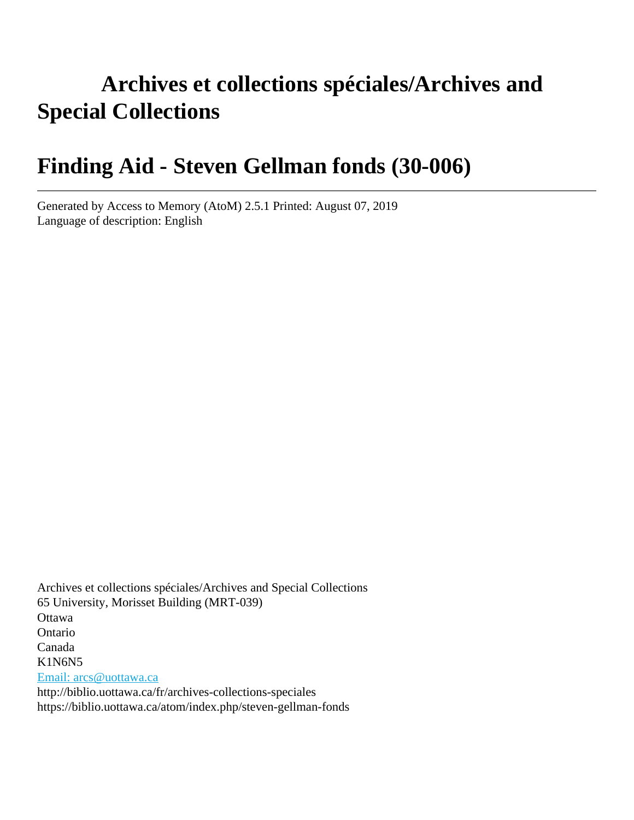# **Archives et collections spéciales/Archives and Special Collections**

# **Finding Aid - Steven Gellman fonds (30-006)**

Generated by Access to Memory (AtoM) 2.5.1 Printed: August 07, 2019 Language of description: English

Archives et collections spéciales/Archives and Special Collections 65 University, Morisset Building (MRT-039) **Ottawa** Ontario Canada K1N6N5 [Email: arcs@uottawa.ca](mailto:Email: arcs@uottawa.ca) http://biblio.uottawa.ca/fr/archives-collections-speciales https://biblio.uottawa.ca/atom/index.php/steven-gellman-fonds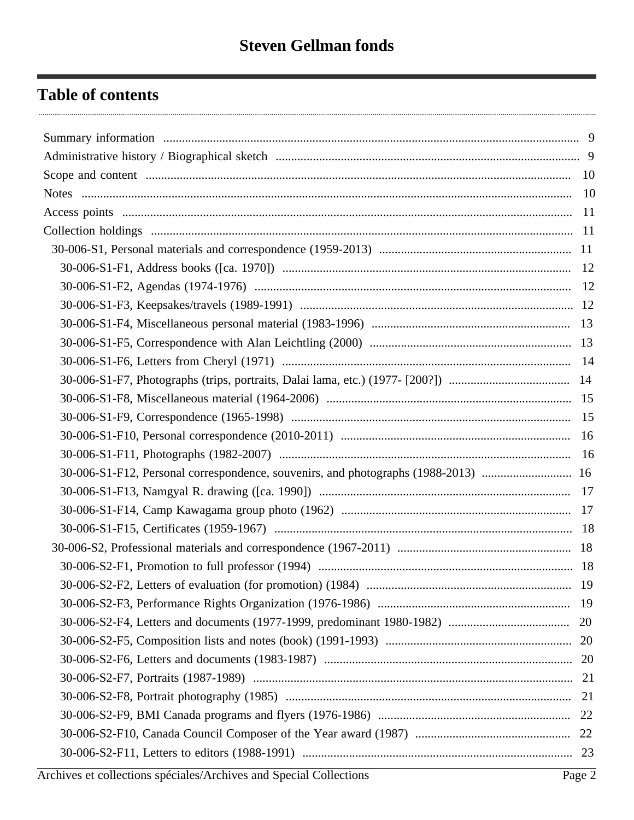# **Table of contents**

| 30-006-S1-F12, Personal correspondence, souvenirs, and photographs (1988-2013)  16 |  |
|------------------------------------------------------------------------------------|--|
|                                                                                    |  |
|                                                                                    |  |
|                                                                                    |  |
|                                                                                    |  |
|                                                                                    |  |
|                                                                                    |  |
|                                                                                    |  |
|                                                                                    |  |
|                                                                                    |  |
|                                                                                    |  |
|                                                                                    |  |
|                                                                                    |  |
|                                                                                    |  |
|                                                                                    |  |
|                                                                                    |  |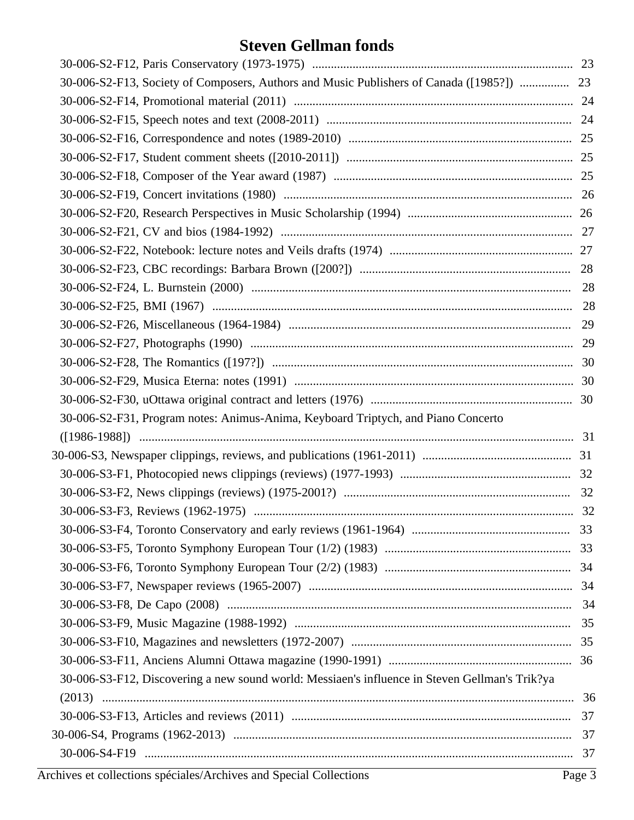| 30-006-S2-F13, Society of Composers, Authors and Music Publishers of Canada ([1985?])  23      |    |
|------------------------------------------------------------------------------------------------|----|
|                                                                                                |    |
|                                                                                                |    |
|                                                                                                |    |
|                                                                                                |    |
|                                                                                                |    |
|                                                                                                |    |
|                                                                                                |    |
|                                                                                                |    |
|                                                                                                |    |
|                                                                                                |    |
|                                                                                                |    |
|                                                                                                |    |
|                                                                                                |    |
|                                                                                                |    |
|                                                                                                |    |
|                                                                                                |    |
|                                                                                                |    |
| 30-006-S2-F31, Program notes: Animus-Anima, Keyboard Triptych, and Piano Concerto              |    |
|                                                                                                |    |
|                                                                                                |    |
|                                                                                                |    |
|                                                                                                |    |
|                                                                                                |    |
|                                                                                                |    |
|                                                                                                |    |
|                                                                                                |    |
|                                                                                                |    |
|                                                                                                |    |
|                                                                                                |    |
|                                                                                                |    |
|                                                                                                |    |
| 30-006-S3-F12, Discovering a new sound world: Messiaen's influence in Steven Gellman's Trik?ya |    |
|                                                                                                |    |
|                                                                                                |    |
|                                                                                                | 37 |
|                                                                                                |    |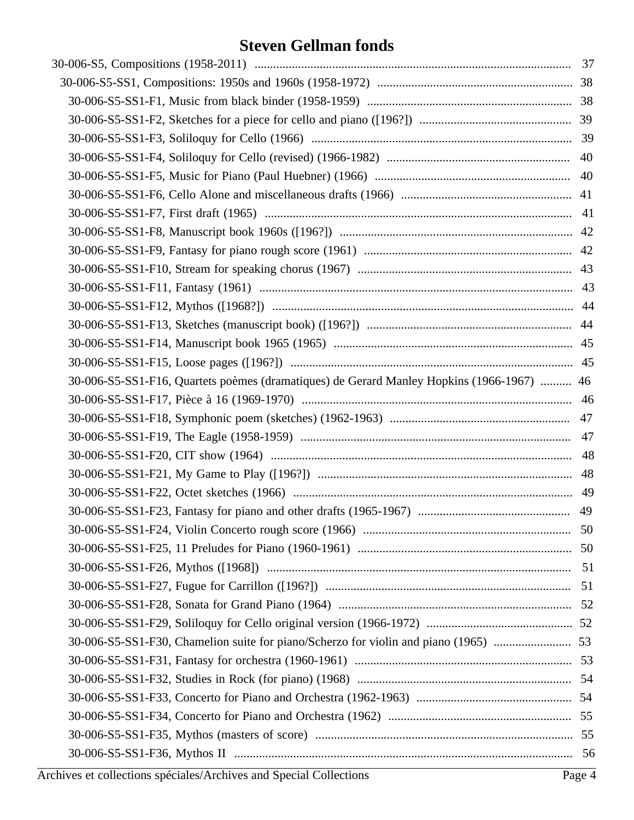| 30-006-S5-SS1-F16, Quartets poèmes (dramatiques) de Gerard Manley Hopkins (1966-1967)  46 |  |
|-------------------------------------------------------------------------------------------|--|
|                                                                                           |  |
|                                                                                           |  |
|                                                                                           |  |
|                                                                                           |  |
|                                                                                           |  |
|                                                                                           |  |
|                                                                                           |  |
|                                                                                           |  |
|                                                                                           |  |
|                                                                                           |  |
|                                                                                           |  |
|                                                                                           |  |
|                                                                                           |  |
| 30-006-S5-SS1-F30, Chamelion suite for piano/Scherzo for violin and piano (1965)  53      |  |
|                                                                                           |  |
|                                                                                           |  |
|                                                                                           |  |
|                                                                                           |  |
|                                                                                           |  |
|                                                                                           |  |
|                                                                                           |  |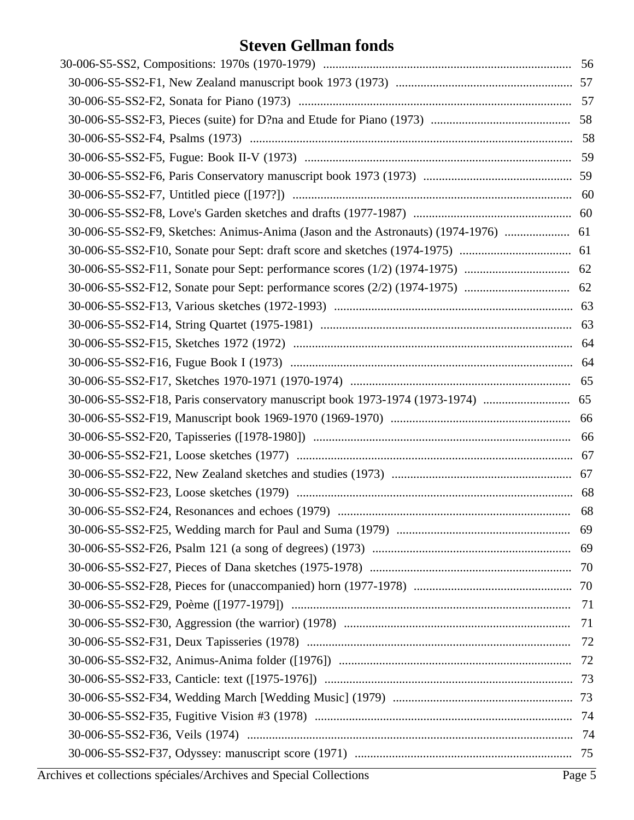| 30-006-S5-SS2-F9, Sketches: Animus-Anima (Jason and the Astronauts) (1974-1976)  61 |  |
|-------------------------------------------------------------------------------------|--|
|                                                                                     |  |
|                                                                                     |  |
|                                                                                     |  |
|                                                                                     |  |
|                                                                                     |  |
|                                                                                     |  |
|                                                                                     |  |
|                                                                                     |  |
| 30-006-S5-SS2-F18, Paris conservatory manuscript book 1973-1974 (1973-1974)  65     |  |
|                                                                                     |  |
|                                                                                     |  |
|                                                                                     |  |
|                                                                                     |  |
|                                                                                     |  |
|                                                                                     |  |
|                                                                                     |  |
|                                                                                     |  |
|                                                                                     |  |
|                                                                                     |  |
|                                                                                     |  |
|                                                                                     |  |
|                                                                                     |  |
|                                                                                     |  |
|                                                                                     |  |
|                                                                                     |  |
|                                                                                     |  |
|                                                                                     |  |
|                                                                                     |  |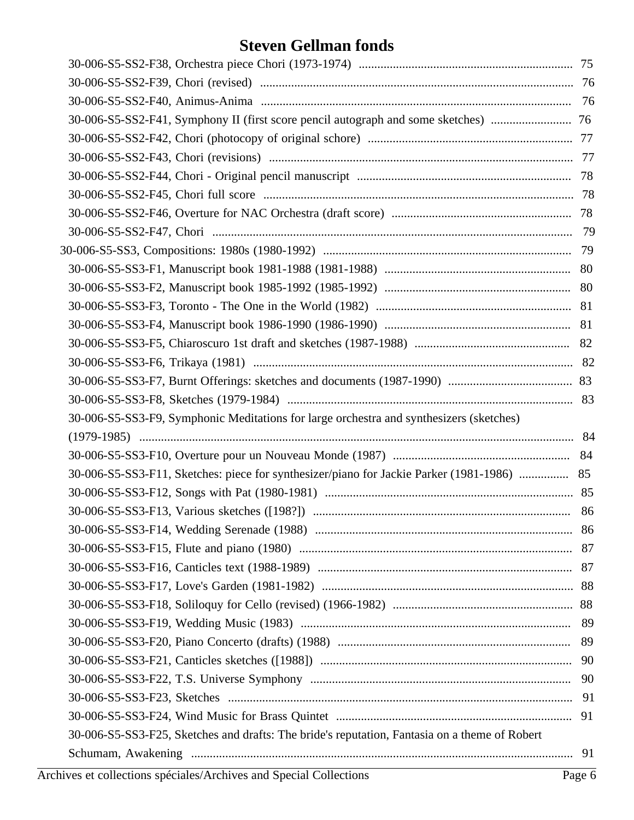| 30-006-S5-SS3-F9, Symphonic Meditations for large orchestra and synthesizers (sketches)       |  |
|-----------------------------------------------------------------------------------------------|--|
|                                                                                               |  |
|                                                                                               |  |
| 30-006-S5-SS3-F11, Sketches: piece for synthesizer/piano for Jackie Parker (1981-1986)  85    |  |
|                                                                                               |  |
|                                                                                               |  |
|                                                                                               |  |
|                                                                                               |  |
|                                                                                               |  |
|                                                                                               |  |
|                                                                                               |  |
|                                                                                               |  |
|                                                                                               |  |
|                                                                                               |  |
|                                                                                               |  |
|                                                                                               |  |
|                                                                                               |  |
| 30-006-S5-SS3-F25, Sketches and drafts: The bride's reputation, Fantasia on a theme of Robert |  |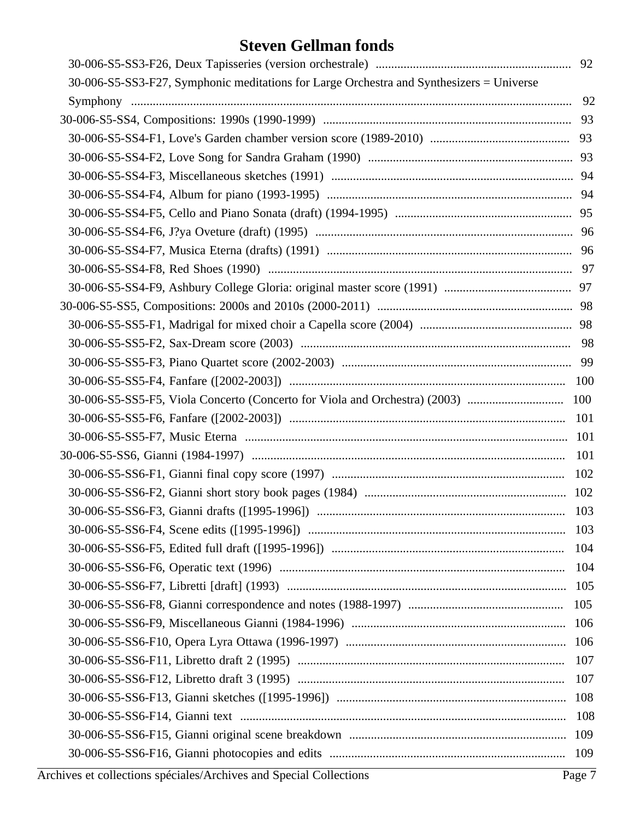| 30-006-S5-SS3-F27, Symphonic meditations for Large Orchestra and Synthesizers = Universe |     |
|------------------------------------------------------------------------------------------|-----|
|                                                                                          |     |
|                                                                                          |     |
|                                                                                          |     |
|                                                                                          |     |
|                                                                                          |     |
|                                                                                          |     |
|                                                                                          |     |
|                                                                                          |     |
|                                                                                          |     |
|                                                                                          |     |
|                                                                                          |     |
|                                                                                          |     |
|                                                                                          |     |
|                                                                                          |     |
|                                                                                          |     |
|                                                                                          |     |
|                                                                                          |     |
|                                                                                          |     |
|                                                                                          |     |
|                                                                                          | 101 |
|                                                                                          |     |
|                                                                                          |     |
|                                                                                          |     |
|                                                                                          | 103 |
|                                                                                          | 104 |
|                                                                                          | 104 |
|                                                                                          | 105 |
|                                                                                          | 105 |
|                                                                                          | 106 |
|                                                                                          | 106 |
|                                                                                          | 107 |
|                                                                                          | 107 |
|                                                                                          | 108 |
|                                                                                          | 108 |
|                                                                                          | 109 |
|                                                                                          | 109 |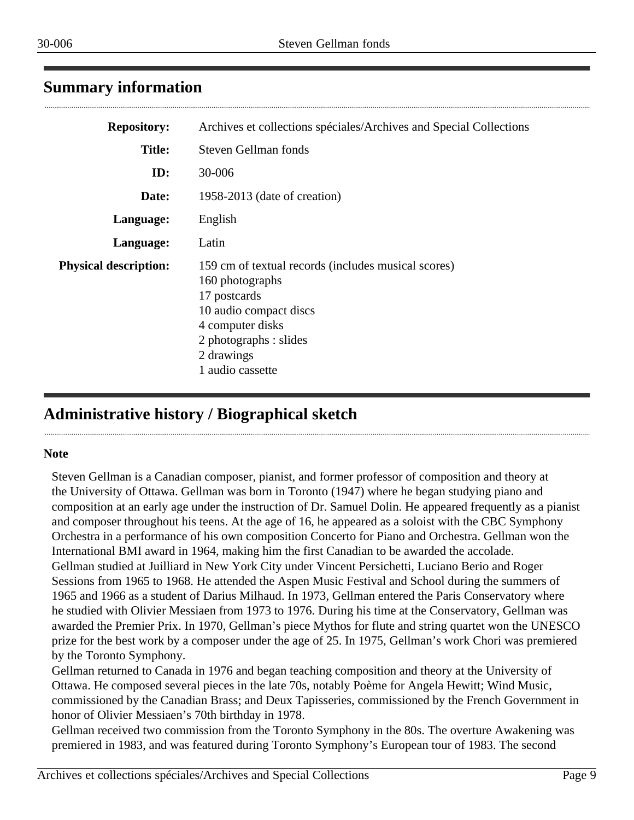## <span id="page-8-0"></span>**Summary information**

| <b>Repository:</b>           | Archives et collections spéciales/Archives and Special Collections                                                                                                                               |
|------------------------------|--------------------------------------------------------------------------------------------------------------------------------------------------------------------------------------------------|
| <b>Title:</b>                | <b>Steven Gellman fonds</b>                                                                                                                                                                      |
| ID:                          | 30-006                                                                                                                                                                                           |
| Date:                        | 1958-2013 (date of creation)                                                                                                                                                                     |
| Language:                    | English                                                                                                                                                                                          |
| Language:                    | Latin                                                                                                                                                                                            |
| <b>Physical description:</b> | 159 cm of textual records (includes musical scores)<br>160 photographs<br>17 postcards<br>10 audio compact discs<br>4 computer disks<br>2 photographs : slides<br>2 drawings<br>1 audio cassette |

## <span id="page-8-1"></span>**Administrative history / Biographical sketch**

#### **Note**

Steven Gellman is a Canadian composer, pianist, and former professor of composition and theory at the University of Ottawa. Gellman was born in Toronto (1947) where he began studying piano and composition at an early age under the instruction of Dr. Samuel Dolin. He appeared frequently as a pianist and composer throughout his teens. At the age of 16, he appeared as a soloist with the CBC Symphony Orchestra in a performance of his own composition Concerto for Piano and Orchestra. Gellman won the International BMI award in 1964, making him the first Canadian to be awarded the accolade. Gellman studied at Juilliard in New York City under Vincent Persichetti, Luciano Berio and Roger Sessions from 1965 to 1968. He attended the Aspen Music Festival and School during the summers of 1965 and 1966 as a student of Darius Milhaud. In 1973, Gellman entered the Paris Conservatory where he studied with Olivier Messiaen from 1973 to 1976. During his time at the Conservatory, Gellman was awarded the Premier Prix. In 1970, Gellman's piece Mythos for flute and string quartet won the UNESCO prize for the best work by a composer under the age of 25. In 1975, Gellman's work Chori was premiered by the Toronto Symphony.

Gellman returned to Canada in 1976 and began teaching composition and theory at the University of Ottawa. He composed several pieces in the late 70s, notably Poème for Angela Hewitt; Wind Music, commissioned by the Canadian Brass; and Deux Tapisseries, commissioned by the French Government in honor of Olivier Messiaen's 70th birthday in 1978.

Gellman received two commission from the Toronto Symphony in the 80s. The overture Awakening was premiered in 1983, and was featured during Toronto Symphony's European tour of 1983. The second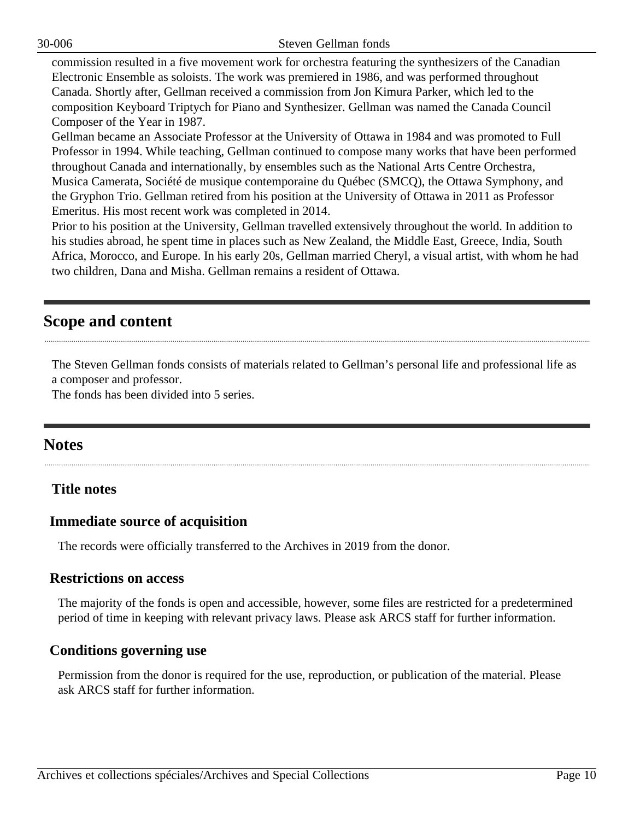30-006 Steven Gellman fonds

commission resulted in a five movement work for orchestra featuring the synthesizers of the Canadian Electronic Ensemble as soloists. The work was premiered in 1986, and was performed throughout Canada. Shortly after, Gellman received a commission from Jon Kimura Parker, which led to the composition Keyboard Triptych for Piano and Synthesizer. Gellman was named the Canada Council Composer of the Year in 1987.

Gellman became an Associate Professor at the University of Ottawa in 1984 and was promoted to Full Professor in 1994. While teaching, Gellman continued to compose many works that have been performed throughout Canada and internationally, by ensembles such as the National Arts Centre Orchestra, Musica Camerata, Société de musique contemporaine du Québec (SMCQ), the Ottawa Symphony, and the Gryphon Trio. Gellman retired from his position at the University of Ottawa in 2011 as Professor Emeritus. His most recent work was completed in 2014.

Prior to his position at the University, Gellman travelled extensively throughout the world. In addition to his studies abroad, he spent time in places such as New Zealand, the Middle East, Greece, India, South Africa, Morocco, and Europe. In his early 20s, Gellman married Cheryl, a visual artist, with whom he had two children, Dana and Misha. Gellman remains a resident of Ottawa.

## <span id="page-9-0"></span>**Scope and content**

The Steven Gellman fonds consists of materials related to Gellman's personal life and professional life as a composer and professor.

The fonds has been divided into 5 series.

## <span id="page-9-1"></span>**Notes**

#### **Title notes**

#### **Immediate source of acquisition**

The records were officially transferred to the Archives in 2019 from the donor.

#### **Restrictions on access**

The majority of the fonds is open and accessible, however, some files are restricted for a predetermined period of time in keeping with relevant privacy laws. Please ask ARCS staff for further information.

#### **Conditions governing use**

Permission from the donor is required for the use, reproduction, or publication of the material. Please ask ARCS staff for further information.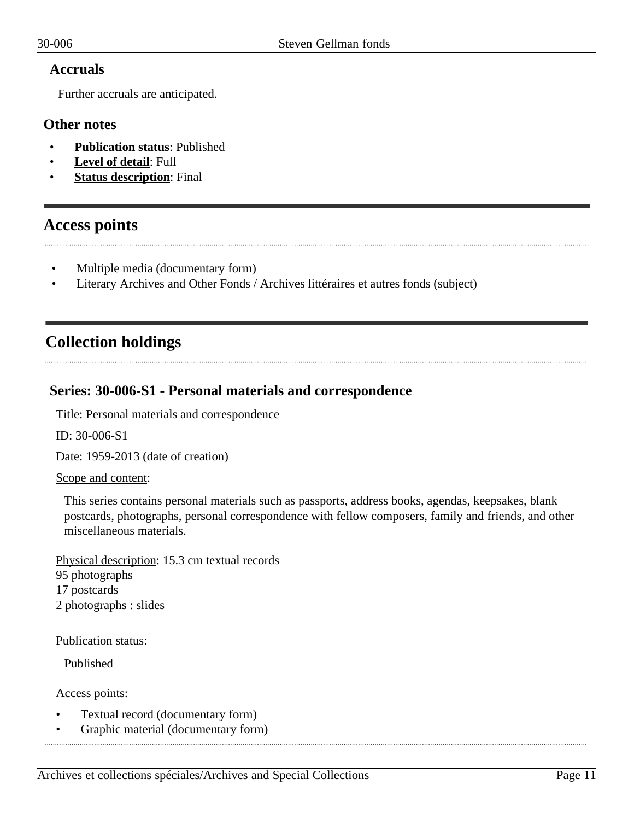#### **Accruals**

Further accruals are anticipated.

#### **Other notes**

- **Publication status**: Published
- **Level of detail**: Full
- **Status description:** Final

## <span id="page-10-0"></span>**Access points**

- Multiple media (documentary form)
- Literary Archives and Other Fonds / Archives littéraires et autres fonds (subject)

## <span id="page-10-1"></span>**Collection holdings**

#### <span id="page-10-2"></span>**Series: 30-006-S1 - Personal materials and correspondence**

Title: Personal materials and correspondence

ID: 30-006-S1

Date: 1959-2013 (date of creation)

Scope and content:

This series contains personal materials such as passports, address books, agendas, keepsakes, blank postcards, photographs, personal correspondence with fellow composers, family and friends, and other miscellaneous materials.

Physical description: 15.3 cm textual records 95 photographs 17 postcards 2 photographs : slides

Publication status:

Published

Access points:

- Textual record (documentary form)
- Graphic material (documentary form)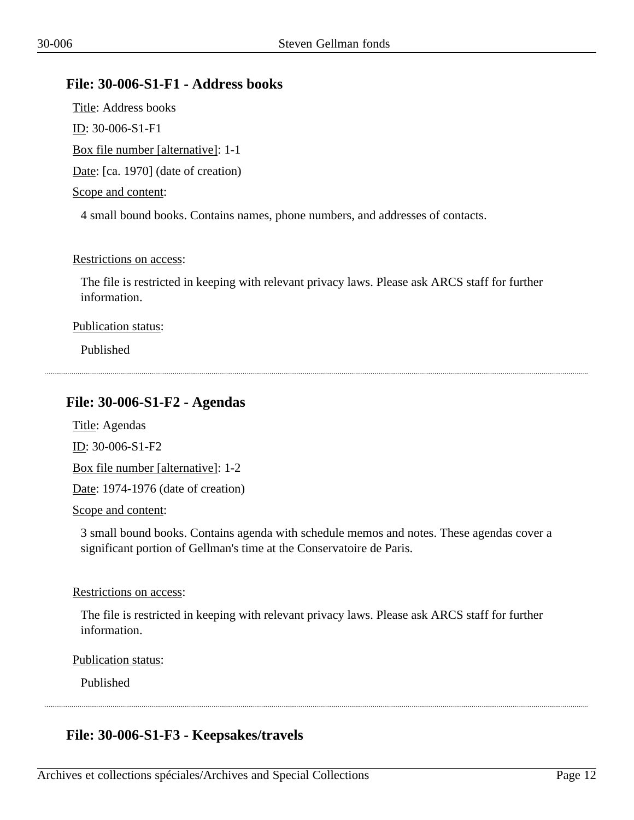#### <span id="page-11-0"></span>**File: 30-006-S1-F1 - Address books**

Title: Address books ID: 30-006-S1-F1 Box file number [alternative]: 1-1 Date: [ca. 1970] (date of creation) Scope and content:

4 small bound books. Contains names, phone numbers, and addresses of contacts.

#### Restrictions on access:

The file is restricted in keeping with relevant privacy laws. Please ask ARCS staff for further information.

#### Publication status:

Published

#### <span id="page-11-1"></span>**File: 30-006-S1-F2 - Agendas**

Title: Agendas

ID: 30-006-S1-F2

Box file number [alternative]: 1-2

Date: 1974-1976 (date of creation)

Scope and content:

3 small bound books. Contains agenda with schedule memos and notes. These agendas cover a significant portion of Gellman's time at the Conservatoire de Paris.

Restrictions on access:

The file is restricted in keeping with relevant privacy laws. Please ask ARCS staff for further information.

Publication status:

Published

## <span id="page-11-2"></span>**File: 30-006-S1-F3 - Keepsakes/travels**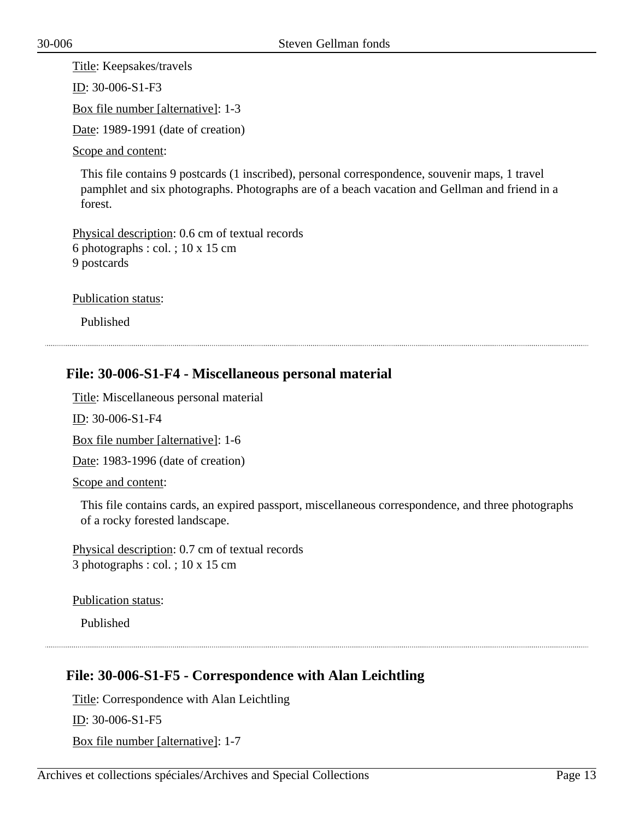Title: Keepsakes/travels ID: 30-006-S1-F3 Box file number [alternative]: 1-3 Date: 1989-1991 (date of creation)

Scope and content:

This file contains 9 postcards (1 inscribed), personal correspondence, souvenir maps, 1 travel pamphlet and six photographs. Photographs are of a beach vacation and Gellman and friend in a forest.

Physical description: 0.6 cm of textual records 6 photographs : col. ; 10 x 15 cm 9 postcards

Publication status:

Published

## <span id="page-12-0"></span>**File: 30-006-S1-F4 - Miscellaneous personal material**

Title: Miscellaneous personal material

ID: 30-006-S1-F4

Box file number [alternative]: 1-6

Date: 1983-1996 (date of creation)

Scope and content:

This file contains cards, an expired passport, miscellaneous correspondence, and three photographs of a rocky forested landscape.

Physical description: 0.7 cm of textual records 3 photographs : col. ; 10 x 15 cm

Publication status:

Published

#### <span id="page-12-1"></span>**File: 30-006-S1-F5 - Correspondence with Alan Leichtling**

Title: Correspondence with Alan Leichtling ID: 30-006-S1-F5 Box file number [alternative]: 1-7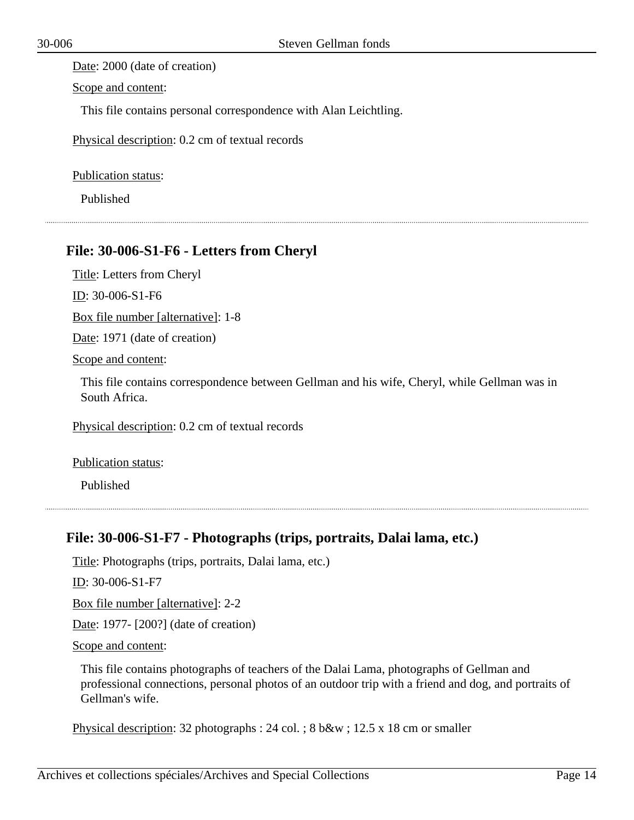Date: 2000 (date of creation)

Scope and content:

This file contains personal correspondence with Alan Leichtling.

Physical description: 0.2 cm of textual records

Publication status:

Published

#### <span id="page-13-0"></span>**File: 30-006-S1-F6 - Letters from Cheryl**

Title: Letters from Cheryl

ID: 30-006-S1-F6

Box file number [alternative]: 1-8

Date: 1971 (date of creation)

Scope and content:

This file contains correspondence between Gellman and his wife, Cheryl, while Gellman was in South Africa.

Physical description: 0.2 cm of textual records

Publication status:

Published

#### <span id="page-13-1"></span>**File: 30-006-S1-F7 - Photographs (trips, portraits, Dalai lama, etc.)**

Title: Photographs (trips, portraits, Dalai lama, etc.)

ID: 30-006-S1-F7

Box file number [alternative]: 2-2

Date: 1977- [200?] (date of creation)

Scope and content:

This file contains photographs of teachers of the Dalai Lama, photographs of Gellman and professional connections, personal photos of an outdoor trip with a friend and dog, and portraits of Gellman's wife.

Physical description: 32 photographs : 24 col. ; 8 b&w ; 12.5 x 18 cm or smaller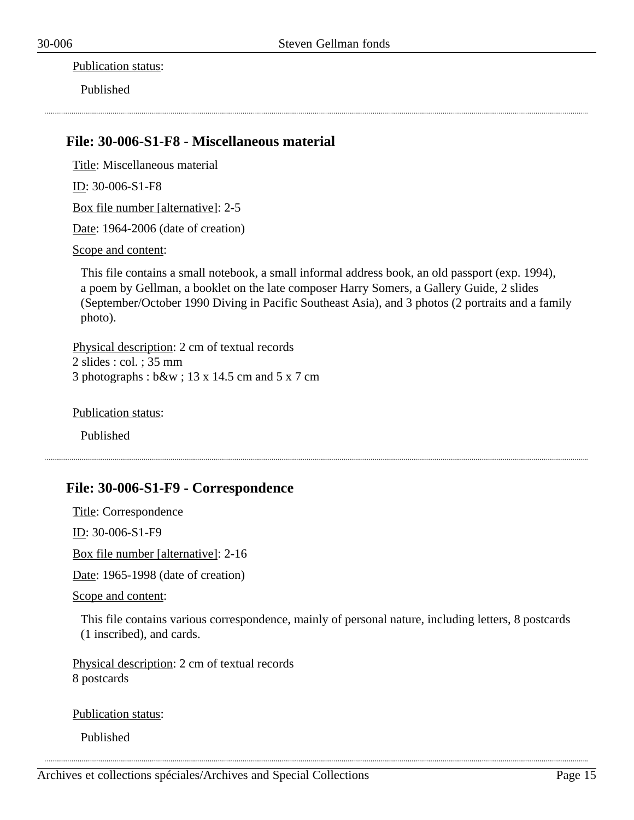Publication status:

Published

#### <span id="page-14-0"></span>**File: 30-006-S1-F8 - Miscellaneous material**

Title: Miscellaneous material ID: 30-006-S1-F8 Box file number [alternative]: 2-5 Date: 1964-2006 (date of creation) Scope and content:

This file contains a small notebook, a small informal address book, an old passport (exp. 1994), a poem by Gellman, a booklet on the late composer Harry Somers, a Gallery Guide, 2 slides (September/October 1990 Diving in Pacific Southeast Asia), and 3 photos (2 portraits and a family photo).

Physical description: 2 cm of textual records 2 slides : col. ; 35 mm 3 photographs : b&w ; 13 x 14.5 cm and 5 x 7 cm

Publication status:

Published

## <span id="page-14-1"></span>**File: 30-006-S1-F9 - Correspondence**

Title: Correspondence ID: 30-006-S1-F9 Box file number [alternative]: 2-16

Date: 1965-1998 (date of creation)

Scope and content:

This file contains various correspondence, mainly of personal nature, including letters, 8 postcards (1 inscribed), and cards.

Physical description: 2 cm of textual records 8 postcards

Publication status:

Published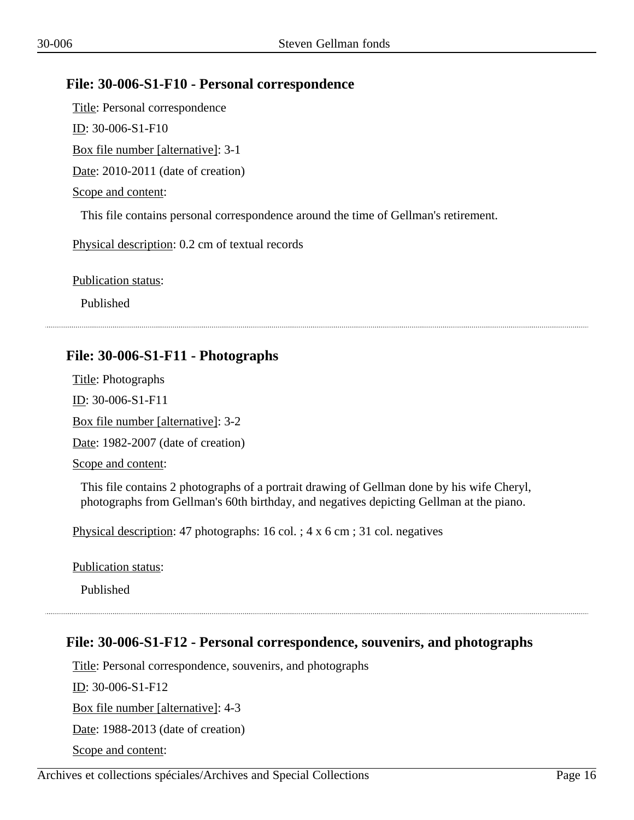#### <span id="page-15-0"></span>**File: 30-006-S1-F10 - Personal correspondence**

Title: Personal correspondence ID: 30-006-S1-F10 Box file number [alternative]: 3-1 Date: 2010-2011 (date of creation) Scope and content: This file contains personal correspondence around the time of Gellman's retirement. Physical description: 0.2 cm of textual records

Publication status:

Published

## <span id="page-15-1"></span>**File: 30-006-S1-F11 - Photographs**

Title: Photographs ID: 30-006-S1-F11 Box file number [alternative]: 3-2 Date: 1982-2007 (date of creation) Scope and content:

This file contains 2 photographs of a portrait drawing of Gellman done by his wife Cheryl, photographs from Gellman's 60th birthday, and negatives depicting Gellman at the piano.

Physical description: 47 photographs: 16 col. ; 4 x 6 cm ; 31 col. negatives

Publication status:

Published

## <span id="page-15-2"></span>**File: 30-006-S1-F12 - Personal correspondence, souvenirs, and photographs**

Title: Personal correspondence, souvenirs, and photographs ID: 30-006-S1-F12 Box file number [alternative]: 4-3 Date: 1988-2013 (date of creation) Scope and content: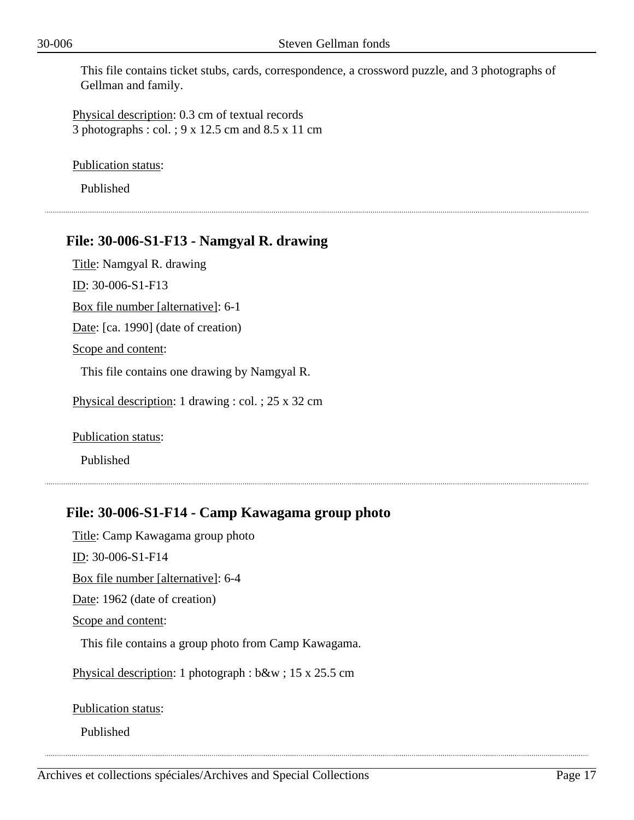This file contains ticket stubs, cards, correspondence, a crossword puzzle, and 3 photographs of Gellman and family.

Physical description: 0.3 cm of textual records 3 photographs : col. ; 9 x 12.5 cm and 8.5 x 11 cm

Publication status:

Published

#### <span id="page-16-0"></span>**File: 30-006-S1-F13 - Namgyal R. drawing**

Title: Namgyal R. drawing ID: 30-006-S1-F13 Box file number [alternative]: 6-1 Date: [ca. 1990] (date of creation) Scope and content: This file contains one drawing by Namgyal R. Physical description: 1 drawing : col. ; 25 x 32 cm

Publication status:

Published

## <span id="page-16-1"></span>**File: 30-006-S1-F14 - Camp Kawagama group photo**

Title: Camp Kawagama group photo ID: 30-006-S1-F14

Box file number [alternative]: 6-4

Date: 1962 (date of creation)

Scope and content:

This file contains a group photo from Camp Kawagama.

Physical description: 1 photograph : b&w ; 15 x 25.5 cm

Publication status:

Published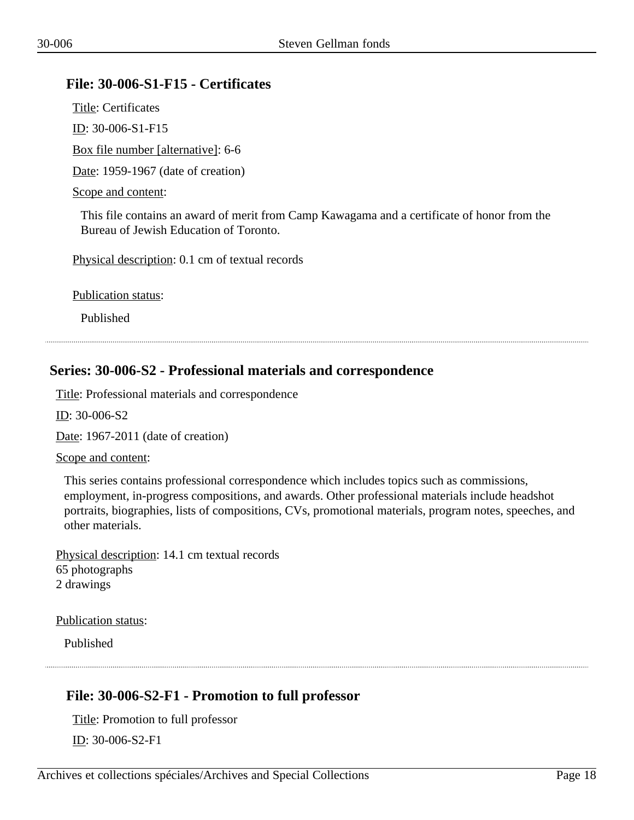#### <span id="page-17-0"></span>**File: 30-006-S1-F15 - Certificates**

Title: Certificates ID: 30-006-S1-F15 Box file number [alternative]: 6-6 Date: 1959-1967 (date of creation) Scope and content:

This file contains an award of merit from Camp Kawagama and a certificate of honor from the Bureau of Jewish Education of Toronto.

Physical description: 0.1 cm of textual records

Publication status:

Published

#### <span id="page-17-1"></span>**Series: 30-006-S2 - Professional materials and correspondence**

Title: Professional materials and correspondence

ID: 30-006-S2

Date: 1967-2011 (date of creation)

Scope and content:

This series contains professional correspondence which includes topics such as commissions, employment, in-progress compositions, and awards. Other professional materials include headshot portraits, biographies, lists of compositions, CVs, promotional materials, program notes, speeches, and other materials.

Physical description: 14.1 cm textual records 65 photographs 2 drawings

Publication status:

Published

## <span id="page-17-2"></span>**File: 30-006-S2-F1 - Promotion to full professor**

Title: Promotion to full professor

ID: 30-006-S2-F1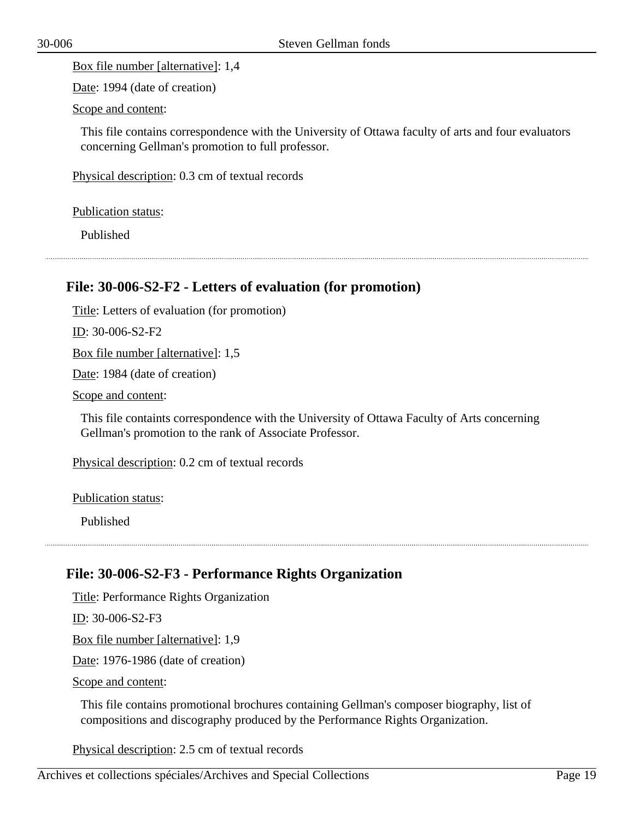Box file number [alternative]: 1,4

Date: 1994 (date of creation)

Scope and content:

This file contains correspondence with the University of Ottawa faculty of arts and four evaluators concerning Gellman's promotion to full professor.

Physical description: 0.3 cm of textual records

Publication status:

Published

#### <span id="page-18-0"></span>**File: 30-006-S2-F2 - Letters of evaluation (for promotion)**

Title: Letters of evaluation (for promotion)

ID: 30-006-S2-F2

Box file number [alternative]: 1,5

Date: 1984 (date of creation)

Scope and content:

This file containts correspondence with the University of Ottawa Faculty of Arts concerning Gellman's promotion to the rank of Associate Professor.

Physical description: 0.2 cm of textual records

Publication status:

Published

## <span id="page-18-1"></span>**File: 30-006-S2-F3 - Performance Rights Organization**

Title: Performance Rights Organization

ID: 30-006-S2-F3

Box file number [alternative]: 1,9

Date: 1976-1986 (date of creation)

Scope and content:

This file contains promotional brochures containing Gellman's composer biography, list of compositions and discography produced by the Performance Rights Organization.

Physical description: 2.5 cm of textual records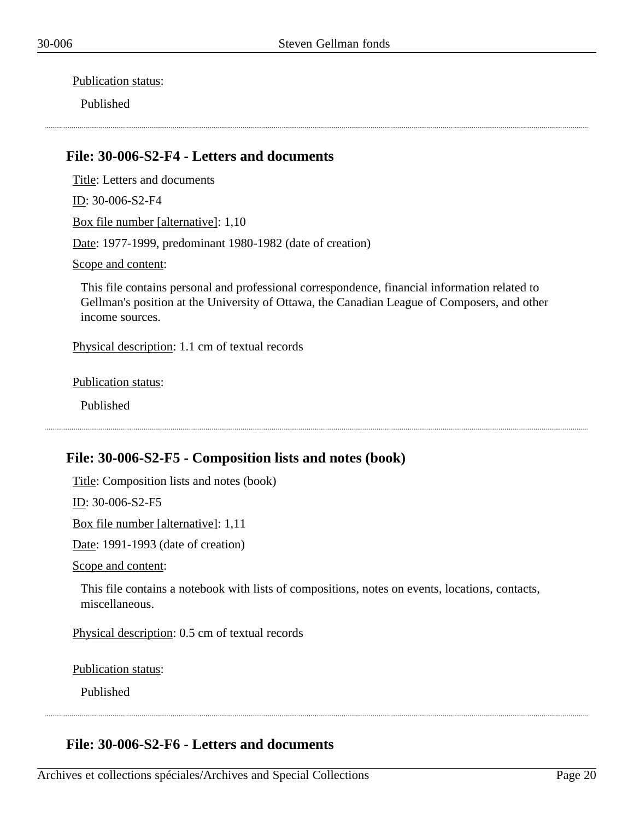Publication status:

Published

### <span id="page-19-0"></span>**File: 30-006-S2-F4 - Letters and documents**

Title: Letters and documents ID: 30-006-S2-F4 Box file number [alternative]: 1,10 Date: 1977-1999, predominant 1980-1982 (date of creation)

Scope and content:

This file contains personal and professional correspondence, financial information related to Gellman's position at the University of Ottawa, the Canadian League of Composers, and other income sources.

Physical description: 1.1 cm of textual records

Publication status:

Published

## <span id="page-19-1"></span>**File: 30-006-S2-F5 - Composition lists and notes (book)**

Title: Composition lists and notes (book)

ID: 30-006-S2-F5

Box file number [alternative]: 1,11

Date: 1991-1993 (date of creation)

Scope and content:

This file contains a notebook with lists of compositions, notes on events, locations, contacts, miscellaneous.

Physical description: 0.5 cm of textual records

Publication status:

Published

#### <span id="page-19-2"></span>**File: 30-006-S2-F6 - Letters and documents**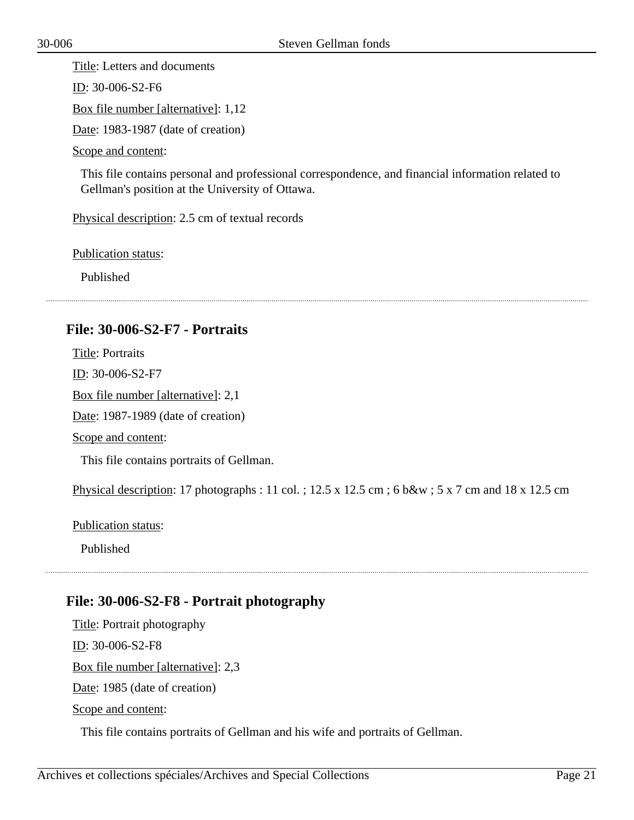Title: Letters and documents

ID: 30-006-S2-F6

Box file number [alternative]: 1,12

Date: 1983-1987 (date of creation)

Scope and content:

This file contains personal and professional correspondence, and financial information related to Gellman's position at the University of Ottawa.

Physical description: 2.5 cm of textual records

Publication status:

Published

## <span id="page-20-0"></span>**File: 30-006-S2-F7 - Portraits**

Title: Portraits ID: 30-006-S2-F7 Box file number [alternative]: 2,1 Date: 1987-1989 (date of creation) Scope and content: This file contains portraits of Gellman.

Physical description: 17 photographs : 11 col. ; 12.5 x 12.5 cm ; 6 b&w ; 5 x 7 cm and 18 x 12.5 cm

Publication status:

Published

## <span id="page-20-1"></span>**File: 30-006-S2-F8 - Portrait photography**

Title: Portrait photography ID: 30-006-S2-F8 Box file number [alternative]: 2,3 Date: 1985 (date of creation) Scope and content:

This file contains portraits of Gellman and his wife and portraits of Gellman.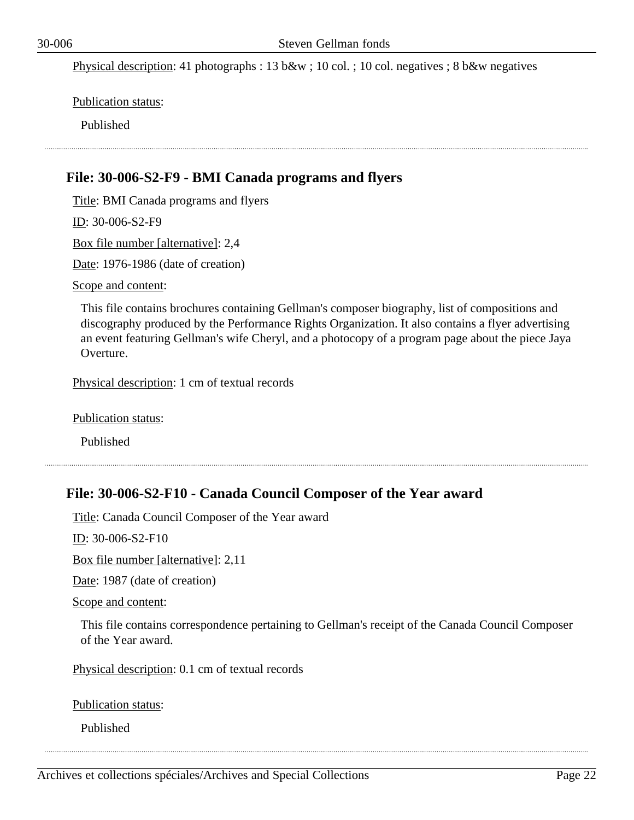Physical description: 41 photographs : 13 b&w ; 10 col. ; 10 col. negatives ; 8 b&w negatives

Publication status:

Published

#### <span id="page-21-0"></span>**File: 30-006-S2-F9 - BMI Canada programs and flyers**

Title: BMI Canada programs and flyers ID: 30-006-S2-F9 Box file number [alternative]: 2,4 Date: 1976-1986 (date of creation) Scope and content:

This file contains brochures containing Gellman's composer biography, list of compositions and discography produced by the Performance Rights Organization. It also contains a flyer advertising an event featuring Gellman's wife Cheryl, and a photocopy of a program page about the piece Jaya Overture.

Physical description: 1 cm of textual records

Publication status:

Published

## <span id="page-21-1"></span>**File: 30-006-S2-F10 - Canada Council Composer of the Year award**

Title: Canada Council Composer of the Year award

ID: 30-006-S2-F10

Box file number [alternative]: 2,11

Date: 1987 (date of creation)

Scope and content:

This file contains correspondence pertaining to Gellman's receipt of the Canada Council Composer of the Year award.

Physical description: 0.1 cm of textual records

Publication status:

Published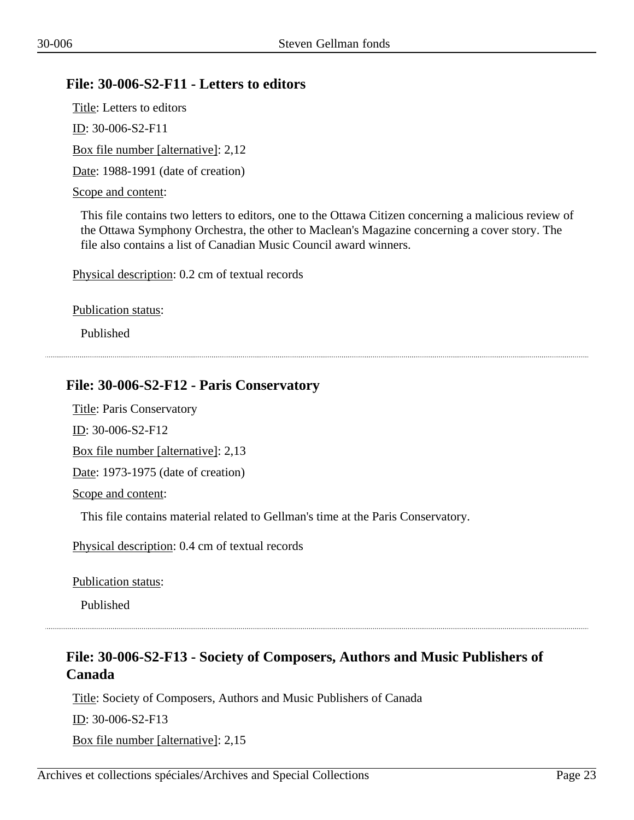## <span id="page-22-0"></span>**File: 30-006-S2-F11 - Letters to editors**

Title: Letters to editors ID: 30-006-S2-F11 Box file number [alternative]: 2,12 Date: 1988-1991 (date of creation) Scope and content:

This file contains two letters to editors, one to the Ottawa Citizen concerning a malicious review of the Ottawa Symphony Orchestra, the other to Maclean's Magazine concerning a cover story. The file also contains a list of Canadian Music Council award winners.

Physical description: 0.2 cm of textual records

Publication status:

Published

## <span id="page-22-1"></span>**File: 30-006-S2-F12 - Paris Conservatory**

Title: Paris Conservatory

ID: 30-006-S2-F12

Box file number [alternative]: 2,13

Date: 1973-1975 (date of creation)

Scope and content:

This file contains material related to Gellman's time at the Paris Conservatory.

Physical description: 0.4 cm of textual records

Publication status:

Published

## <span id="page-22-2"></span>**File: 30-006-S2-F13 - Society of Composers, Authors and Music Publishers of Canada**

Title: Society of Composers, Authors and Music Publishers of Canada ID: 30-006-S2-F13 Box file number [alternative]: 2,15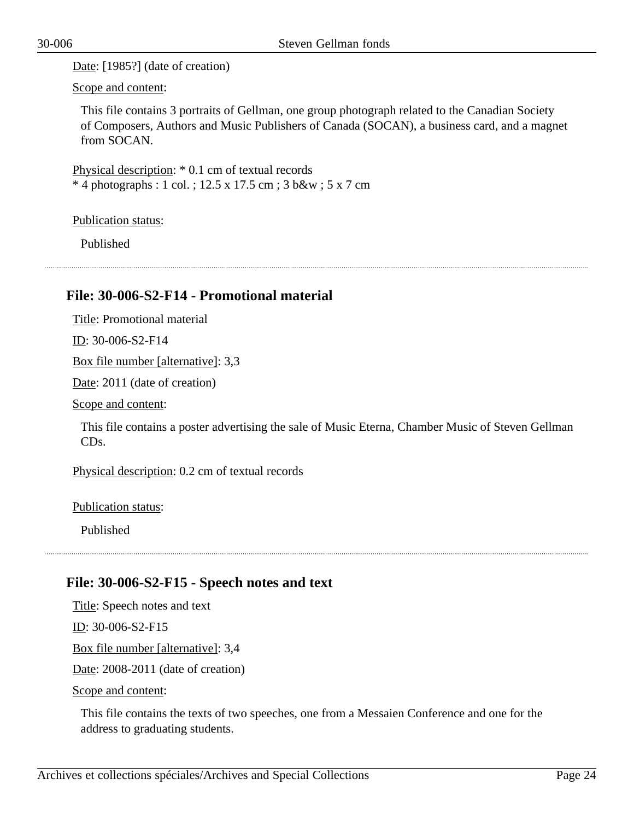Date: [1985?] (date of creation)

Scope and content:

This file contains 3 portraits of Gellman, one group photograph related to the Canadian Society of Composers, Authors and Music Publishers of Canada (SOCAN), a business card, and a magnet from SOCAN.

Physical description: \* 0.1 cm of textual records \* 4 photographs : 1 col. ; 12.5 x 17.5 cm ; 3 b&w ; 5 x 7 cm

Publication status:

Published

## <span id="page-23-0"></span>**File: 30-006-S2-F14 - Promotional material**

Title: Promotional material

ID: 30-006-S2-F14

Box file number [alternative]: 3,3

Date: 2011 (date of creation)

Scope and content:

This file contains a poster advertising the sale of Music Eterna, Chamber Music of Steven Gellman CDs.

Physical description: 0.2 cm of textual records

Publication status:

Published

## <span id="page-23-1"></span>**File: 30-006-S2-F15 - Speech notes and text**

Title: Speech notes and text ID: 30-006-S2-F15 Box file number [alternative]: 3,4 Date: 2008-2011 (date of creation)

Scope and content:

This file contains the texts of two speeches, one from a Messaien Conference and one for the address to graduating students.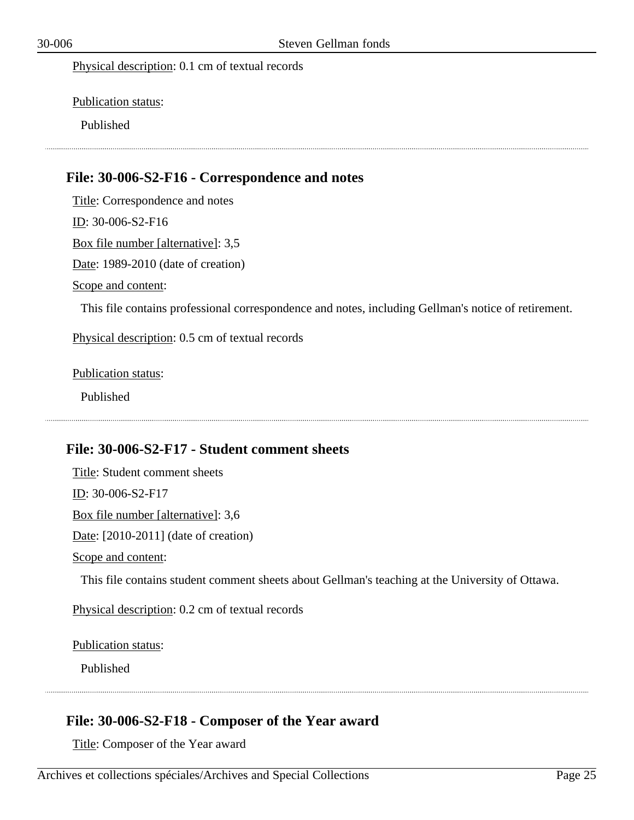Physical description: 0.1 cm of textual records

Publication status:

Published

#### <span id="page-24-0"></span>**File: 30-006-S2-F16 - Correspondence and notes**

Title: Correspondence and notes ID: 30-006-S2-F16 Box file number [alternative]: 3,5 Date: 1989-2010 (date of creation) Scope and content: This file contains professional correspondence and notes, including Gellman's notice of retirement. Physical description: 0.5 cm of textual records

Publication status:

Published

## <span id="page-24-1"></span>**File: 30-006-S2-F17 - Student comment sheets**

Title: Student comment sheets ID: 30-006-S2-F17 Box file number [alternative]: 3,6 Date: [2010-2011] (date of creation) Scope and content: This file contains student comment sheets about Gellman's teaching at the University of Ottawa.

Physical description: 0.2 cm of textual records

Publication status:

Published

#### <span id="page-24-2"></span>**File: 30-006-S2-F18 - Composer of the Year award**

Title: Composer of the Year award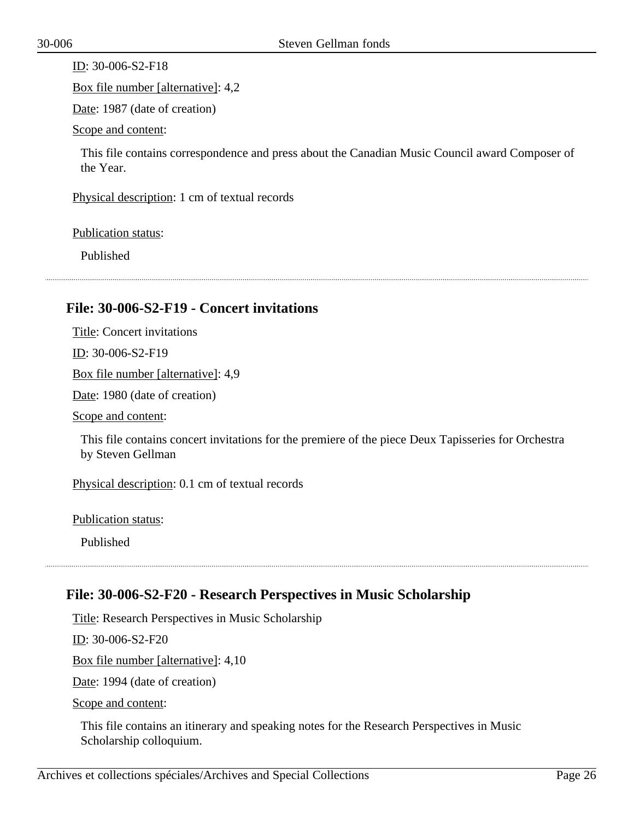$ID: 30-006-S2-F18$ 

Box file number [alternative]: 4,2

Date: 1987 (date of creation)

Scope and content:

This file contains correspondence and press about the Canadian Music Council award Composer of the Year.

Physical description: 1 cm of textual records

Publication status:

Published

#### <span id="page-25-0"></span>**File: 30-006-S2-F19 - Concert invitations**

Title: Concert invitations ID: 30-006-S2-F19

Box file number [alternative]: 4,9

Date: 1980 (date of creation)

Scope and content:

This file contains concert invitations for the premiere of the piece Deux Tapisseries for Orchestra by Steven Gellman

Physical description: 0.1 cm of textual records

Publication status:

Published

## <span id="page-25-1"></span>**File: 30-006-S2-F20 - Research Perspectives in Music Scholarship**

Title: Research Perspectives in Music Scholarship

ID: 30-006-S2-F20

Box file number [alternative]: 4,10

Date: 1994 (date of creation)

Scope and content:

This file contains an itinerary and speaking notes for the Research Perspectives in Music Scholarship colloquium.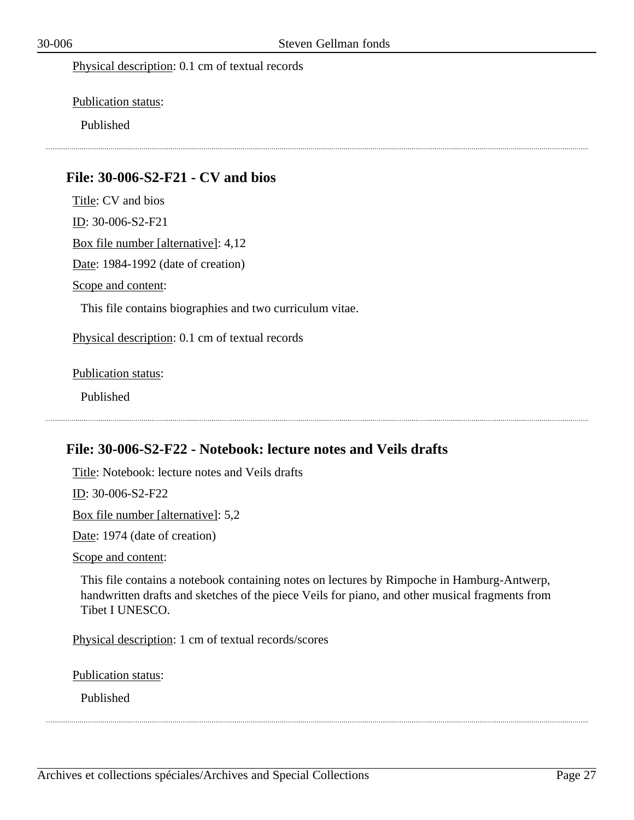Physical description: 0.1 cm of textual records

Publication status:

Published

#### <span id="page-26-0"></span>**File: 30-006-S2-F21 - CV and bios**

Title: CV and bios ID: 30-006-S2-F21 Box file number [alternative]: 4,12 Date: 1984-1992 (date of creation) Scope and content: This file contains biographies and two curriculum vitae. Physical description: 0.1 cm of textual records

Publication status:

Published

## <span id="page-26-1"></span>**File: 30-006-S2-F22 - Notebook: lecture notes and Veils drafts**

Title: Notebook: lecture notes and Veils drafts ID: 30-006-S2-F22 Box file number [alternative]: 5,2 Date: 1974 (date of creation) Scope and content:

This file contains a notebook containing notes on lectures by Rimpoche in Hamburg-Antwerp, handwritten drafts and sketches of the piece Veils for piano, and other musical fragments from Tibet I UNESCO.

Physical description: 1 cm of textual records/scores

Publication status:

Published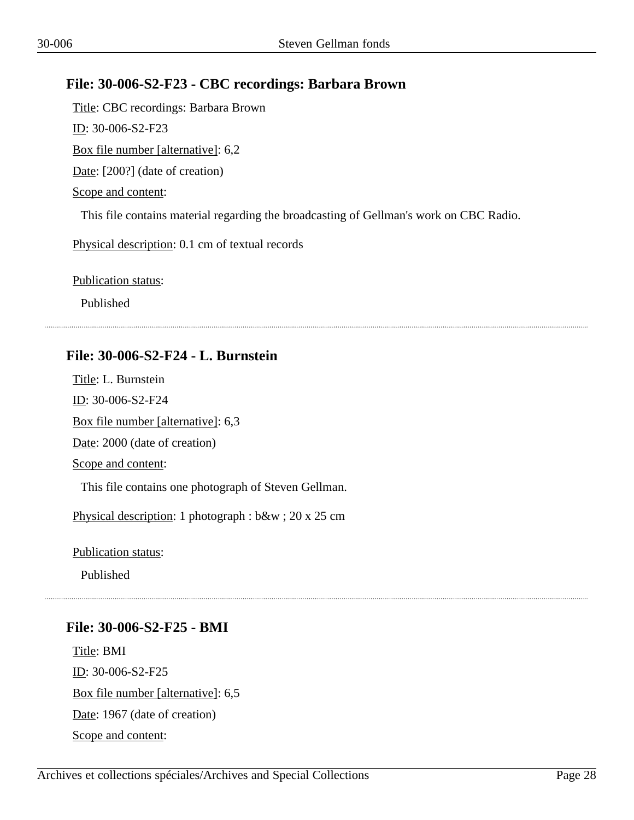## <span id="page-27-0"></span>**File: 30-006-S2-F23 - CBC recordings: Barbara Brown**

Title: CBC recordings: Barbara Brown ID: 30-006-S2-F23 Box file number [alternative]: 6,2 Date: [200?] (date of creation) Scope and content: This file contains material regarding the broadcasting of Gellman's work on CBC Radio. Physical description: 0.1 cm of textual records

Publication status:

Published

#### <span id="page-27-1"></span>**File: 30-006-S2-F24 - L. Burnstein**

Title: L. Burnstein ID: 30-006-S2-F24 Box file number [alternative]: 6,3 Date: 2000 (date of creation) Scope and content: This file contains one photograph of Steven Gellman. Physical description: 1 photograph : b&w ; 20 x 25 cm

Publication status:

Published

#### <span id="page-27-2"></span>**File: 30-006-S2-F25 - BMI**

Title: BMI ID: 30-006-S2-F25 Box file number [alternative]: 6,5 Date: 1967 (date of creation) Scope and content: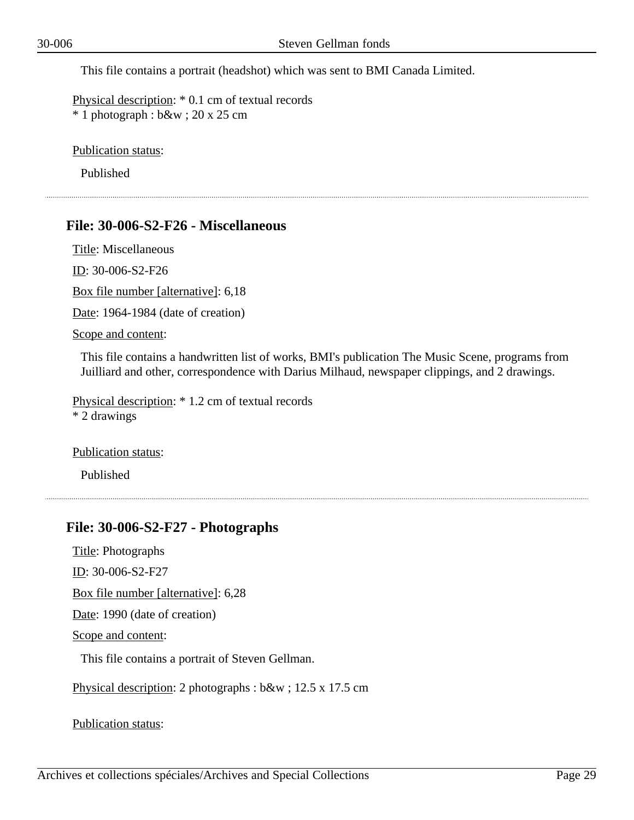This file contains a portrait (headshot) which was sent to BMI Canada Limited.

Physical description: \* 0.1 cm of textual records \* 1 photograph : b&w ; 20 x 25 cm

Publication status:

Published

#### <span id="page-28-0"></span>**File: 30-006-S2-F26 - Miscellaneous**

Title: Miscellaneous

ID: 30-006-S2-F26

Box file number [alternative]: 6,18

Date: 1964-1984 (date of creation)

Scope and content:

This file contains a handwritten list of works, BMI's publication The Music Scene, programs from Juilliard and other, correspondence with Darius Milhaud, newspaper clippings, and 2 drawings.

Physical description: \* 1.2 cm of textual records \* 2 drawings

Publication status:

Published

#### <span id="page-28-1"></span>**File: 30-006-S2-F27 - Photographs**

Title: Photographs

ID: 30-006-S2-F27

Box file number [alternative]: 6,28

Date: 1990 (date of creation)

Scope and content:

This file contains a portrait of Steven Gellman.

Physical description: 2 photographs : b&w ; 12.5 x 17.5 cm

Publication status: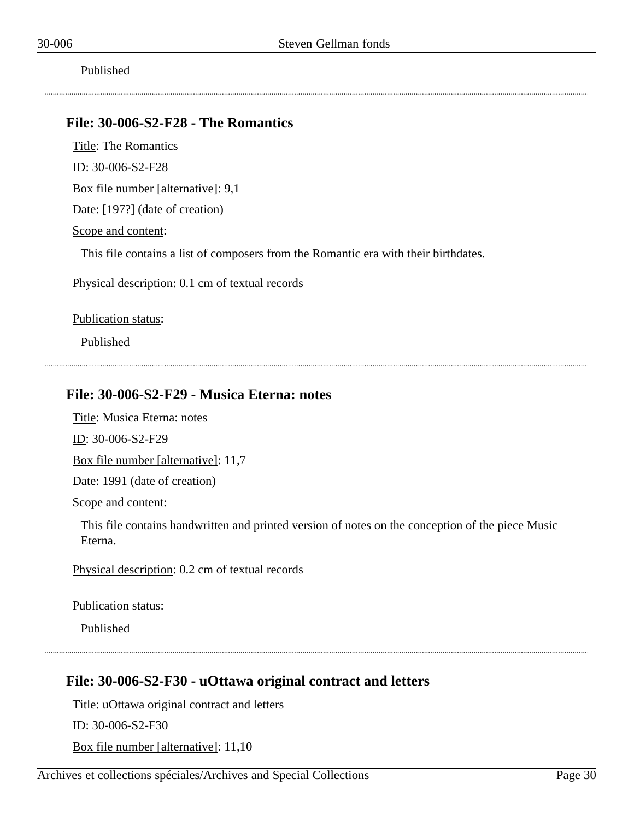Published

#### <span id="page-29-0"></span>**File: 30-006-S2-F28 - The Romantics**

Title: The Romantics ID: 30-006-S2-F28

Box file number [alternative]: 9,1

Date: [197?] (date of creation)

Scope and content:

This file contains a list of composers from the Romantic era with their birthdates.

Physical description: 0.1 cm of textual records

Publication status:

Published

## <span id="page-29-1"></span>**File: 30-006-S2-F29 - Musica Eterna: notes**

Title: Musica Eterna: notes

ID: 30-006-S2-F29

Box file number [alternative]: 11,7

Date: 1991 (date of creation)

Scope and content:

This file contains handwritten and printed version of notes on the conception of the piece Music Eterna.

Physical description: 0.2 cm of textual records

Publication status:

Published

## <span id="page-29-2"></span>**File: 30-006-S2-F30 - uOttawa original contract and letters**

Title: uOttawa original contract and letters

ID: 30-006-S2-F30

Box file number [alternative]: 11,10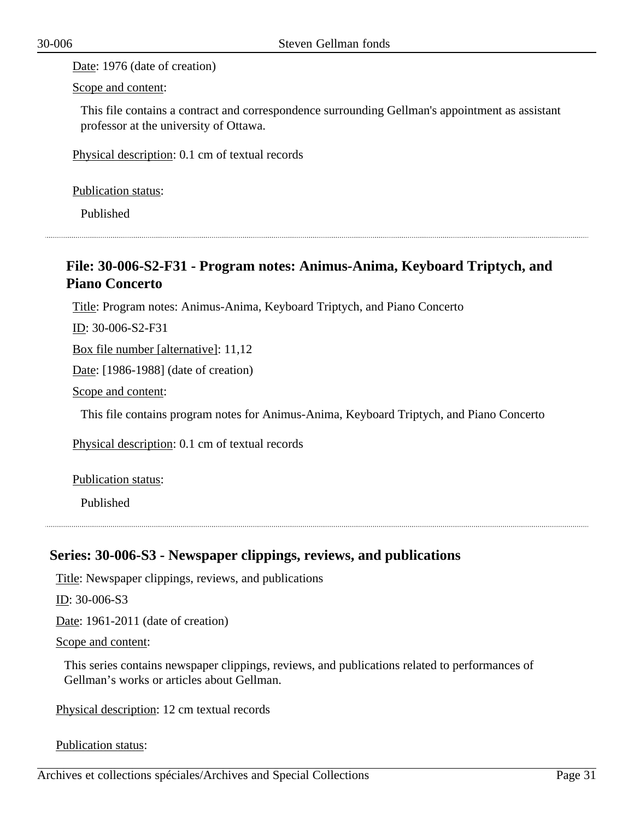Date: 1976 (date of creation)

Scope and content:

This file contains a contract and correspondence surrounding Gellman's appointment as assistant professor at the university of Ottawa.

Physical description: 0.1 cm of textual records

Publication status:

Published

## <span id="page-30-0"></span>**File: 30-006-S2-F31 - Program notes: Animus-Anima, Keyboard Triptych, and Piano Concerto**

Title: Program notes: Animus-Anima, Keyboard Triptych, and Piano Concerto

ID: 30-006-S2-F31

Box file number [alternative]: 11,12

Date: [1986-1988] (date of creation)

Scope and content:

This file contains program notes for Animus-Anima, Keyboard Triptych, and Piano Concerto

Physical description: 0.1 cm of textual records

Publication status:

Published

## <span id="page-30-1"></span>**Series: 30-006-S3 - Newspaper clippings, reviews, and publications**

Title: Newspaper clippings, reviews, and publications

ID: 30-006-S3

Date: 1961-2011 (date of creation)

Scope and content:

This series contains newspaper clippings, reviews, and publications related to performances of Gellman's works or articles about Gellman.

Physical description: 12 cm textual records

Publication status: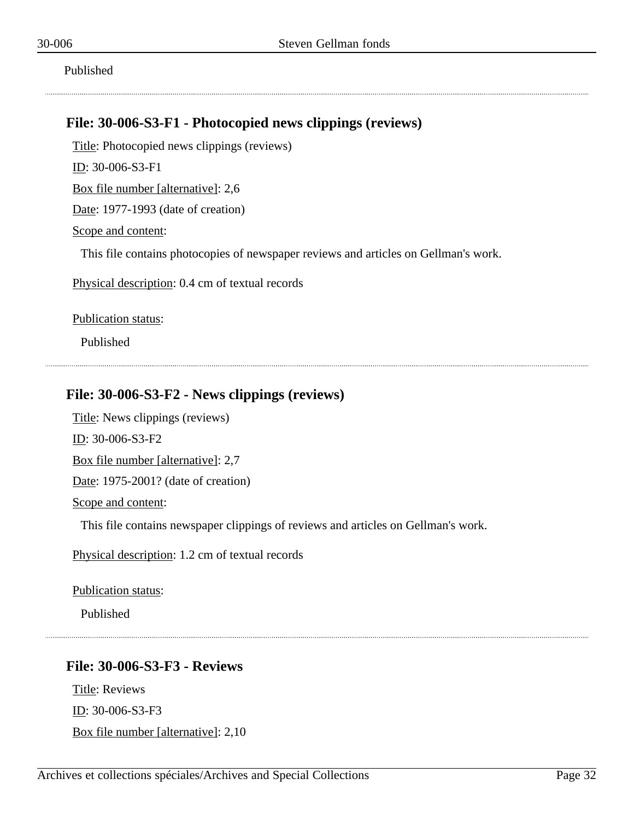Published

#### <span id="page-31-0"></span>**File: 30-006-S3-F1 - Photocopied news clippings (reviews)**

Title: Photocopied news clippings (reviews)

ID: 30-006-S3-F1

Box file number [alternative]: 2,6

Date: 1977-1993 (date of creation)

Scope and content:

This file contains photocopies of newspaper reviews and articles on Gellman's work.

Physical description: 0.4 cm of textual records

Publication status:

Published

## <span id="page-31-1"></span>**File: 30-006-S3-F2 - News clippings (reviews)**

Title: News clippings (reviews) ID: 30-006-S3-F2 Box file number [alternative]: 2,7 Date: 1975-2001? (date of creation)

Scope and content:

This file contains newspaper clippings of reviews and articles on Gellman's work.

Physical description: 1.2 cm of textual records

Publication status:

Published

## <span id="page-31-2"></span>**File: 30-006-S3-F3 - Reviews**

Title: Reviews ID: 30-006-S3-F3 Box file number [alternative]: 2,10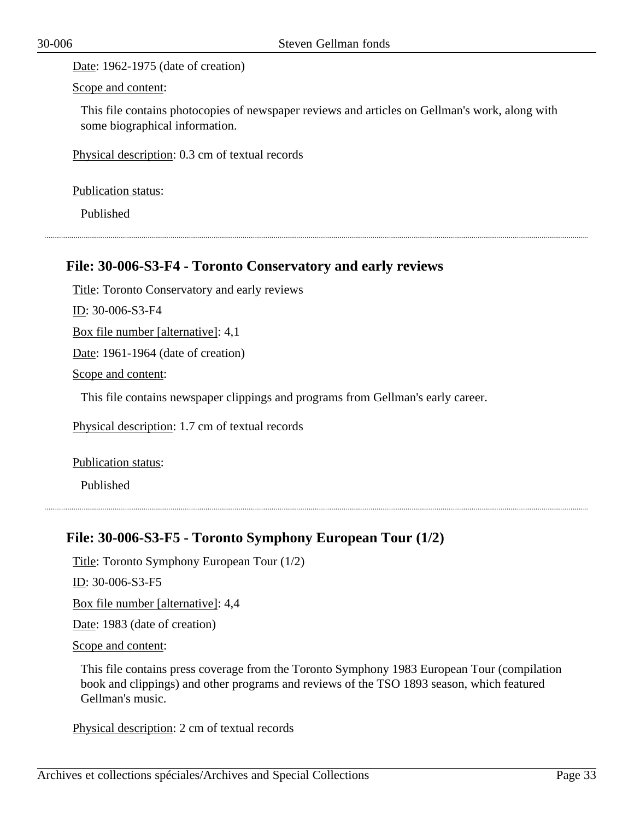Date: 1962-1975 (date of creation)

Scope and content:

This file contains photocopies of newspaper reviews and articles on Gellman's work, along with some biographical information.

Physical description: 0.3 cm of textual records

Publication status:

Published

#### <span id="page-32-0"></span>**File: 30-006-S3-F4 - Toronto Conservatory and early reviews**

Title: Toronto Conservatory and early reviews

ID: 30-006-S3-F4

Box file number [alternative]: 4,1

Date: 1961-1964 (date of creation)

Scope and content:

This file contains newspaper clippings and programs from Gellman's early career.

Physical description: 1.7 cm of textual records

Publication status:

Published

#### <span id="page-32-1"></span>**File: 30-006-S3-F5 - Toronto Symphony European Tour (1/2)**

Title: Toronto Symphony European Tour (1/2)

ID: 30-006-S3-F5

Box file number [alternative]: 4,4

Date: 1983 (date of creation)

Scope and content:

This file contains press coverage from the Toronto Symphony 1983 European Tour (compilation book and clippings) and other programs and reviews of the TSO 1893 season, which featured Gellman's music.

Physical description: 2 cm of textual records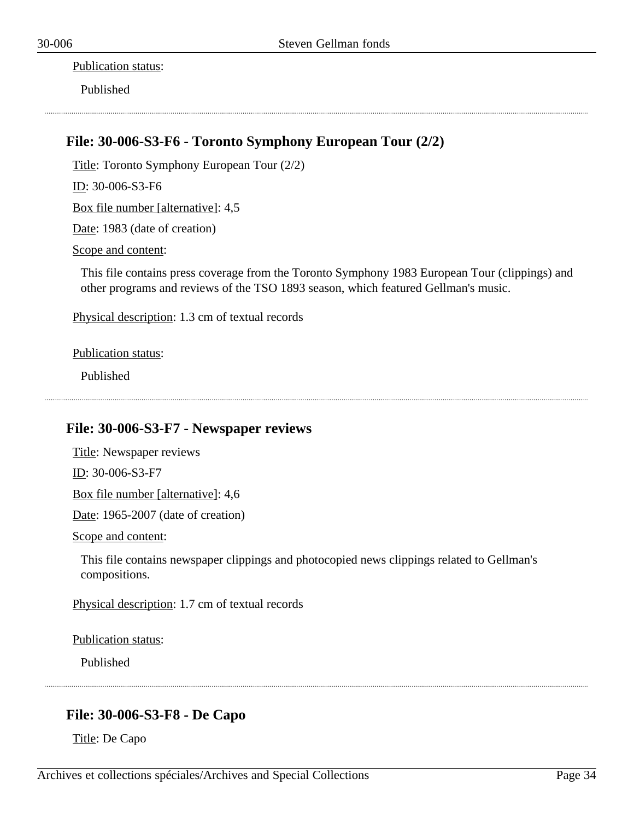Publication status:

Published

## <span id="page-33-0"></span>**File: 30-006-S3-F6 - Toronto Symphony European Tour (2/2)**

Title: Toronto Symphony European Tour (2/2)

ID: 30-006-S3-F6

Box file number [alternative]: 4,5

Date: 1983 (date of creation)

Scope and content:

This file contains press coverage from the Toronto Symphony 1983 European Tour (clippings) and other programs and reviews of the TSO 1893 season, which featured Gellman's music.

Physical description: 1.3 cm of textual records

Publication status:

Published

## <span id="page-33-1"></span>**File: 30-006-S3-F7 - Newspaper reviews**

Title: Newspaper reviews ID: 30-006-S3-F7

Box file number [alternative]: 4,6

Date: 1965-2007 (date of creation)

Scope and content:

This file contains newspaper clippings and photocopied news clippings related to Gellman's compositions.

Physical description: 1.7 cm of textual records

Publication status:

Published

## <span id="page-33-2"></span>**File: 30-006-S3-F8 - De Capo**

Title: De Capo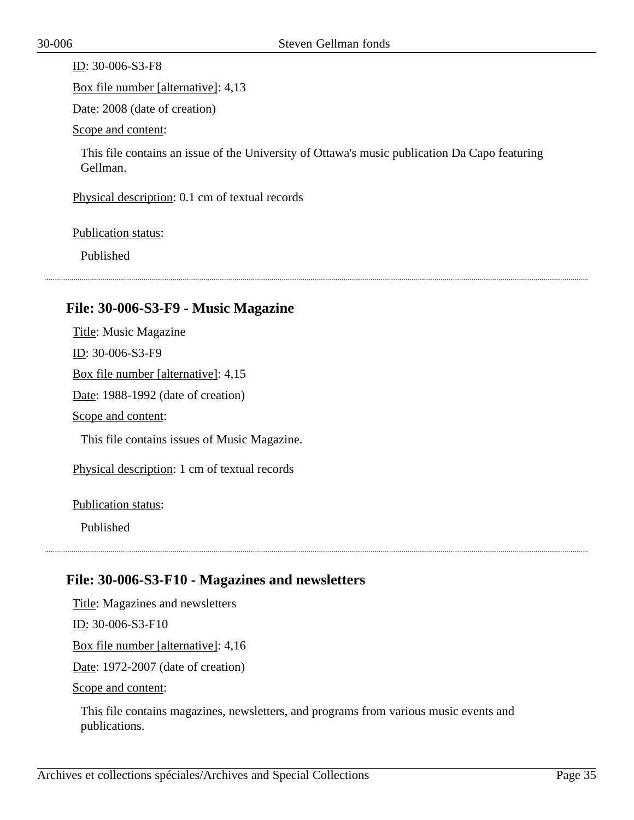ID: 30-006-S3-F8

Box file number [alternative]: 4,13

Date: 2008 (date of creation)

Scope and content:

This file contains an issue of the University of Ottawa's music publication Da Capo featuring Gellman.

Physical description: 0.1 cm of textual records

Publication status:

Published

#### <span id="page-34-0"></span>**File: 30-006-S3-F9 - Music Magazine**

Title: Music Magazine ID: 30-006-S3-F9 Box file number [alternative]: 4,15 Date: 1988-1992 (date of creation) Scope and content: This file contains issues of Music Magazine.

Physical description: 1 cm of textual records

Publication status:

Published

## <span id="page-34-1"></span>**File: 30-006-S3-F10 - Magazines and newsletters**

Title: Magazines and newsletters

ID: 30-006-S3-F10

Box file number [alternative]: 4,16

Date: 1972-2007 (date of creation)

Scope and content:

This file contains magazines, newsletters, and programs from various music events and publications.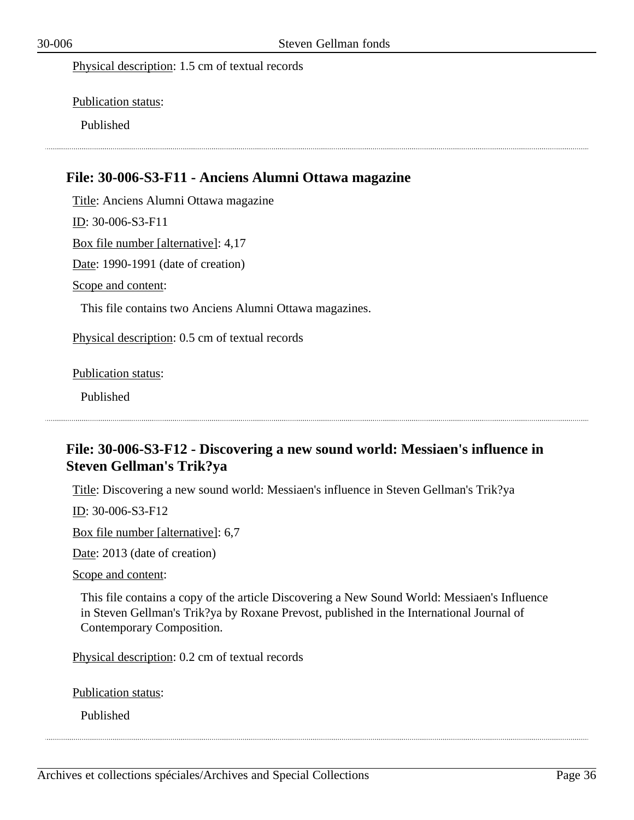Physical description: 1.5 cm of textual records

Publication status:

Published

#### <span id="page-35-0"></span>**File: 30-006-S3-F11 - Anciens Alumni Ottawa magazine**

Title: Anciens Alumni Ottawa magazine

ID: 30-006-S3-F11

Box file number [alternative]: 4,17

Date: 1990-1991 (date of creation)

Scope and content:

This file contains two Anciens Alumni Ottawa magazines.

Physical description: 0.5 cm of textual records

Publication status:

Published

## <span id="page-35-1"></span>**File: 30-006-S3-F12 - Discovering a new sound world: Messiaen's influence in Steven Gellman's Trik?ya**

Title: Discovering a new sound world: Messiaen's influence in Steven Gellman's Trik?ya

ID: 30-006-S3-F12

Box file number [alternative]: 6,7

Date: 2013 (date of creation)

Scope and content:

This file contains a copy of the article Discovering a New Sound World: Messiaen's Influence in Steven Gellman's Trik?ya by Roxane Prevost, published in the International Journal of Contemporary Composition.

Physical description: 0.2 cm of textual records

Publication status:

Published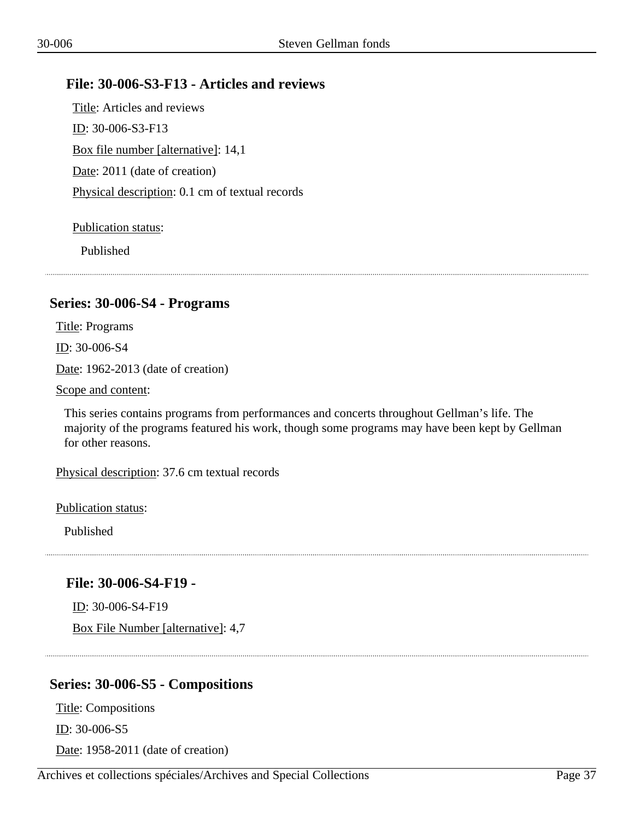# **File: 30-006-S3-F13 - Articles and reviews**

Title: Articles and reviews ID: 30-006-S3-F13 Box file number [alternative]: 14,1 Date: 2011 (date of creation) Physical description: 0.1 cm of textual records

## Publication status:

Published

# **Series: 30-006-S4 - Programs**

Title: Programs

ID: 30-006-S4

Date: 1962-2013 (date of creation)

Scope and content:

This series contains programs from performances and concerts throughout Gellman's life. The majority of the programs featured his work, though some programs may have been kept by Gellman for other reasons.

Physical description: 37.6 cm textual records

Publication status:

Published

# **File: 30-006-S4-F19 -**

ID: 30-006-S4-F19

Box File Number [alternative]: 4,7

# **Series: 30-006-S5 - Compositions**

Title: Compositions ID: 30-006-S5 Date: 1958-2011 (date of creation)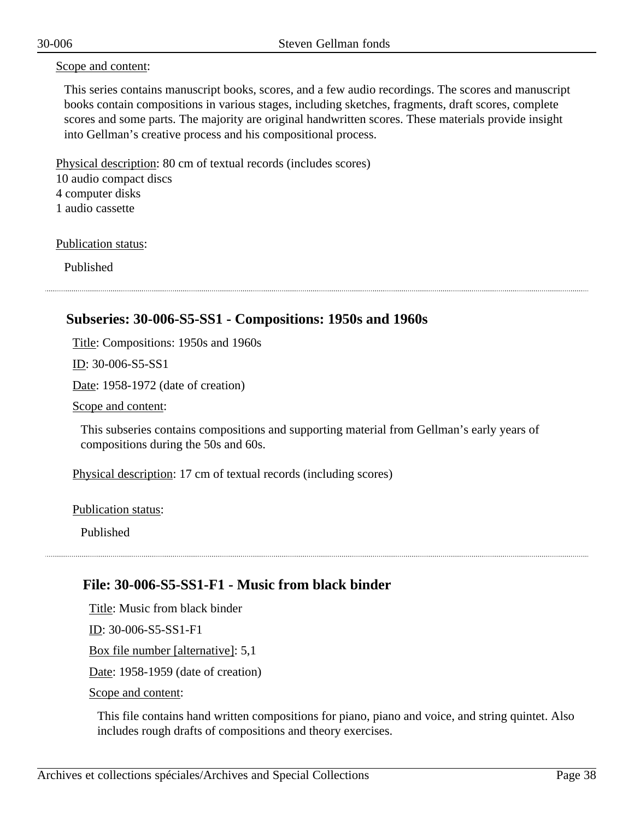#### Scope and content:

This series contains manuscript books, scores, and a few audio recordings. The scores and manuscript books contain compositions in various stages, including sketches, fragments, draft scores, complete scores and some parts. The majority are original handwritten scores. These materials provide insight into Gellman's creative process and his compositional process.

Physical description: 80 cm of textual records (includes scores) 10 audio compact discs 4 computer disks 1 audio cassette

Publication status:

Published

## **Subseries: 30-006-S5-SS1 - Compositions: 1950s and 1960s**

Title: Compositions: 1950s and 1960s

ID: 30-006-S5-SS1

Date: 1958-1972 (date of creation)

Scope and content:

This subseries contains compositions and supporting material from Gellman's early years of compositions during the 50s and 60s.

Physical description: 17 cm of textual records (including scores)

Publication status:

Published

### **File: 30-006-S5-SS1-F1 - Music from black binder**

Title: Music from black binder ID: 30-006-S5-SS1-F1 Box file number [alternative]: 5,1

Date: 1958-1959 (date of creation)

Scope and content:

This file contains hand written compositions for piano, piano and voice, and string quintet. Also includes rough drafts of compositions and theory exercises.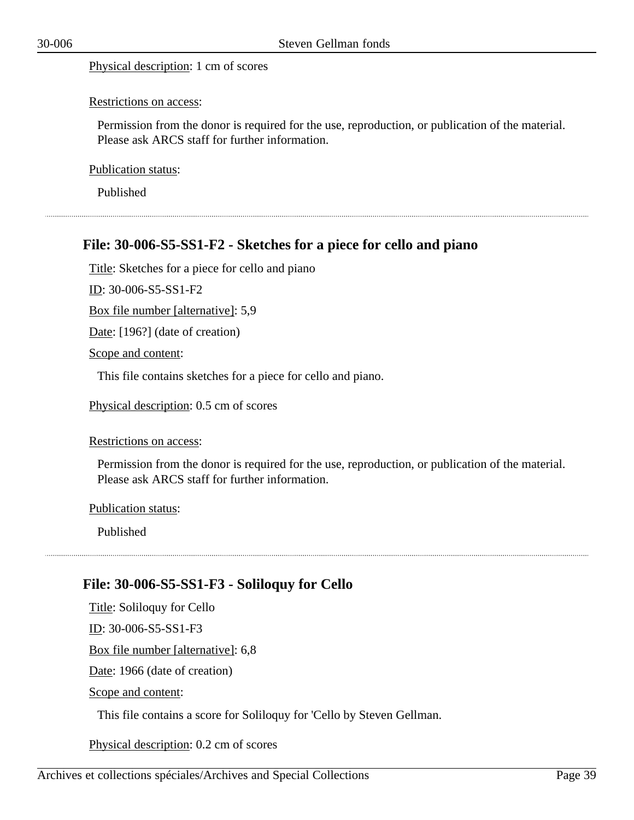Physical description: 1 cm of scores

#### Restrictions on access:

Permission from the donor is required for the use, reproduction, or publication of the material. Please ask ARCS staff for further information.

Publication status:

Published

### **File: 30-006-S5-SS1-F2 - Sketches for a piece for cello and piano**

Title: Sketches for a piece for cello and piano

ID: 30-006-S5-SS1-F2

Box file number [alternative]: 5,9

Date: [196?] (date of creation)

Scope and content:

This file contains sketches for a piece for cello and piano.

Physical description: 0.5 cm of scores

#### Restrictions on access:

Permission from the donor is required for the use, reproduction, or publication of the material. Please ask ARCS staff for further information.

Publication status:

Published

### **File: 30-006-S5-SS1-F3 - Soliloquy for Cello**

Title: Soliloquy for Cello ID: 30-006-S5-SS1-F3 Box file number [alternative]: 6,8 Date: 1966 (date of creation) Scope and content: This file contains a score for Soliloquy for 'Cello by Steven Gellman.

Physical description: 0.2 cm of scores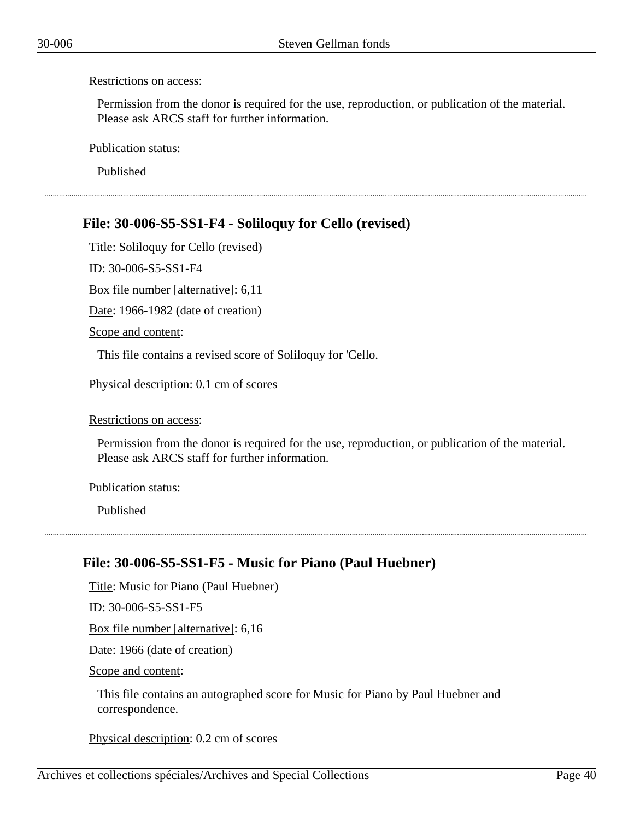Permission from the donor is required for the use, reproduction, or publication of the material. Please ask ARCS staff for further information.

Publication status:

Published

# **File: 30-006-S5-SS1-F4 - Soliloquy for Cello (revised)**

Title: Soliloquy for Cello (revised)

ID: 30-006-S5-SS1-F4

Box file number [alternative]: 6,11

Date: 1966-1982 (date of creation)

Scope and content:

This file contains a revised score of Soliloquy for 'Cello.

Physical description: 0.1 cm of scores

#### Restrictions on access:

Permission from the donor is required for the use, reproduction, or publication of the material. Please ask ARCS staff for further information.

#### Publication status:

Published

### **File: 30-006-S5-SS1-F5 - Music for Piano (Paul Huebner)**

Title: Music for Piano (Paul Huebner)

ID: 30-006-S5-SS1-F5

Box file number [alternative]: 6,16

Date: 1966 (date of creation)

Scope and content:

This file contains an autographed score for Music for Piano by Paul Huebner and correspondence.

Physical description: 0.2 cm of scores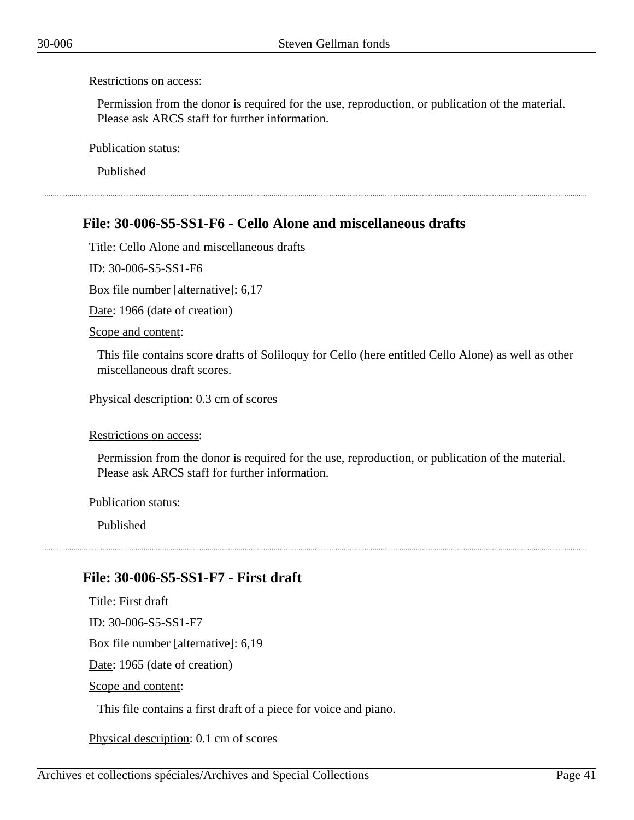Permission from the donor is required for the use, reproduction, or publication of the material. Please ask ARCS staff for further information.

Publication status:

Published

# **File: 30-006-S5-SS1-F6 - Cello Alone and miscellaneous drafts**

Title: Cello Alone and miscellaneous drafts

ID: 30-006-S5-SS1-F6

Box file number [alternative]: 6,17

Date: 1966 (date of creation)

Scope and content:

This file contains score drafts of Soliloquy for Cello (here entitled Cello Alone) as well as other miscellaneous draft scores.

Physical description: 0.3 cm of scores

Restrictions on access:

Permission from the donor is required for the use, reproduction, or publication of the material. Please ask ARCS staff for further information.

Publication status:

Published

### **File: 30-006-S5-SS1-F7 - First draft**

Title: First draft ID: 30-006-S5-SS1-F7 Box file number [alternative]: 6,19 Date: 1965 (date of creation) Scope and content:

This file contains a first draft of a piece for voice and piano.

Physical description: 0.1 cm of scores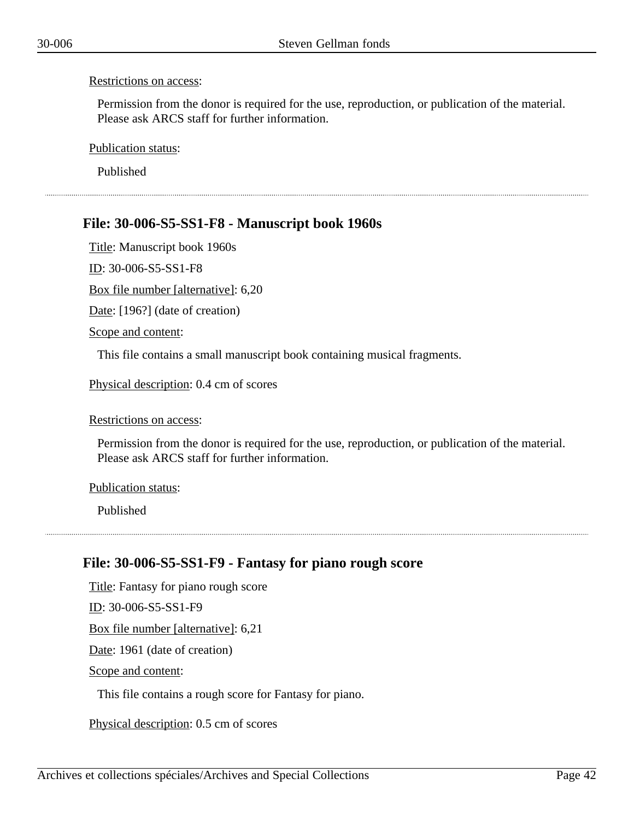Permission from the donor is required for the use, reproduction, or publication of the material. Please ask ARCS staff for further information.

Publication status:

Published

# **File: 30-006-S5-SS1-F8 - Manuscript book 1960s**

Title: Manuscript book 1960s

ID: 30-006-S5-SS1-F8

Box file number [alternative]: 6,20

Date: [196?] (date of creation)

Scope and content:

This file contains a small manuscript book containing musical fragments.

Physical description: 0.4 cm of scores

#### Restrictions on access:

Permission from the donor is required for the use, reproduction, or publication of the material. Please ask ARCS staff for further information.

#### Publication status:

Published

### **File: 30-006-S5-SS1-F9 - Fantasy for piano rough score**

Title: Fantasy for piano rough score ID: 30-006-S5-SS1-F9 Box file number [alternative]: 6,21 Date: 1961 (date of creation) Scope and content: This file contains a rough score for Fantasy for piano.

Physical description: 0.5 cm of scores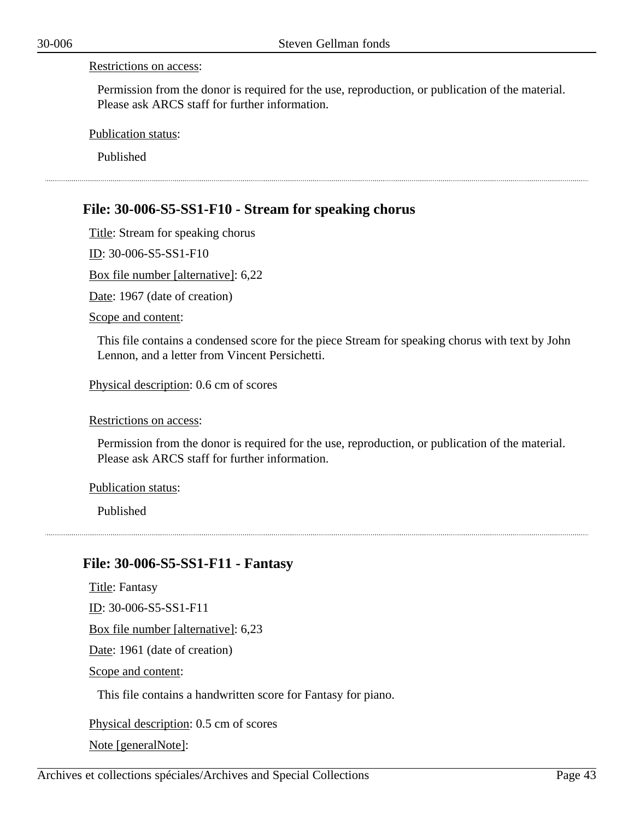Permission from the donor is required for the use, reproduction, or publication of the material. Please ask ARCS staff for further information.

Publication status:

Published

## **File: 30-006-S5-SS1-F10 - Stream for speaking chorus**

Title: Stream for speaking chorus

ID: 30-006-S5-SS1-F10

Box file number [alternative]: 6,22

Date: 1967 (date of creation)

Scope and content:

This file contains a condensed score for the piece Stream for speaking chorus with text by John Lennon, and a letter from Vincent Persichetti.

Physical description: 0.6 cm of scores

Restrictions on access:

Permission from the donor is required for the use, reproduction, or publication of the material. Please ask ARCS staff for further information.

#### Publication status:

Published

### **File: 30-006-S5-SS1-F11 - Fantasy**

Title: Fantasy ID: 30-006-S5-SS1-F11 Box file number [alternative]: 6,23 Date: 1961 (date of creation) Scope and content: This file contains a handwritten score for Fantasy for piano.

Physical description: 0.5 cm of scores Note [generalNote]: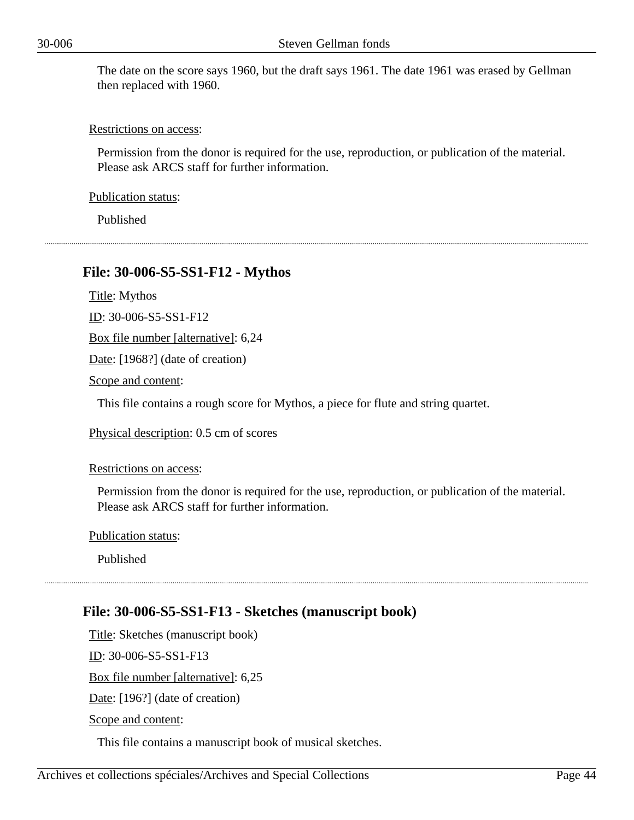The date on the score says 1960, but the draft says 1961. The date 1961 was erased by Gellman then replaced with 1960.

#### Restrictions on access:

Permission from the donor is required for the use, reproduction, or publication of the material. Please ask ARCS staff for further information.

Publication status:

Published

### **File: 30-006-S5-SS1-F12 - Mythos**

Title: Mythos

ID: 30-006-S5-SS1-F12

Box file number [alternative]: 6,24

Date: [1968?] (date of creation)

Scope and content:

This file contains a rough score for Mythos, a piece for flute and string quartet.

Physical description: 0.5 cm of scores

Restrictions on access:

Permission from the donor is required for the use, reproduction, or publication of the material. Please ask ARCS staff for further information.

Publication status:

Published

# **File: 30-006-S5-SS1-F13 - Sketches (manuscript book)**

Title: Sketches (manuscript book) ID: 30-006-S5-SS1-F13 Box file number [alternative]: 6,25 Date: [196?] (date of creation) Scope and content:

This file contains a manuscript book of musical sketches.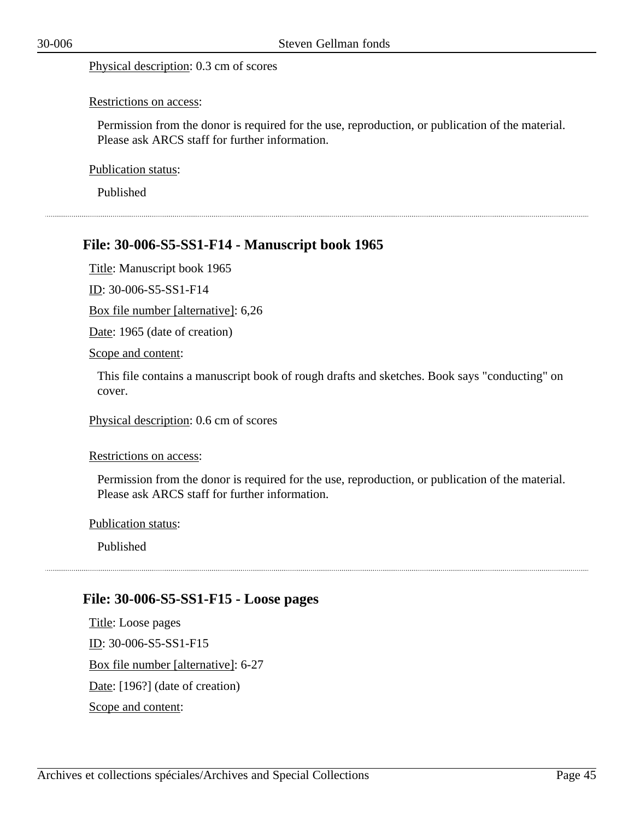#### Physical description: 0.3 cm of scores

#### Restrictions on access:

Permission from the donor is required for the use, reproduction, or publication of the material. Please ask ARCS staff for further information.

Publication status:

Published

### **File: 30-006-S5-SS1-F14 - Manuscript book 1965**

Title: Manuscript book 1965

ID: 30-006-S5-SS1-F14

Box file number [alternative]: 6,26

Date: 1965 (date of creation)

Scope and content:

This file contains a manuscript book of rough drafts and sketches. Book says "conducting" on cover.

Physical description: 0.6 cm of scores

Restrictions on access:

Permission from the donor is required for the use, reproduction, or publication of the material. Please ask ARCS staff for further information.

Publication status:

Published

### **File: 30-006-S5-SS1-F15 - Loose pages**

Title: Loose pages ID: 30-006-S5-SS1-F15 Box file number [alternative]: 6-27 Date: [196?] (date of creation) Scope and content: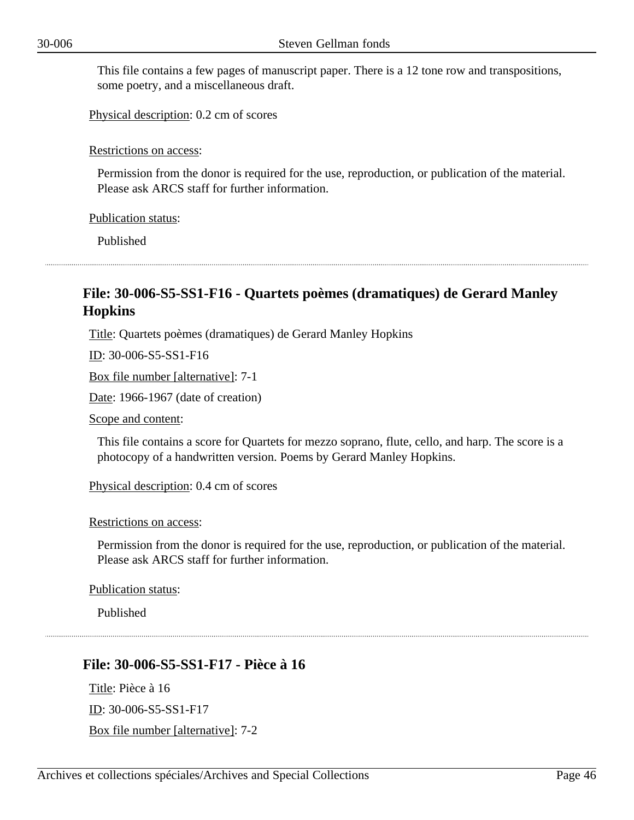This file contains a few pages of manuscript paper. There is a 12 tone row and transpositions, some poetry, and a miscellaneous draft.

Physical description: 0.2 cm of scores

#### Restrictions on access:

Permission from the donor is required for the use, reproduction, or publication of the material. Please ask ARCS staff for further information.

Publication status:

Published

### **File: 30-006-S5-SS1-F16 - Quartets poèmes (dramatiques) de Gerard Manley Hopkins**

Title: Quartets poèmes (dramatiques) de Gerard Manley Hopkins

ID: 30-006-S5-SS1-F16

Box file number [alternative]: 7-1

Date: 1966-1967 (date of creation)

Scope and content:

This file contains a score for Quartets for mezzo soprano, flute, cello, and harp. The score is a photocopy of a handwritten version. Poems by Gerard Manley Hopkins.

Physical description: 0.4 cm of scores

#### Restrictions on access:

Permission from the donor is required for the use, reproduction, or publication of the material. Please ask ARCS staff for further information.

Publication status:

Published

### **File: 30-006-S5-SS1-F17 - Pièce à 16**

Title: Pièce à 16 ID: 30-006-S5-SS1-F17 Box file number [alternative]: 7-2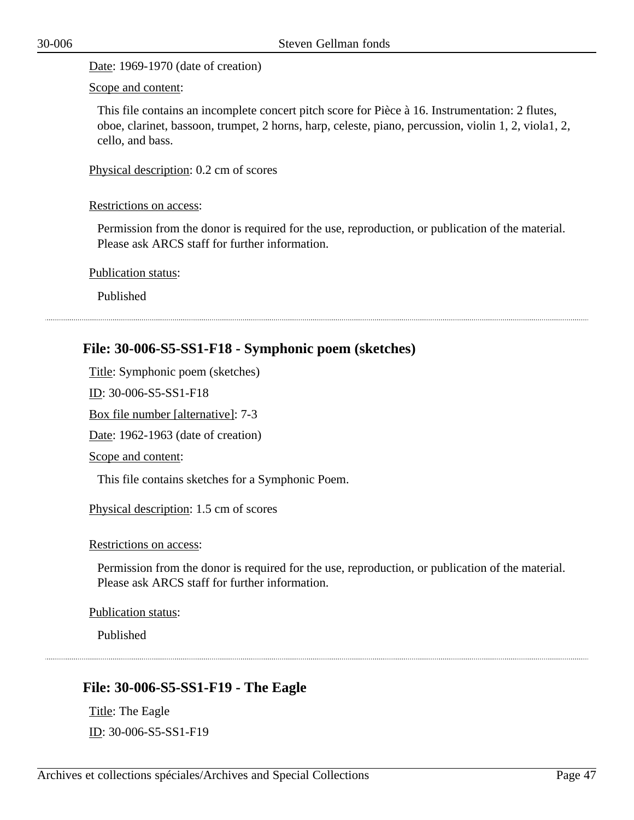Date: 1969-1970 (date of creation)

Scope and content:

This file contains an incomplete concert pitch score for Pièce à 16. Instrumentation: 2 flutes, oboe, clarinet, bassoon, trumpet, 2 horns, harp, celeste, piano, percussion, violin 1, 2, viola1, 2, cello, and bass.

Physical description: 0.2 cm of scores

#### Restrictions on access:

Permission from the donor is required for the use, reproduction, or publication of the material. Please ask ARCS staff for further information.

Publication status:

Published

### **File: 30-006-S5-SS1-F18 - Symphonic poem (sketches)**

Title: Symphonic poem (sketches) ID: 30-006-S5-SS1-F18

Box file number [alternative]: 7-3

Date: 1962-1963 (date of creation)

Scope and content:

This file contains sketches for a Symphonic Poem.

Physical description: 1.5 cm of scores

Restrictions on access:

Permission from the donor is required for the use, reproduction, or publication of the material. Please ask ARCS staff for further information.

Publication status:

Published

# **File: 30-006-S5-SS1-F19 - The Eagle**

Title: The Eagle ID: 30-006-S5-SS1-F19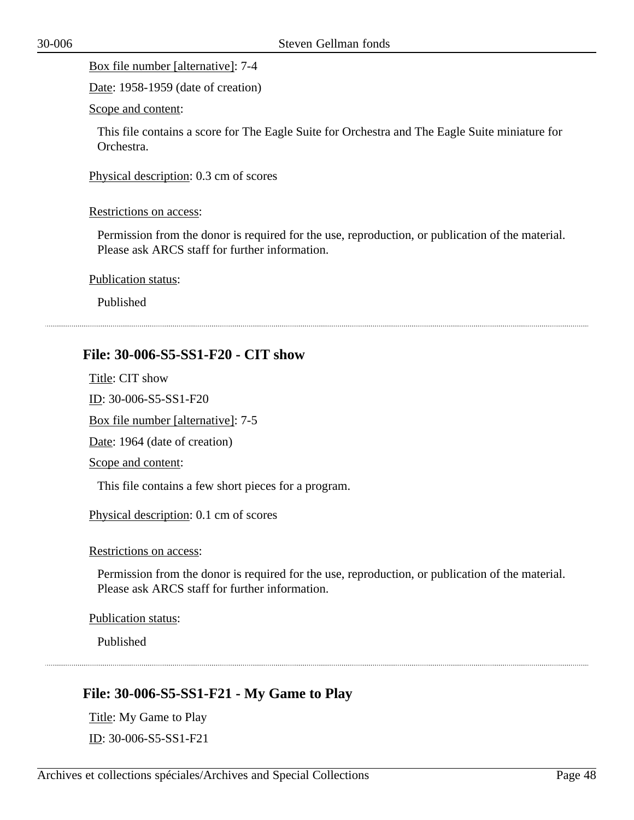Date: 1958-1959 (date of creation)

Scope and content:

This file contains a score for The Eagle Suite for Orchestra and The Eagle Suite miniature for Orchestra.

Physical description: 0.3 cm of scores

#### Restrictions on access:

Permission from the donor is required for the use, reproduction, or publication of the material. Please ask ARCS staff for further information.

Publication status:

Published

### **File: 30-006-S5-SS1-F20 - CIT show**

Title: CIT show ID: 30-006-S5-SS1-F20 Box file number [alternative]: 7-5 Date: 1964 (date of creation) Scope and content:

This file contains a few short pieces for a program.

Physical description: 0.1 cm of scores

Restrictions on access:

Permission from the donor is required for the use, reproduction, or publication of the material. Please ask ARCS staff for further information.

Publication status:

Published

# **File: 30-006-S5-SS1-F21 - My Game to Play**

Title: My Game to Play ID: 30-006-S5-SS1-F21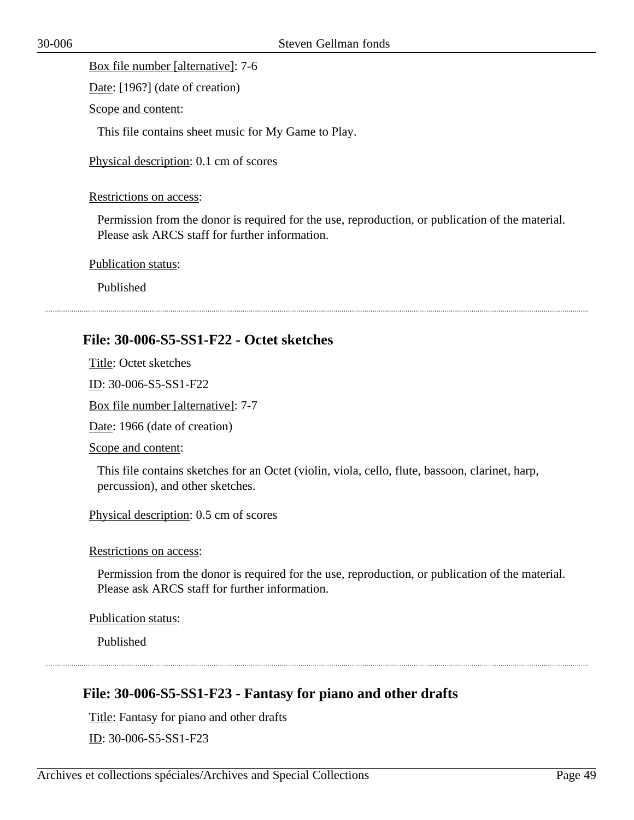Date: [196?] (date of creation)

Scope and content:

This file contains sheet music for My Game to Play.

Physical description: 0.1 cm of scores

#### Restrictions on access:

Permission from the donor is required for the use, reproduction, or publication of the material. Please ask ARCS staff for further information.

Publication status:

Published

### **File: 30-006-S5-SS1-F22 - Octet sketches**

Title: Octet sketches

ID: 30-006-S5-SS1-F22

Box file number [alternative]: 7-7

Date: 1966 (date of creation)

Scope and content:

This file contains sketches for an Octet (violin, viola, cello, flute, bassoon, clarinet, harp, percussion), and other sketches.

Physical description: 0.5 cm of scores

Restrictions on access:

Permission from the donor is required for the use, reproduction, or publication of the material. Please ask ARCS staff for further information.

Publication status:

Published

# **File: 30-006-S5-SS1-F23 - Fantasy for piano and other drafts**

Title: Fantasy for piano and other drafts

ID: 30-006-S5-SS1-F23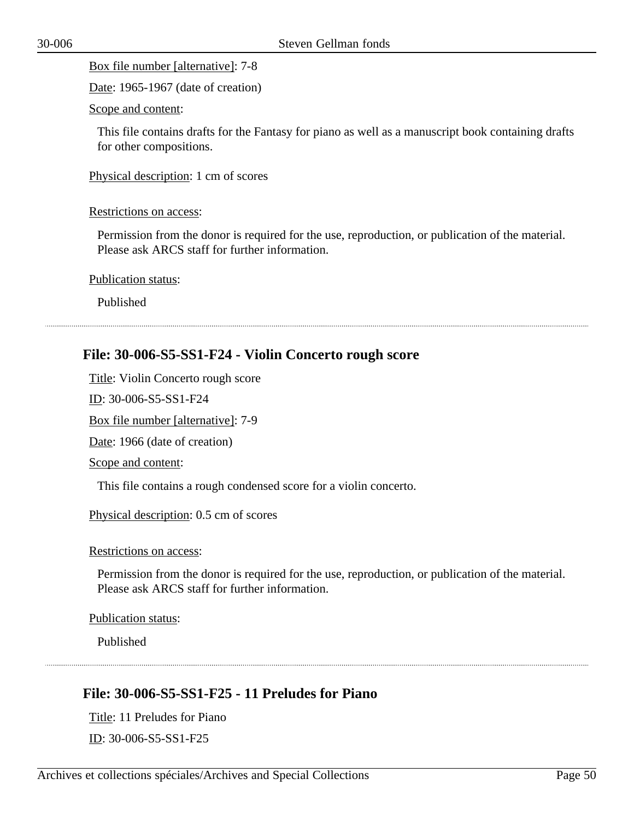Date: 1965-1967 (date of creation)

Scope and content:

This file contains drafts for the Fantasy for piano as well as a manuscript book containing drafts for other compositions.

Physical description: 1 cm of scores

#### Restrictions on access:

Permission from the donor is required for the use, reproduction, or publication of the material. Please ask ARCS staff for further information.

Publication status:

Published

### **File: 30-006-S5-SS1-F24 - Violin Concerto rough score**

Title: Violin Concerto rough score

ID: 30-006-S5-SS1-F24

Box file number [alternative]: 7-9

Date: 1966 (date of creation)

#### Scope and content:

This file contains a rough condensed score for a violin concerto.

Physical description: 0.5 cm of scores

Restrictions on access:

Permission from the donor is required for the use, reproduction, or publication of the material. Please ask ARCS staff for further information.

Publication status:

Published

### **File: 30-006-S5-SS1-F25 - 11 Preludes for Piano**

Title: 11 Preludes for Piano ID: 30-006-S5-SS1-F25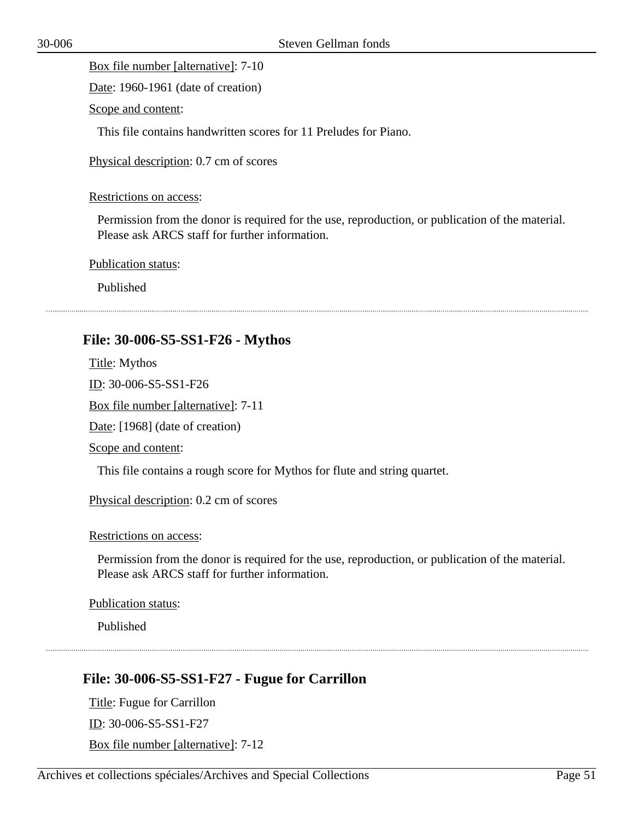Date: 1960-1961 (date of creation)

Scope and content:

This file contains handwritten scores for 11 Preludes for Piano.

Physical description: 0.7 cm of scores

#### Restrictions on access:

Permission from the donor is required for the use, reproduction, or publication of the material. Please ask ARCS staff for further information.

Publication status:

Published

### **File: 30-006-S5-SS1-F26 - Mythos**

Title: Mythos ID: 30-006-S5-SS1-F26 Box file number [alternative]: 7-11 Date: [1968] (date of creation) Scope and content:

This file contains a rough score for Mythos for flute and string quartet.

Physical description: 0.2 cm of scores

#### Restrictions on access:

Permission from the donor is required for the use, reproduction, or publication of the material. Please ask ARCS staff for further information.

Publication status:

Published

# **File: 30-006-S5-SS1-F27 - Fugue for Carrillon**

Title: Fugue for Carrillon ID: 30-006-S5-SS1-F27 Box file number [alternative]: 7-12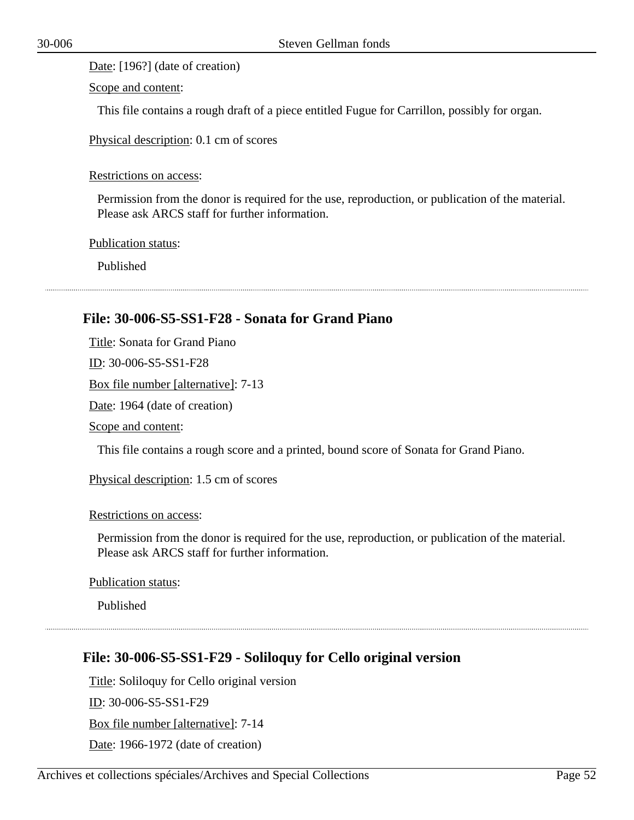Date: [196?] (date of creation)

Scope and content:

This file contains a rough draft of a piece entitled Fugue for Carrillon, possibly for organ.

Physical description: 0.1 cm of scores

Restrictions on access:

Permission from the donor is required for the use, reproduction, or publication of the material. Please ask ARCS staff for further information.

Publication status:

Published

### **File: 30-006-S5-SS1-F28 - Sonata for Grand Piano**

Title: Sonata for Grand Piano ID: 30-006-S5-SS1-F28 Box file number [alternative]: 7-13 Date: 1964 (date of creation) Scope and content:

This file contains a rough score and a printed, bound score of Sonata for Grand Piano.

Physical description: 1.5 cm of scores

Restrictions on access:

Permission from the donor is required for the use, reproduction, or publication of the material. Please ask ARCS staff for further information.

Publication status:

Published

### **File: 30-006-S5-SS1-F29 - Soliloquy for Cello original version**

Title: Soliloquy for Cello original version ID: 30-006-S5-SS1-F29 Box file number [alternative]: 7-14 Date: 1966-1972 (date of creation)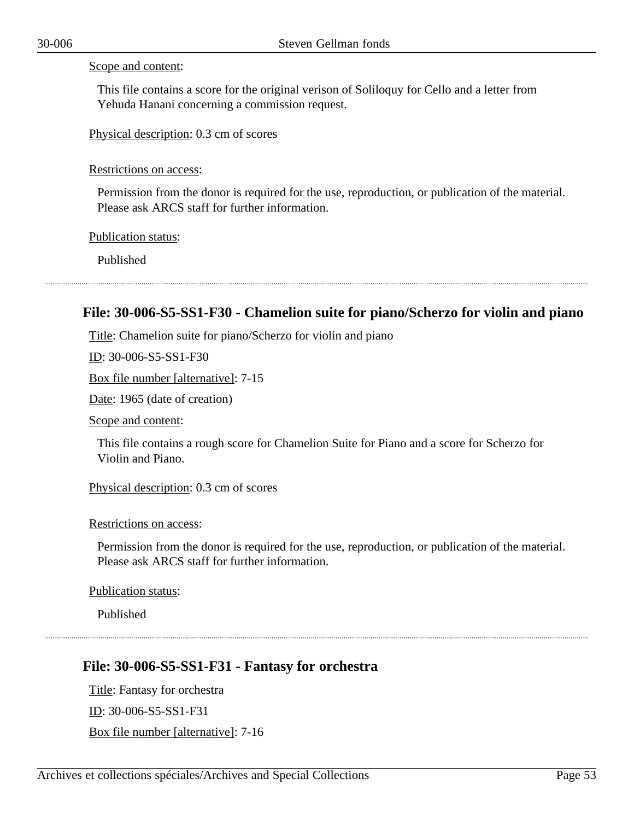#### Scope and content:

This file contains a score for the original verison of Soliloquy for Cello and a letter from Yehuda Hanani concerning a commission request.

Physical description: 0.3 cm of scores

#### Restrictions on access:

Permission from the donor is required for the use, reproduction, or publication of the material. Please ask ARCS staff for further information.

Publication status:

Published

### **File: 30-006-S5-SS1-F30 - Chamelion suite for piano/Scherzo for violin and piano**

Title: Chamelion suite for piano/Scherzo for violin and piano

ID: 30-006-S5-SS1-F30

Box file number [alternative]: 7-15

Date: 1965 (date of creation)

Scope and content:

This file contains a rough score for Chamelion Suite for Piano and a score for Scherzo for Violin and Piano.

Physical description: 0.3 cm of scores

#### Restrictions on access:

Permission from the donor is required for the use, reproduction, or publication of the material. Please ask ARCS staff for further information.

Publication status:

Published

### **File: 30-006-S5-SS1-F31 - Fantasy for orchestra**

Title: Fantasy for orchestra ID: 30-006-S5-SS1-F31 Box file number [alternative]: 7-16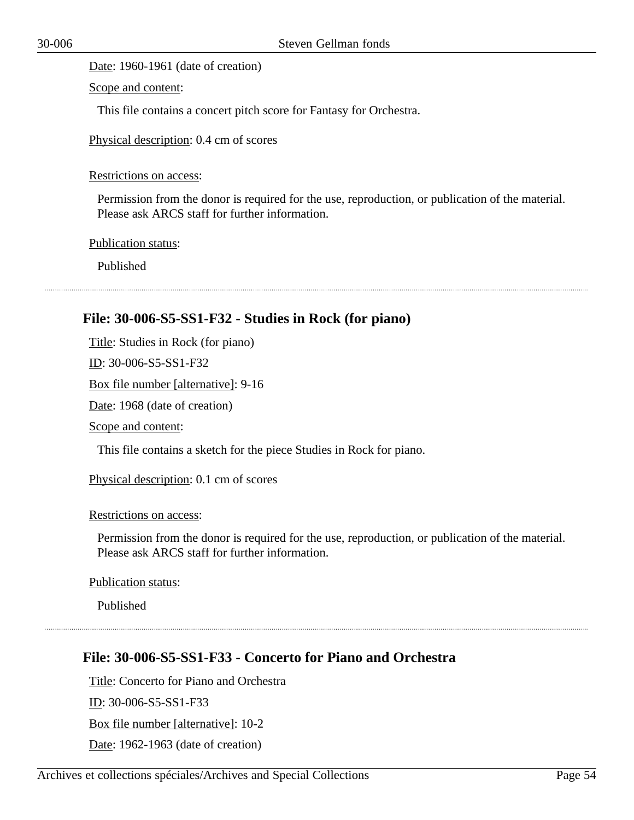Date: 1960-1961 (date of creation)

Scope and content:

This file contains a concert pitch score for Fantasy for Orchestra.

Physical description: 0.4 cm of scores

Restrictions on access:

Permission from the donor is required for the use, reproduction, or publication of the material. Please ask ARCS staff for further information.

Publication status:

Published

### **File: 30-006-S5-SS1-F32 - Studies in Rock (for piano)**

Title: Studies in Rock (for piano)

ID: 30-006-S5-SS1-F32

Box file number [alternative]: 9-16

Date: 1968 (date of creation)

Scope and content:

This file contains a sketch for the piece Studies in Rock for piano.

Physical description: 0.1 cm of scores

Restrictions on access:

Permission from the donor is required for the use, reproduction, or publication of the material. Please ask ARCS staff for further information.

Publication status:

Published

### **File: 30-006-S5-SS1-F33 - Concerto for Piano and Orchestra**

Title: Concerto for Piano and Orchestra ID: 30-006-S5-SS1-F33 Box file number [alternative]: 10-2 Date: 1962-1963 (date of creation)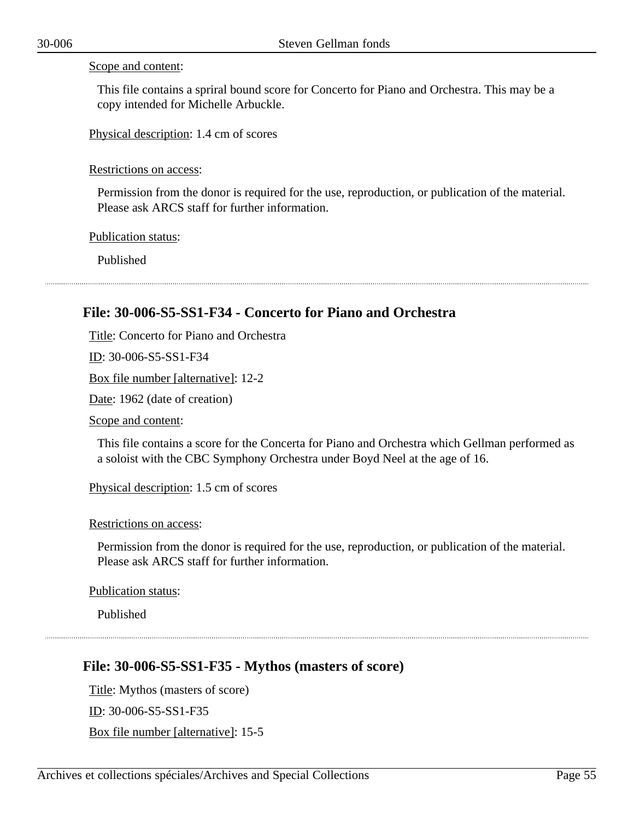#### Scope and content:

This file contains a spriral bound score for Concerto for Piano and Orchestra. This may be a copy intended for Michelle Arbuckle.

Physical description: 1.4 cm of scores

#### Restrictions on access:

Permission from the donor is required for the use, reproduction, or publication of the material. Please ask ARCS staff for further information.

Publication status:

Published

## **File: 30-006-S5-SS1-F34 - Concerto for Piano and Orchestra**

Title: Concerto for Piano and Orchestra ID: 30-006-S5-SS1-F34 Box file number [alternative]: 12-2 Date: 1962 (date of creation) Scope and content:

This file contains a score for the Concerta for Piano and Orchestra which Gellman performed as a soloist with the CBC Symphony Orchestra under Boyd Neel at the age of 16.

Physical description: 1.5 cm of scores

Restrictions on access:

Permission from the donor is required for the use, reproduction, or publication of the material. Please ask ARCS staff for further information.

Publication status:

Published

### **File: 30-006-S5-SS1-F35 - Mythos (masters of score)**

Title: Mythos (masters of score) ID: 30-006-S5-SS1-F35 Box file number [alternative]: 15-5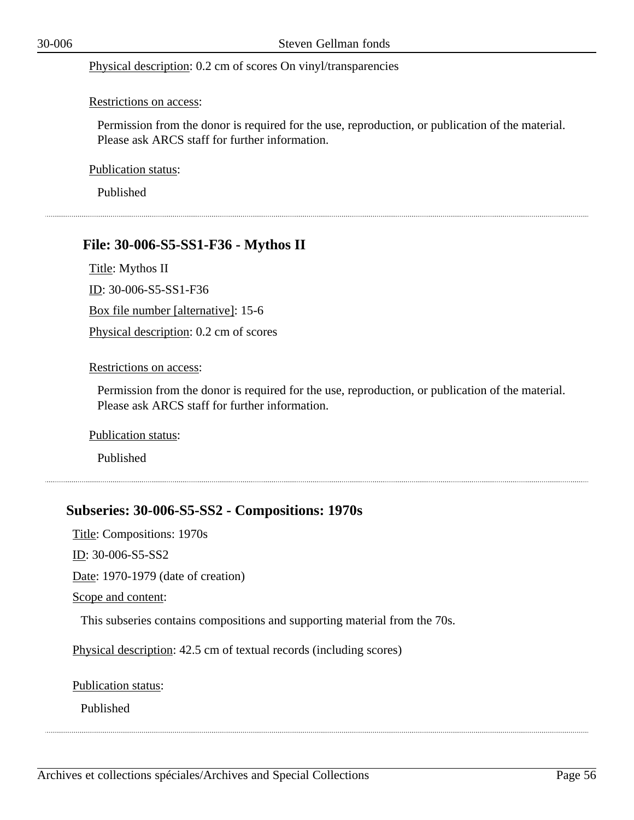Physical description: 0.2 cm of scores On vinyl/transparencies

#### Restrictions on access:

Permission from the donor is required for the use, reproduction, or publication of the material. Please ask ARCS staff for further information.

Publication status:

Published

### **File: 30-006-S5-SS1-F36 - Mythos II**

Title: Mythos II

ID: 30-006-S5-SS1-F36

Box file number [alternative]: 15-6

Physical description: 0.2 cm of scores

#### Restrictions on access:

Permission from the donor is required for the use, reproduction, or publication of the material. Please ask ARCS staff for further information.

Publication status:

Published

### **Subseries: 30-006-S5-SS2 - Compositions: 1970s**

Title: Compositions: 1970s

ID: 30-006-S5-SS2

Date: 1970-1979 (date of creation)

Scope and content:

This subseries contains compositions and supporting material from the 70s.

Physical description: 42.5 cm of textual records (including scores)

Publication status:

Published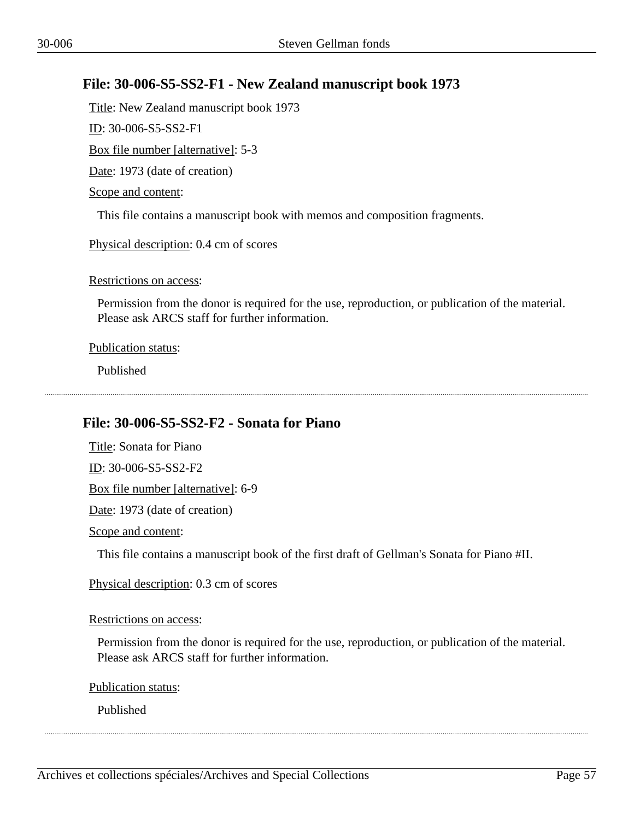# **File: 30-006-S5-SS2-F1 - New Zealand manuscript book 1973**

Title: New Zealand manuscript book 1973

ID: 30-006-S5-SS2-F1

Box file number [alternative]: 5-3

Date: 1973 (date of creation)

Scope and content:

This file contains a manuscript book with memos and composition fragments.

Physical description: 0.4 cm of scores

Restrictions on access:

Permission from the donor is required for the use, reproduction, or publication of the material. Please ask ARCS staff for further information.

Publication status:

Published

# **File: 30-006-S5-SS2-F2 - Sonata for Piano**

Title: Sonata for Piano ID: 30-006-S5-SS2-F2 Box file number [alternative]: 6-9 Date: 1973 (date of creation) Scope and content:

This file contains a manuscript book of the first draft of Gellman's Sonata for Piano #II.

Physical description: 0.3 cm of scores

### Restrictions on access:

Permission from the donor is required for the use, reproduction, or publication of the material. Please ask ARCS staff for further information.

Publication status:

Published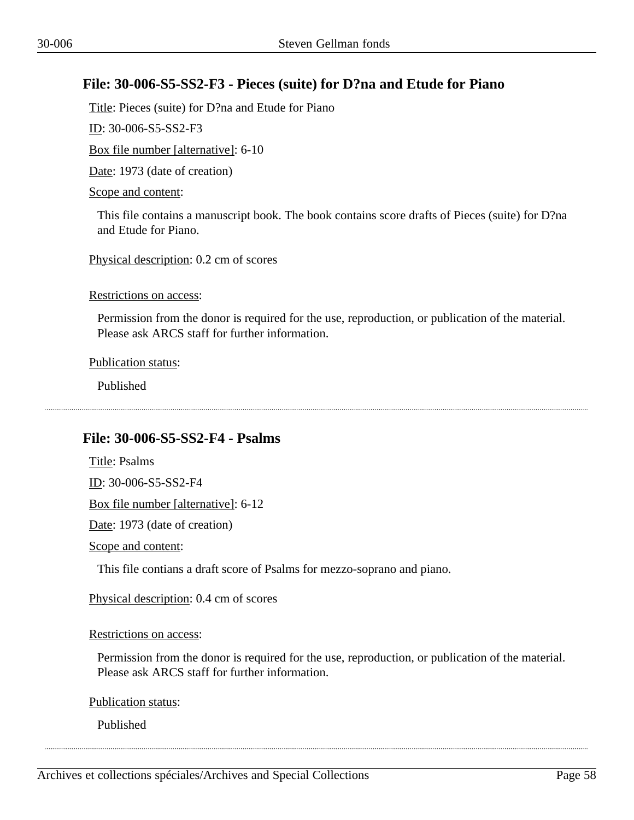# **File: 30-006-S5-SS2-F3 - Pieces (suite) for D?na and Etude for Piano**

Title: Pieces (suite) for D?na and Etude for Piano

ID: 30-006-S5-SS2-F3

Box file number [alternative]: 6-10

Date: 1973 (date of creation)

#### Scope and content:

This file contains a manuscript book. The book contains score drafts of Pieces (suite) for D?na and Etude for Piano.

Physical description: 0.2 cm of scores

Restrictions on access:

Permission from the donor is required for the use, reproduction, or publication of the material. Please ask ARCS staff for further information.

Publication status:

Published

# **File: 30-006-S5-SS2-F4 - Psalms**

Title: Psalms ID: 30-006-S5-SS2-F4 Box file number [alternative]: 6-12

Date: 1973 (date of creation)

Scope and content:

This file contians a draft score of Psalms for mezzo-soprano and piano.

Physical description: 0.4 cm of scores

Restrictions on access:

Permission from the donor is required for the use, reproduction, or publication of the material. Please ask ARCS staff for further information.

Publication status:

Published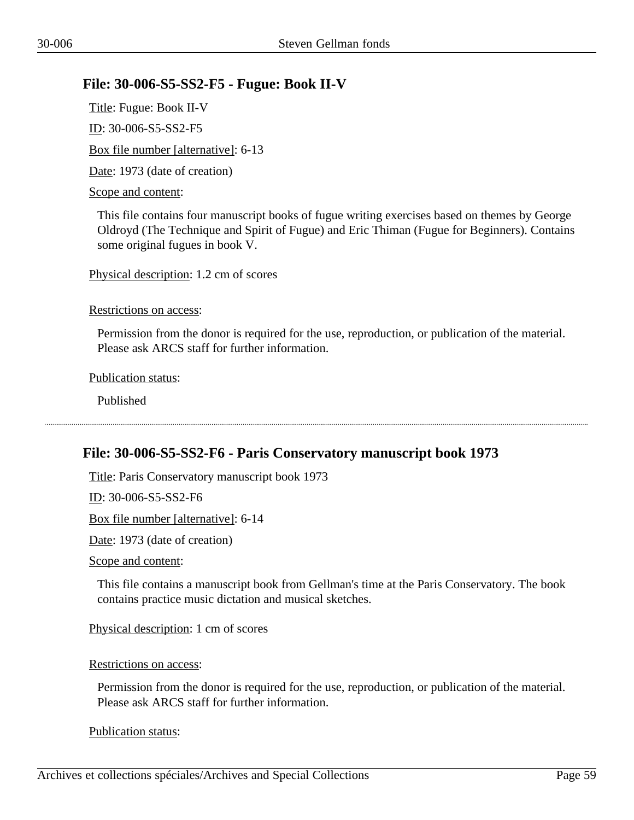# **File: 30-006-S5-SS2-F5 - Fugue: Book II-V**

Title: Fugue: Book II-V ID: 30-006-S5-SS2-F5 Box file number [alternative]: 6-13 Date: 1973 (date of creation) Scope and content:

This file contains four manuscript books of fugue writing exercises based on themes by George Oldroyd (The Technique and Spirit of Fugue) and Eric Thiman (Fugue for Beginners). Contains some original fugues in book V.

Physical description: 1.2 cm of scores

Restrictions on access:

Permission from the donor is required for the use, reproduction, or publication of the material. Please ask ARCS staff for further information.

Publication status:

Published

### **File: 30-006-S5-SS2-F6 - Paris Conservatory manuscript book 1973**

Title: Paris Conservatory manuscript book 1973

ID: 30-006-S5-SS2-F6

Box file number [alternative]: 6-14

Date: 1973 (date of creation)

Scope and content:

This file contains a manuscript book from Gellman's time at the Paris Conservatory. The book contains practice music dictation and musical sketches.

Physical description: 1 cm of scores

Restrictions on access:

Permission from the donor is required for the use, reproduction, or publication of the material. Please ask ARCS staff for further information.

Publication status: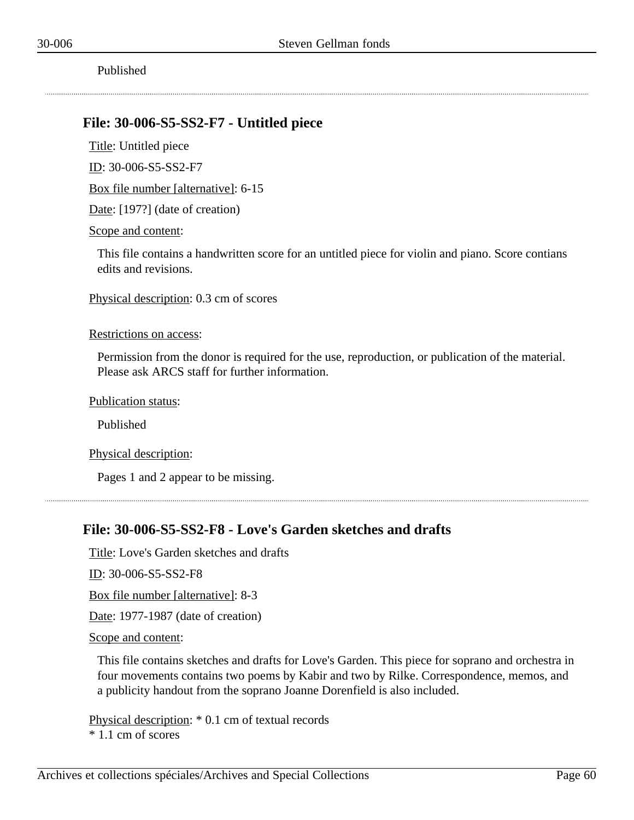### **File: 30-006-S5-SS2-F7 - Untitled piece**

Title: Untitled piece

ID: 30-006-S5-SS2-F7

Box file number [alternative]: 6-15

Date: [197?] (date of creation)

Scope and content:

This file contains a handwritten score for an untitled piece for violin and piano. Score contians edits and revisions.

Physical description: 0.3 cm of scores

Restrictions on access:

Permission from the donor is required for the use, reproduction, or publication of the material. Please ask ARCS staff for further information.

Publication status:

Published

Physical description:

Pages 1 and 2 appear to be missing.

### **File: 30-006-S5-SS2-F8 - Love's Garden sketches and drafts**

Title: Love's Garden sketches and drafts

ID: 30-006-S5-SS2-F8

Box file number [alternative]: 8-3

Date: 1977-1987 (date of creation)

Scope and content:

This file contains sketches and drafts for Love's Garden. This piece for soprano and orchestra in four movements contains two poems by Kabir and two by Rilke. Correspondence, memos, and a publicity handout from the soprano Joanne Dorenfield is also included.

Physical description: \* 0.1 cm of textual records \* 1.1 cm of scores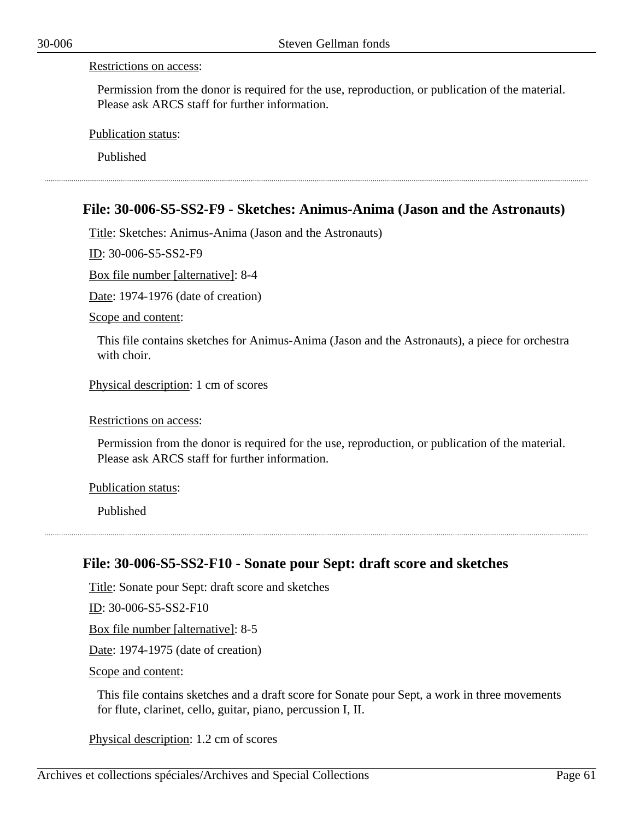Permission from the donor is required for the use, reproduction, or publication of the material. Please ask ARCS staff for further information.

Publication status:

Published

### **File: 30-006-S5-SS2-F9 - Sketches: Animus-Anima (Jason and the Astronauts)**

Title: Sketches: Animus-Anima (Jason and the Astronauts)

ID: 30-006-S5-SS2-F9

Box file number [alternative]: 8-4

Date: 1974-1976 (date of creation)

Scope and content:

This file contains sketches for Animus-Anima (Jason and the Astronauts), a piece for orchestra with choir.

Physical description: 1 cm of scores

Restrictions on access:

Permission from the donor is required for the use, reproduction, or publication of the material. Please ask ARCS staff for further information.

Publication status:

Published

### **File: 30-006-S5-SS2-F10 - Sonate pour Sept: draft score and sketches**

Title: Sonate pour Sept: draft score and sketches

ID: 30-006-S5-SS2-F10

Box file number [alternative]: 8-5

Date: 1974-1975 (date of creation)

Scope and content:

This file contains sketches and a draft score for Sonate pour Sept, a work in three movements for flute, clarinet, cello, guitar, piano, percussion I, II.

Physical description: 1.2 cm of scores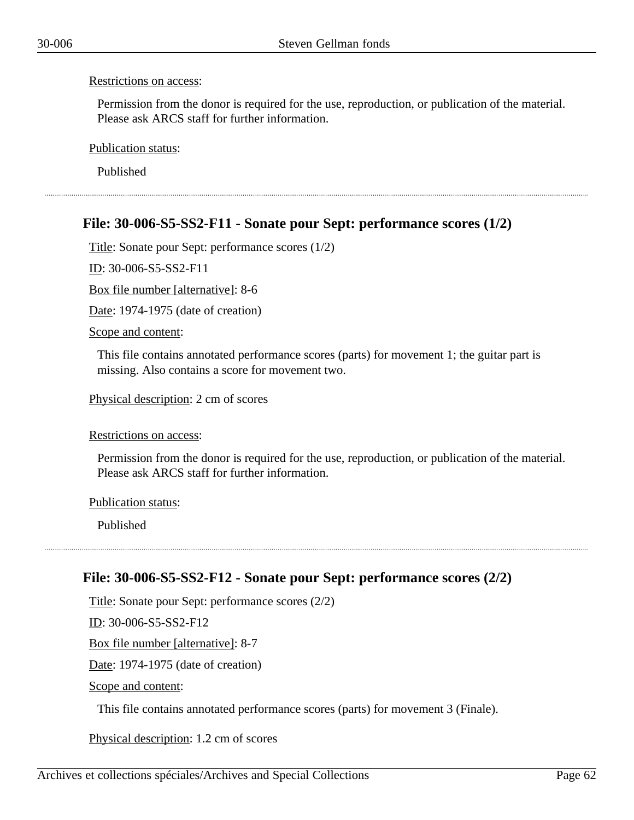Permission from the donor is required for the use, reproduction, or publication of the material. Please ask ARCS staff for further information.

Publication status:

Published

# **File: 30-006-S5-SS2-F11 - Sonate pour Sept: performance scores (1/2)**

Title: Sonate pour Sept: performance scores (1/2)

ID: 30-006-S5-SS2-F11

Box file number [alternative]: 8-6

Date: 1974-1975 (date of creation)

Scope and content:

This file contains annotated performance scores (parts) for movement 1; the guitar part is missing. Also contains a score for movement two.

Physical description: 2 cm of scores

Restrictions on access:

Permission from the donor is required for the use, reproduction, or publication of the material. Please ask ARCS staff for further information.

Publication status:

Published

### **File: 30-006-S5-SS2-F12 - Sonate pour Sept: performance scores (2/2)**

Title: Sonate pour Sept: performance scores (2/2) ID: 30-006-S5-SS2-F12 Box file number [alternative]: 8-7 Date: 1974-1975 (date of creation) Scope and content:

This file contains annotated performance scores (parts) for movement 3 (Finale).

Physical description: 1.2 cm of scores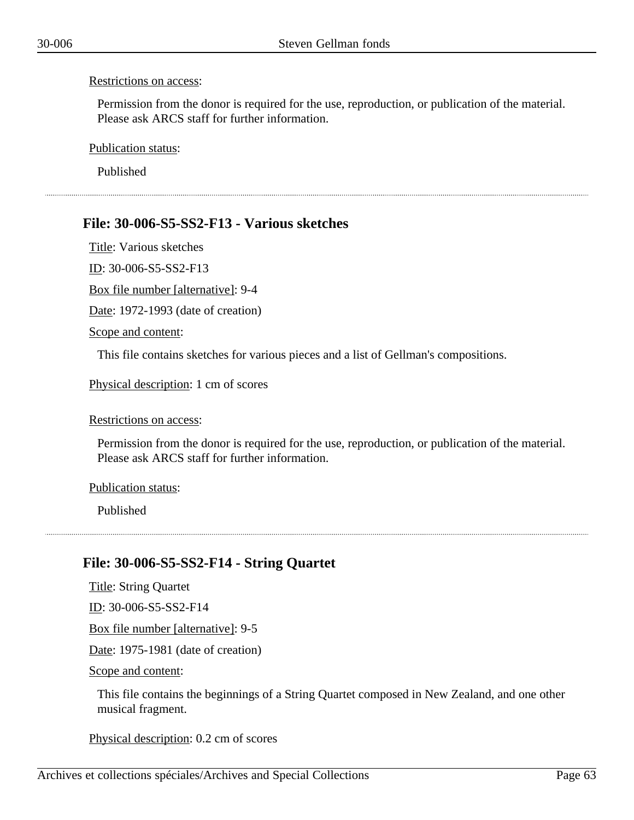Permission from the donor is required for the use, reproduction, or publication of the material. Please ask ARCS staff for further information.

Publication status:

Published

## **File: 30-006-S5-SS2-F13 - Various sketches**

Title: Various sketches ID: 30-006-S5-SS2-F13 Box file number [alternative]: 9-4 Date: 1972-1993 (date of creation)

Scope and content:

This file contains sketches for various pieces and a list of Gellman's compositions.

Physical description: 1 cm of scores

#### Restrictions on access:

Permission from the donor is required for the use, reproduction, or publication of the material. Please ask ARCS staff for further information.

#### Publication status:

Published

### **File: 30-006-S5-SS2-F14 - String Quartet**

Title: String Quartet ID: 30-006-S5-SS2-F14 Box file number [alternative]: 9-5 Date: 1975-1981 (date of creation) Scope and content:

This file contains the beginnings of a String Quartet composed in New Zealand, and one other musical fragment.

Physical description: 0.2 cm of scores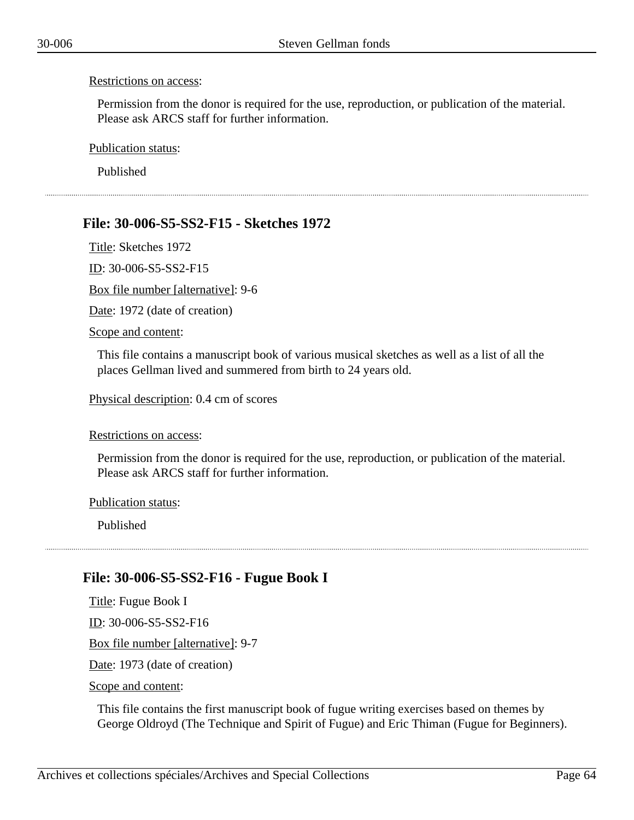Permission from the donor is required for the use, reproduction, or publication of the material. Please ask ARCS staff for further information.

Publication status:

Published

# **File: 30-006-S5-SS2-F15 - Sketches 1972**

Title: Sketches 1972

ID: 30-006-S5-SS2-F15

Box file number [alternative]: 9-6

Date: 1972 (date of creation)

Scope and content:

This file contains a manuscript book of various musical sketches as well as a list of all the places Gellman lived and summered from birth to 24 years old.

Physical description: 0.4 cm of scores

Restrictions on access:

Permission from the donor is required for the use, reproduction, or publication of the material. Please ask ARCS staff for further information.

Publication status:

Published

# **File: 30-006-S5-SS2-F16 - Fugue Book I**

Title: Fugue Book I ID: 30-006-S5-SS2-F16 Box file number [alternative]: 9-7 Date: 1973 (date of creation) Scope and content:

This file contains the first manuscript book of fugue writing exercises based on themes by George Oldroyd (The Technique and Spirit of Fugue) and Eric Thiman (Fugue for Beginners).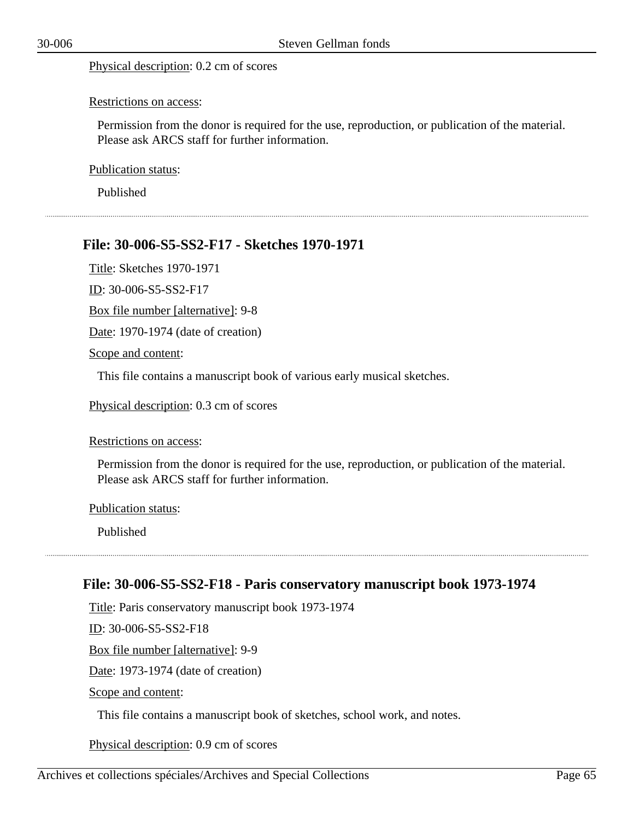#### Physical description: 0.2 cm of scores

#### Restrictions on access:

Permission from the donor is required for the use, reproduction, or publication of the material. Please ask ARCS staff for further information.

Publication status:

Published

### **File: 30-006-S5-SS2-F17 - Sketches 1970-1971**

Title: Sketches 1970-1971

ID: 30-006-S5-SS2-F17

Box file number [alternative]: 9-8

Date: 1970-1974 (date of creation)

Scope and content:

This file contains a manuscript book of various early musical sketches.

Physical description: 0.3 cm of scores

#### Restrictions on access:

Permission from the donor is required for the use, reproduction, or publication of the material. Please ask ARCS staff for further information.

Publication status:

Published

### **File: 30-006-S5-SS2-F18 - Paris conservatory manuscript book 1973-1974**

Title: Paris conservatory manuscript book 1973-1974

ID: 30-006-S5-SS2-F18

Box file number [alternative]: 9-9

Date: 1973-1974 (date of creation)

Scope and content:

This file contains a manuscript book of sketches, school work, and notes.

Physical description: 0.9 cm of scores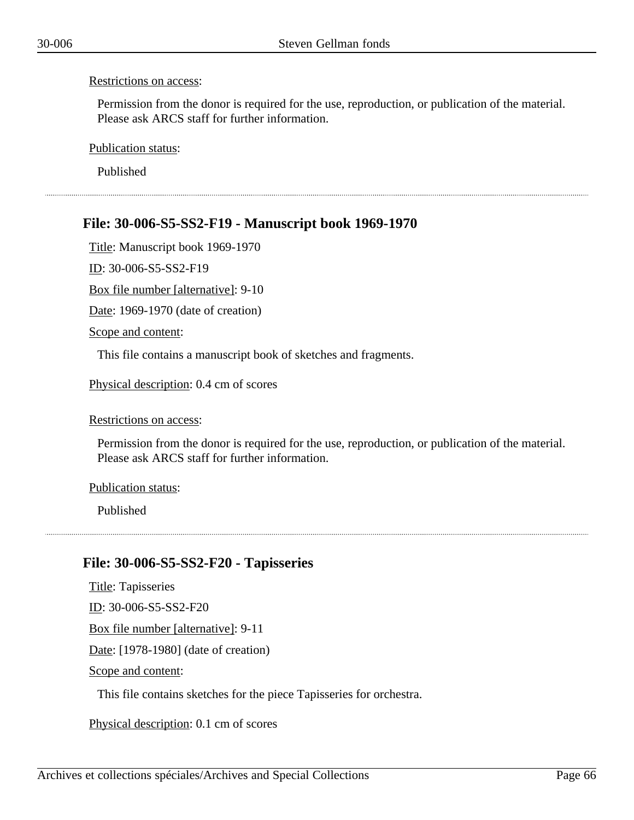Permission from the donor is required for the use, reproduction, or publication of the material. Please ask ARCS staff for further information.

Publication status:

Published

## **File: 30-006-S5-SS2-F19 - Manuscript book 1969-1970**

Title: Manuscript book 1969-1970

ID: 30-006-S5-SS2-F19

Box file number [alternative]: 9-10

Date: 1969-1970 (date of creation)

Scope and content:

This file contains a manuscript book of sketches and fragments.

Physical description: 0.4 cm of scores

#### Restrictions on access:

Permission from the donor is required for the use, reproduction, or publication of the material. Please ask ARCS staff for further information.

#### Publication status:

Published

### **File: 30-006-S5-SS2-F20 - Tapisseries**

Title: Tapisseries ID: 30-006-S5-SS2-F20 Box file number [alternative]: 9-11 Date: [1978-1980] (date of creation) Scope and content:

This file contains sketches for the piece Tapisseries for orchestra.

Physical description: 0.1 cm of scores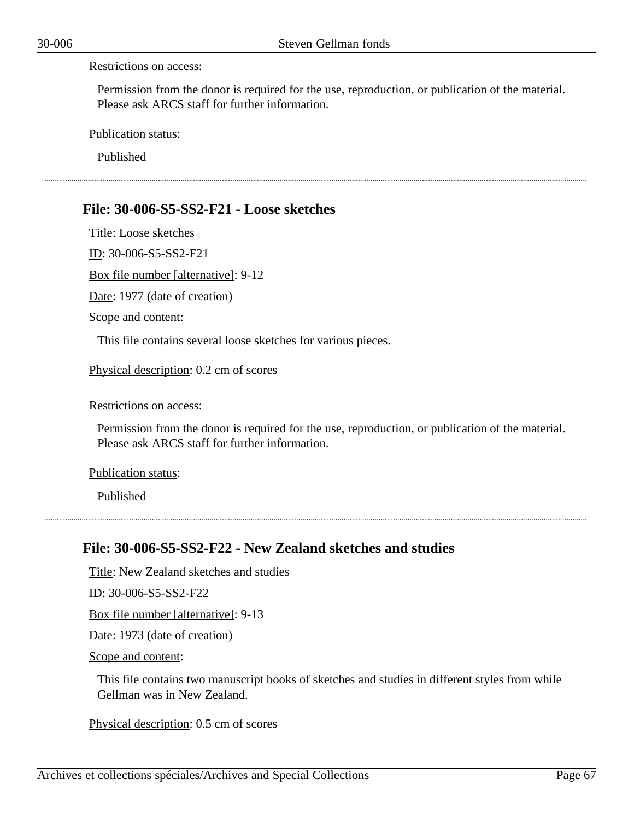Permission from the donor is required for the use, reproduction, or publication of the material. Please ask ARCS staff for further information.

Publication status:

Published

### **File: 30-006-S5-SS2-F21 - Loose sketches**

Title: Loose sketches

ID: 30-006-S5-SS2-F21

Box file number [alternative]: 9-12

Date: 1977 (date of creation)

Scope and content:

This file contains several loose sketches for various pieces.

Physical description: 0.2 cm of scores

Restrictions on access:

Permission from the donor is required for the use, reproduction, or publication of the material. Please ask ARCS staff for further information.

Publication status:

Published

### **File: 30-006-S5-SS2-F22 - New Zealand sketches and studies**

Title: New Zealand sketches and studies

ID: 30-006-S5-SS2-F22

Box file number [alternative]: 9-13

Date: 1973 (date of creation)

Scope and content:

This file contains two manuscript books of sketches and studies in different styles from while Gellman was in New Zealand.

Physical description: 0.5 cm of scores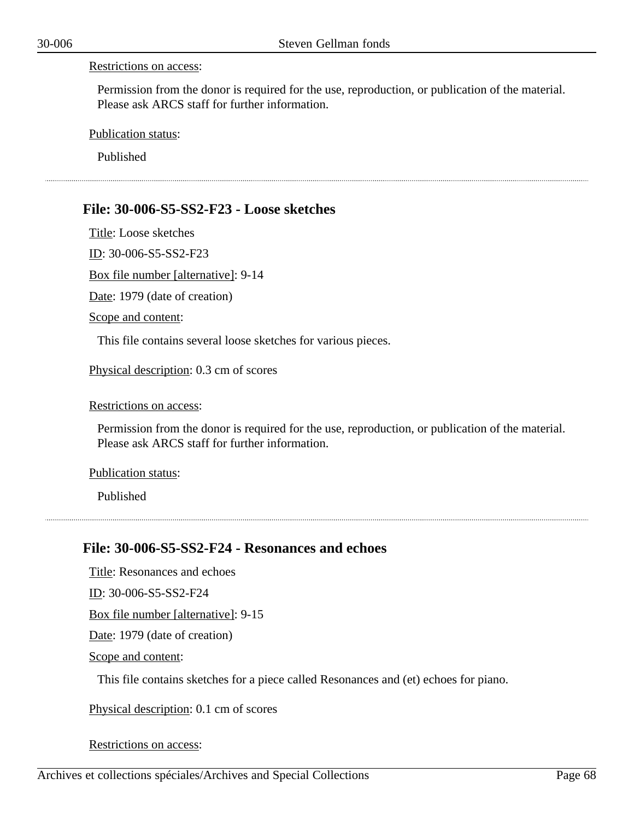Permission from the donor is required for the use, reproduction, or publication of the material. Please ask ARCS staff for further information.

Publication status:

Published

### **File: 30-006-S5-SS2-F23 - Loose sketches**

Title: Loose sketches

ID: 30-006-S5-SS2-F23

Box file number [alternative]: 9-14

Date: 1979 (date of creation)

Scope and content:

This file contains several loose sketches for various pieces.

Physical description: 0.3 cm of scores

Restrictions on access:

Permission from the donor is required for the use, reproduction, or publication of the material. Please ask ARCS staff for further information.

Publication status:

Published

### **File: 30-006-S5-SS2-F24 - Resonances and echoes**

Title: Resonances and echoes ID: 30-006-S5-SS2-F24 Box file number [alternative]: 9-15 Date: 1979 (date of creation) Scope and content:

This file contains sketches for a piece called Resonances and (et) echoes for piano.

Physical description: 0.1 cm of scores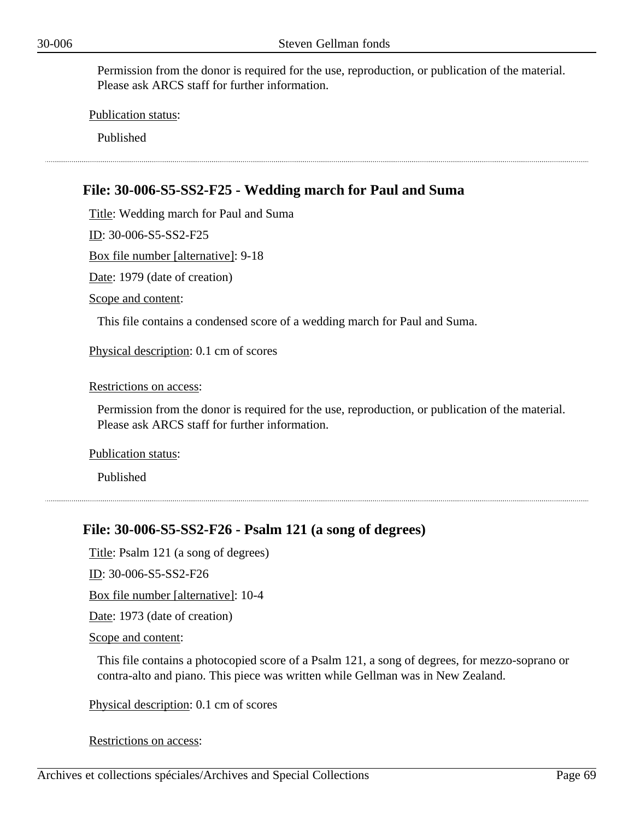Publication status:

Published

# **File: 30-006-S5-SS2-F25 - Wedding march for Paul and Suma**

Title: Wedding march for Paul and Suma

ID: 30-006-S5-SS2-F25

Box file number [alternative]: 9-18

Date: 1979 (date of creation)

Scope and content:

This file contains a condensed score of a wedding march for Paul and Suma.

Physical description: 0.1 cm of scores

Restrictions on access:

Permission from the donor is required for the use, reproduction, or publication of the material. Please ask ARCS staff for further information.

Publication status:

Published

### **File: 30-006-S5-SS2-F26 - Psalm 121 (a song of degrees)**

Title: Psalm 121 (a song of degrees)

ID: 30-006-S5-SS2-F26

Box file number [alternative]: 10-4

Date: 1973 (date of creation)

Scope and content:

This file contains a photocopied score of a Psalm 121, a song of degrees, for mezzo-soprano or contra-alto and piano. This piece was written while Gellman was in New Zealand.

Physical description: 0.1 cm of scores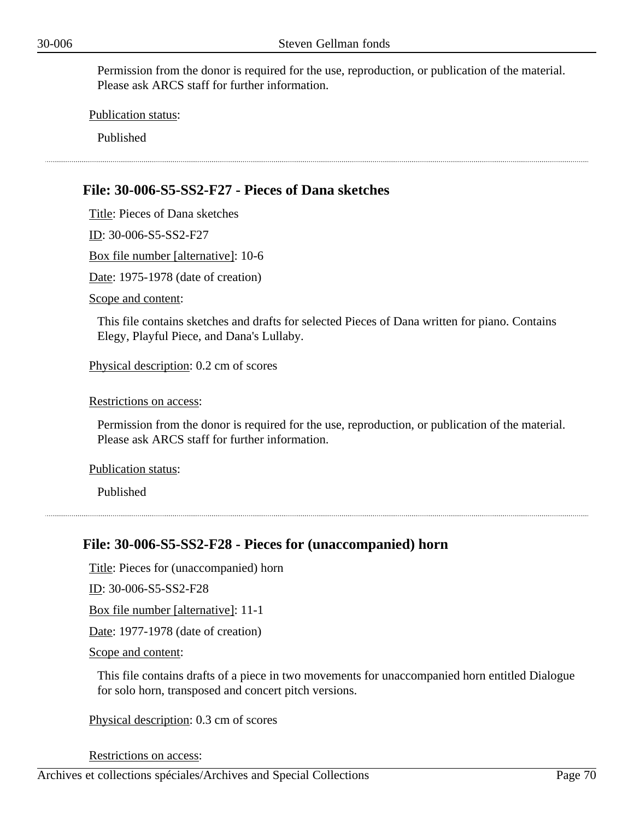Publication status:

Published

## **File: 30-006-S5-SS2-F27 - Pieces of Dana sketches**

Title: Pieces of Dana sketches

ID: 30-006-S5-SS2-F27

Box file number [alternative]: 10-6

Date: 1975-1978 (date of creation)

Scope and content:

This file contains sketches and drafts for selected Pieces of Dana written for piano. Contains Elegy, Playful Piece, and Dana's Lullaby.

Physical description: 0.2 cm of scores

Restrictions on access:

Permission from the donor is required for the use, reproduction, or publication of the material. Please ask ARCS staff for further information.

Publication status:

Published

### **File: 30-006-S5-SS2-F28 - Pieces for (unaccompanied) horn**

Title: Pieces for (unaccompanied) horn

ID: 30-006-S5-SS2-F28

Box file number [alternative]: 11-1

Date: 1977-1978 (date of creation)

Scope and content:

This file contains drafts of a piece in two movements for unaccompanied horn entitled Dialogue for solo horn, transposed and concert pitch versions.

Physical description: 0.3 cm of scores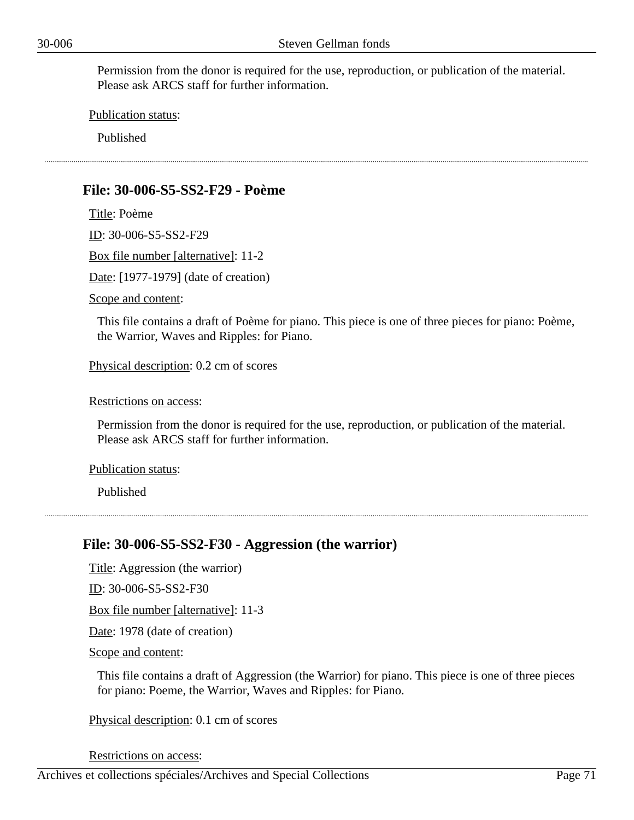Publication status:

Published

### **File: 30-006-S5-SS2-F29 - Poème**

Title: Poème ID: 30-006-S5-SS2-F29

Box file number [alternative]: 11-2

Date: [1977-1979] (date of creation)

Scope and content:

This file contains a draft of Poème for piano. This piece is one of three pieces for piano: Poème, the Warrior, Waves and Ripples: for Piano.

Physical description: 0.2 cm of scores

Restrictions on access:

Permission from the donor is required for the use, reproduction, or publication of the material. Please ask ARCS staff for further information.

Publication status:

Published

### **File: 30-006-S5-SS2-F30 - Aggression (the warrior)**

Title: Aggression (the warrior)

ID: 30-006-S5-SS2-F30

Box file number [alternative]: 11-3

Date: 1978 (date of creation)

Scope and content:

This file contains a draft of Aggression (the Warrior) for piano. This piece is one of three pieces for piano: Poeme, the Warrior, Waves and Ripples: for Piano.

Physical description: 0.1 cm of scores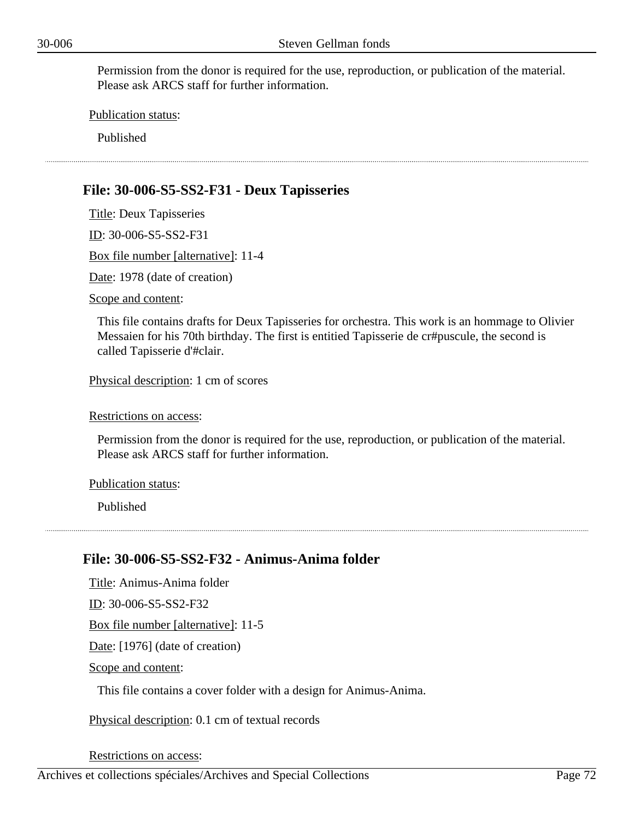Publication status:

Published

# **File: 30-006-S5-SS2-F31 - Deux Tapisseries**

Title: Deux Tapisseries ID: 30-006-S5-SS2-F31 Box file number [alternative]: 11-4 Date: 1978 (date of creation) Scope and content:

This file contains drafts for Deux Tapisseries for orchestra. This work is an hommage to Olivier Messaien for his 70th birthday. The first is entitied Tapisserie de cr#puscule, the second is called Tapisserie d'#clair.

Physical description: 1 cm of scores

Restrictions on access:

Permission from the donor is required for the use, reproduction, or publication of the material. Please ask ARCS staff for further information.

Publication status:

Published

# **File: 30-006-S5-SS2-F32 - Animus-Anima folder**

Title: Animus-Anima folder ID: 30-006-S5-SS2-F32 Box file number [alternative]: 11-5 Date: [1976] (date of creation) Scope and content: This file contains a cover folder with a design for Animus-Anima.

Physical description: 0.1 cm of textual records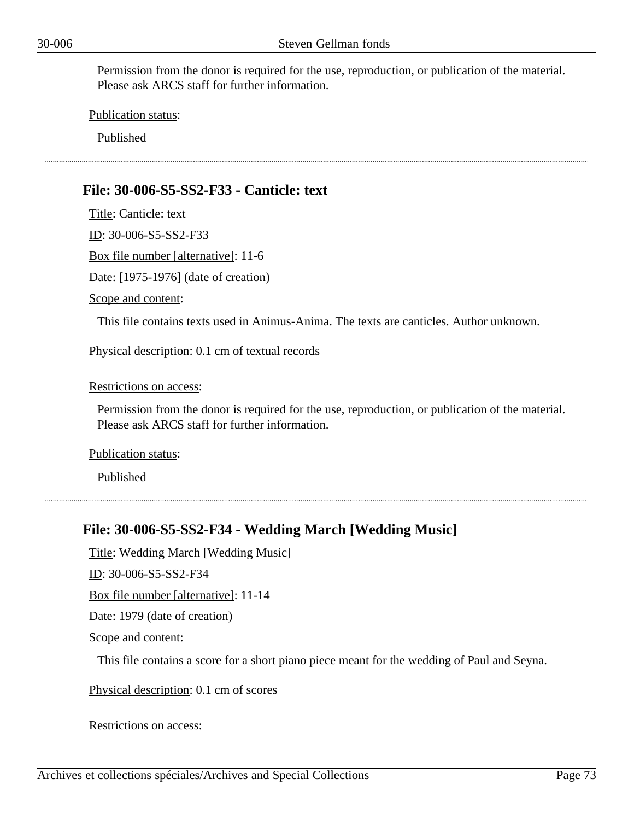Publication status:

Published

## **File: 30-006-S5-SS2-F33 - Canticle: text**

Title: Canticle: text

ID: 30-006-S5-SS2-F33

Box file number [alternative]: 11-6

Date: [1975-1976] (date of creation)

Scope and content:

This file contains texts used in Animus-Anima. The texts are canticles. Author unknown.

Physical description: 0.1 cm of textual records

Restrictions on access:

Permission from the donor is required for the use, reproduction, or publication of the material. Please ask ARCS staff for further information.

Publication status:

Published

## **File: 30-006-S5-SS2-F34 - Wedding March [Wedding Music]**

Title: Wedding March [Wedding Music]

ID: 30-006-S5-SS2-F34

Box file number [alternative]: 11-14

Date: 1979 (date of creation)

Scope and content:

This file contains a score for a short piano piece meant for the wedding of Paul and Seyna.

Physical description: 0.1 cm of scores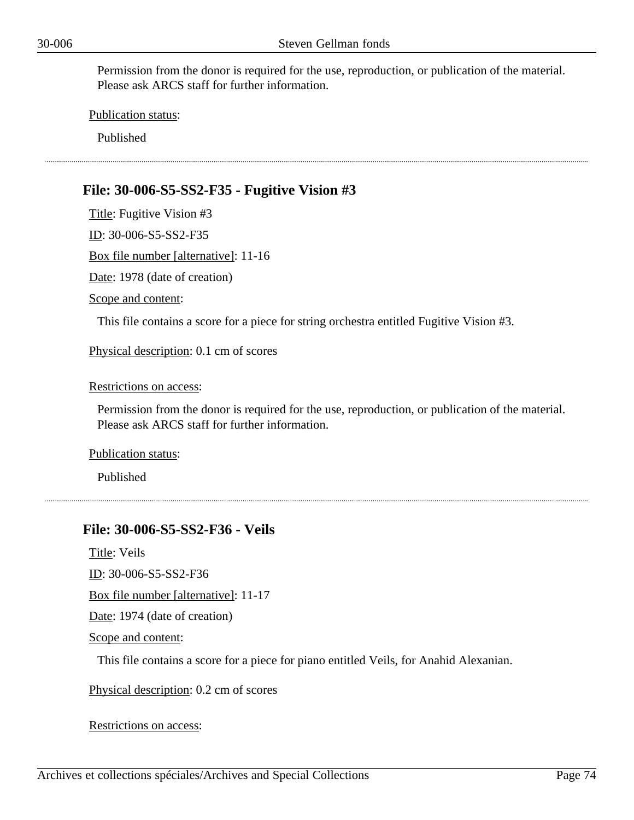Publication status:

Published

# **File: 30-006-S5-SS2-F35 - Fugitive Vision #3**

Title: Fugitive Vision #3 ID: 30-006-S5-SS2-F35 Box file number [alternative]: 11-16 Date: 1978 (date of creation) Scope and content: This file contains a score for a piece for string orchestra entitled Fugitive Vision #3. Physical description: 0.1 cm of scores

Restrictions on access:

Permission from the donor is required for the use, reproduction, or publication of the material. Please ask ARCS staff for further information.

Publication status:

Published

## **File: 30-006-S5-SS2-F36 - Veils**

Title: Veils

ID: 30-006-S5-SS2-F36

Box file number [alternative]: 11-17

Date: 1974 (date of creation)

Scope and content:

This file contains a score for a piece for piano entitled Veils, for Anahid Alexanian.

Physical description: 0.2 cm of scores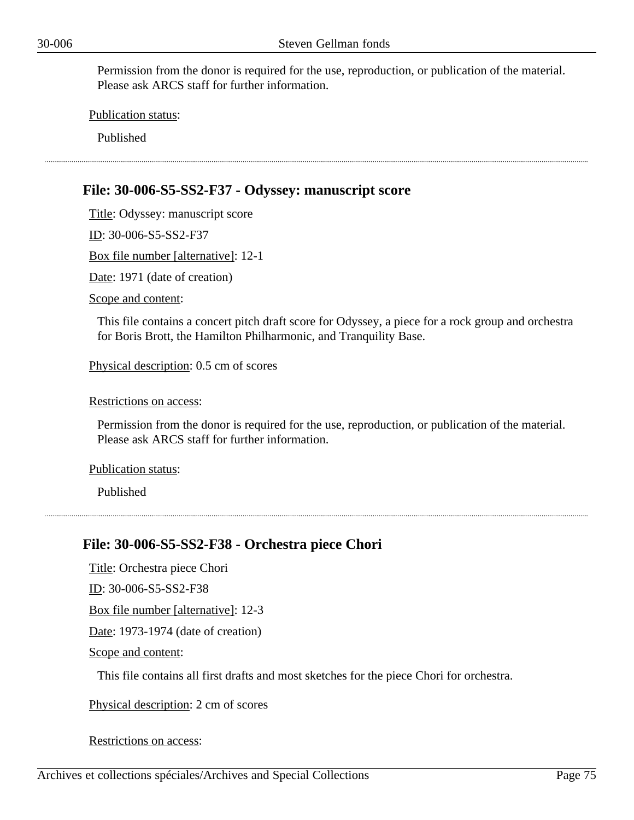Publication status:

Published

## **File: 30-006-S5-SS2-F37 - Odyssey: manuscript score**

Title: Odyssey: manuscript score

ID: 30-006-S5-SS2-F37

Box file number [alternative]: 12-1

Date: 1971 (date of creation)

Scope and content:

This file contains a concert pitch draft score for Odyssey, a piece for a rock group and orchestra for Boris Brott, the Hamilton Philharmonic, and Tranquility Base.

Physical description: 0.5 cm of scores

Restrictions on access:

Permission from the donor is required for the use, reproduction, or publication of the material. Please ask ARCS staff for further information.

Publication status:

Published

## **File: 30-006-S5-SS2-F38 - Orchestra piece Chori**

Title: Orchestra piece Chori

ID: 30-006-S5-SS2-F38

Box file number [alternative]: 12-3

Date: 1973-1974 (date of creation)

Scope and content:

This file contains all first drafts and most sketches for the piece Chori for orchestra.

Physical description: 2 cm of scores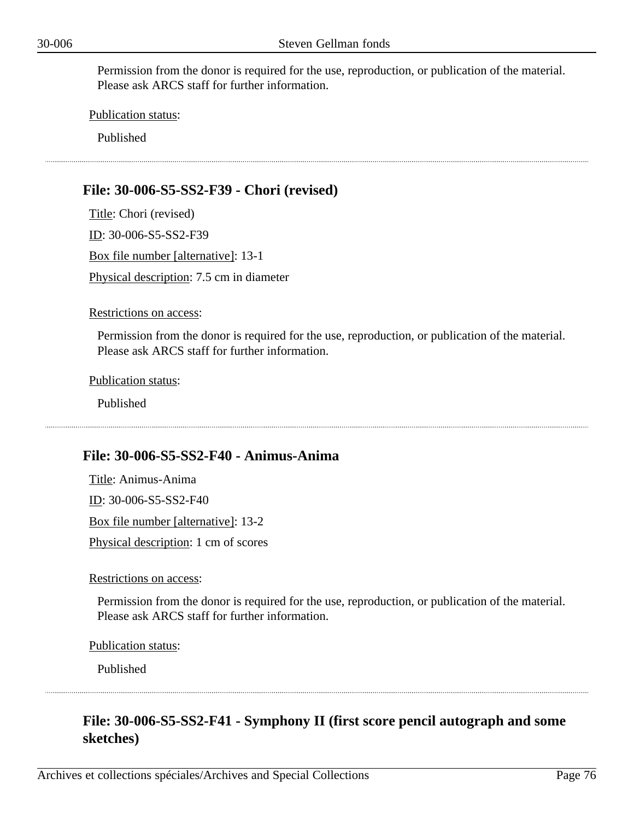Publication status:

Published

# **File: 30-006-S5-SS2-F39 - Chori (revised)**

Title: Chori (revised) ID: 30-006-S5-SS2-F39 Box file number [alternative]: 13-1 Physical description: 7.5 cm in diameter

#### Restrictions on access:

Permission from the donor is required for the use, reproduction, or publication of the material. Please ask ARCS staff for further information.

Publication status:

Published

### **File: 30-006-S5-SS2-F40 - Animus-Anima**

Title: Animus-Anima ID: 30-006-S5-SS2-F40 Box file number [alternative]: 13-2 Physical description: 1 cm of scores

Restrictions on access:

Permission from the donor is required for the use, reproduction, or publication of the material. Please ask ARCS staff for further information.

Publication status:

Published

# **File: 30-006-S5-SS2-F41 - Symphony II (first score pencil autograph and some sketches)**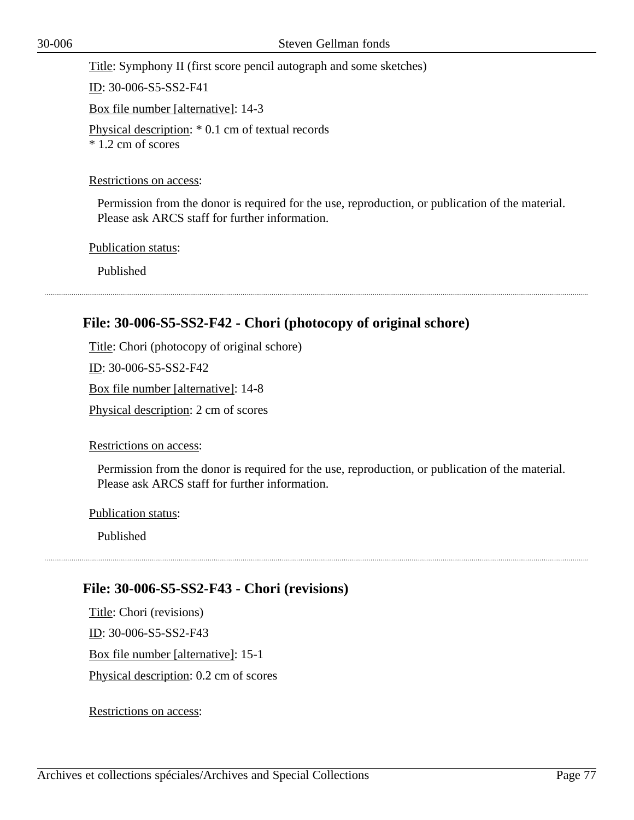Title: Symphony II (first score pencil autograph and some sketches)

ID: 30-006-S5-SS2-F41

Box file number [alternative]: 14-3

Physical description: \* 0.1 cm of textual records \* 1.2 cm of scores

### Restrictions on access:

Permission from the donor is required for the use, reproduction, or publication of the material. Please ask ARCS staff for further information.

Publication status:

Published

# **File: 30-006-S5-SS2-F42 - Chori (photocopy of original schore)**

Title: Chori (photocopy of original schore)

ID: 30-006-S5-SS2-F42

Box file number [alternative]: 14-8

Physical description: 2 cm of scores

Restrictions on access:

Permission from the donor is required for the use, reproduction, or publication of the material. Please ask ARCS staff for further information.

Publication status:

Published

# **File: 30-006-S5-SS2-F43 - Chori (revisions)**

Title: Chori (revisions) ID: 30-006-S5-SS2-F43 Box file number [alternative]: 15-1 Physical description: 0.2 cm of scores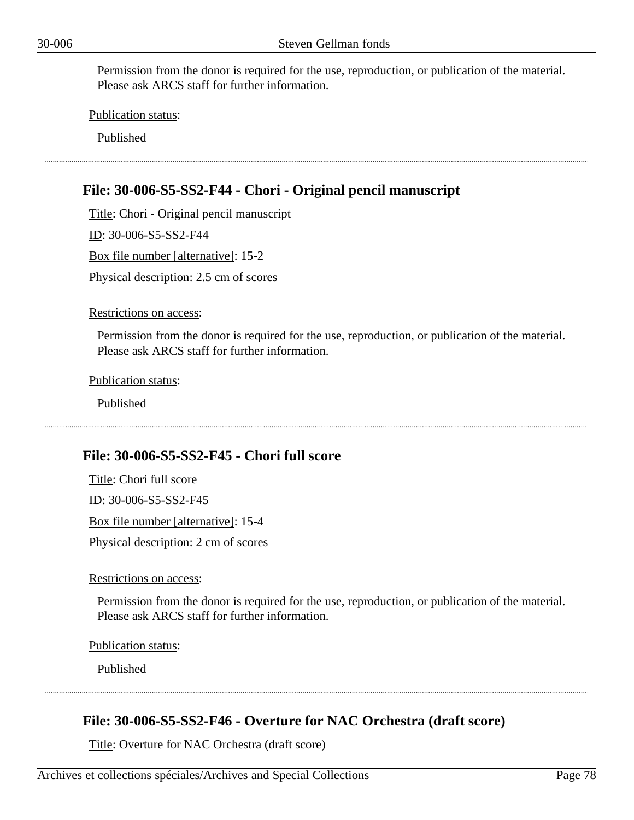Publication status:

Published

# **File: 30-006-S5-SS2-F44 - Chori - Original pencil manuscript**

Title: Chori - Original pencil manuscript ID: 30-006-S5-SS2-F44 Box file number [alternative]: 15-2 Physical description: 2.5 cm of scores

Restrictions on access:

Permission from the donor is required for the use, reproduction, or publication of the material. Please ask ARCS staff for further information.

Publication status:

Published

### **File: 30-006-S5-SS2-F45 - Chori full score**

Title: Chori full score ID: 30-006-S5-SS2-F45 Box file number [alternative]: 15-4 Physical description: 2 cm of scores

Restrictions on access:

Permission from the donor is required for the use, reproduction, or publication of the material. Please ask ARCS staff for further information.

Publication status:

Published

### **File: 30-006-S5-SS2-F46 - Overture for NAC Orchestra (draft score)**

Title: Overture for NAC Orchestra (draft score)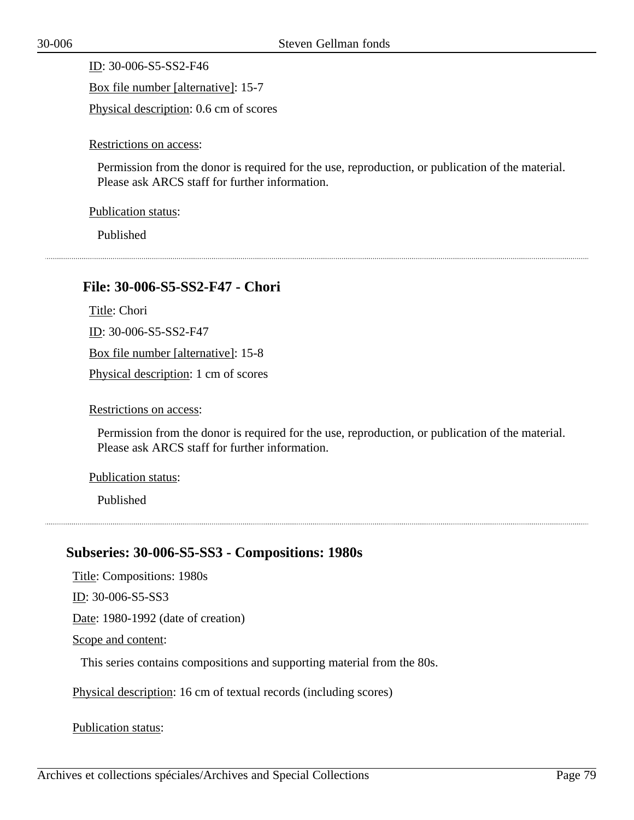ID: 30-006-S5-SS2-F46 Box file number [alternative]: 15-7 Physical description: 0.6 cm of scores

Restrictions on access:

Permission from the donor is required for the use, reproduction, or publication of the material. Please ask ARCS staff for further information.

Publication status:

Published

## **File: 30-006-S5-SS2-F47 - Chori**

Title: Chori

ID: 30-006-S5-SS2-F47

Box file number [alternative]: 15-8

Physical description: 1 cm of scores

Restrictions on access:

Permission from the donor is required for the use, reproduction, or publication of the material. Please ask ARCS staff for further information.

Publication status:

Published

## **Subseries: 30-006-S5-SS3 - Compositions: 1980s**

Title: Compositions: 1980s

ID: 30-006-S5-SS3

Date: 1980-1992 (date of creation)

Scope and content:

This series contains compositions and supporting material from the 80s.

Physical description: 16 cm of textual records (including scores)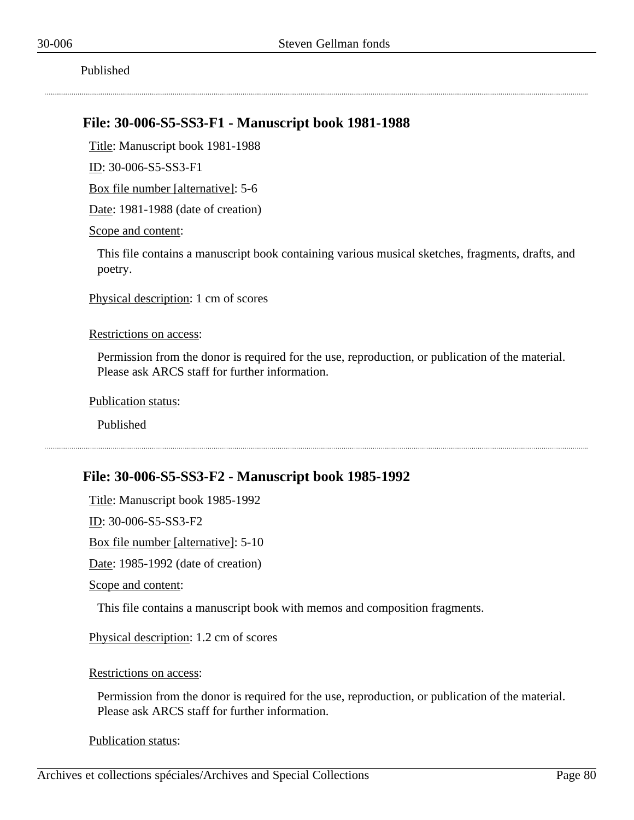Published

## **File: 30-006-S5-SS3-F1 - Manuscript book 1981-1988**

Title: Manuscript book 1981-1988

ID: 30-006-S5-SS3-F1

Box file number [alternative]: 5-6

Date: 1981-1988 (date of creation)

Scope and content:

This file contains a manuscript book containing various musical sketches, fragments, drafts, and poetry.

Physical description: 1 cm of scores

#### Restrictions on access:

Permission from the donor is required for the use, reproduction, or publication of the material. Please ask ARCS staff for further information.

Publication status:

Published

### **File: 30-006-S5-SS3-F2 - Manuscript book 1985-1992**

Title: Manuscript book 1985-1992 ID: 30-006-S5-SS3-F2 Box file number [alternative]: 5-10 Date: 1985-1992 (date of creation) Scope and content:

This file contains a manuscript book with memos and composition fragments.

Physical description: 1.2 cm of scores

Restrictions on access:

Permission from the donor is required for the use, reproduction, or publication of the material. Please ask ARCS staff for further information.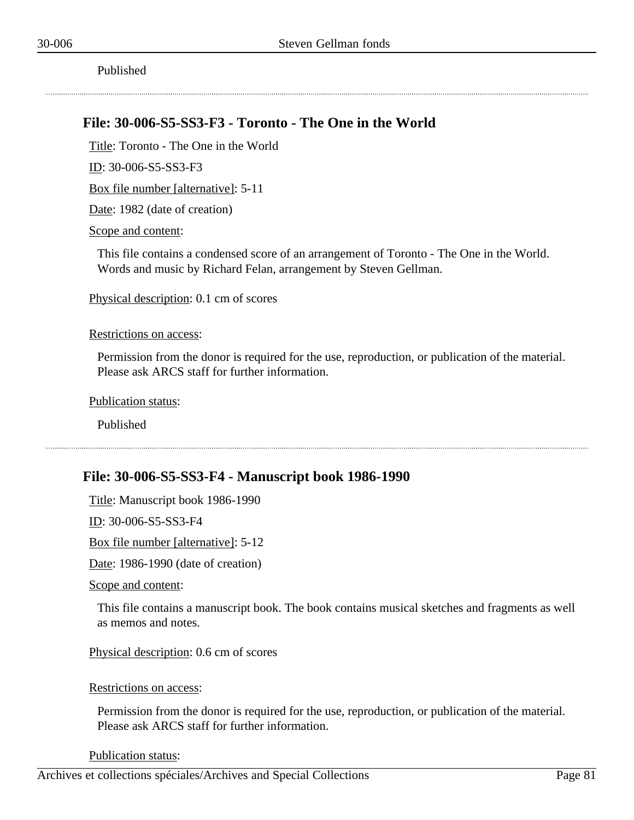Published

## **File: 30-006-S5-SS3-F3 - Toronto - The One in the World**

Title: Toronto - The One in the World

ID: 30-006-S5-SS3-F3

Box file number [alternative]: 5-11

Date: 1982 (date of creation)

Scope and content:

This file contains a condensed score of an arrangement of Toronto - The One in the World. Words and music by Richard Felan, arrangement by Steven Gellman.

Physical description: 0.1 cm of scores

#### Restrictions on access:

Permission from the donor is required for the use, reproduction, or publication of the material. Please ask ARCS staff for further information.

Publication status:

Published

## **File: 30-006-S5-SS3-F4 - Manuscript book 1986-1990**

Title: Manuscript book 1986-1990

ID: 30-006-S5-SS3-F4

Box file number [alternative]: 5-12

Date: 1986-1990 (date of creation)

Scope and content:

This file contains a manuscript book. The book contains musical sketches and fragments as well as memos and notes.

Physical description: 0.6 cm of scores

Restrictions on access:

Permission from the donor is required for the use, reproduction, or publication of the material. Please ask ARCS staff for further information.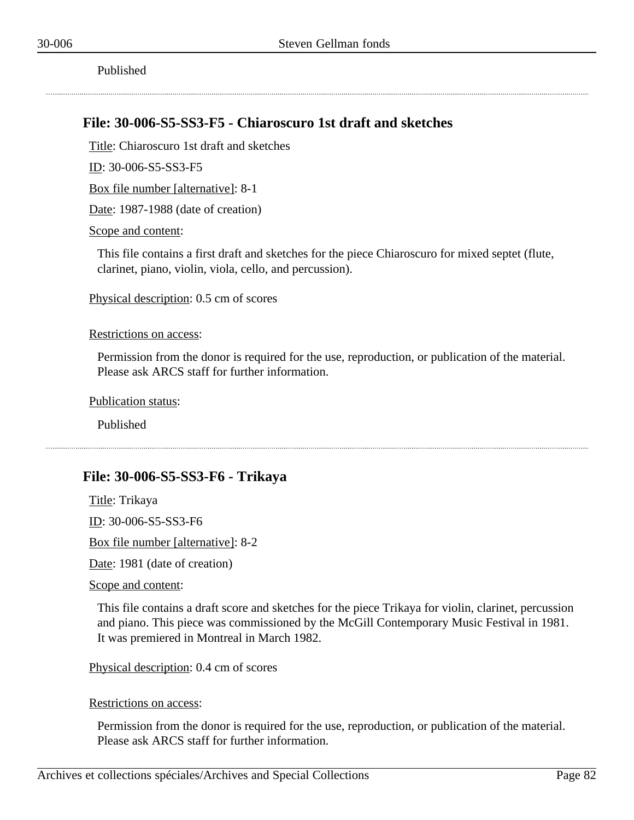## **File: 30-006-S5-SS3-F5 - Chiaroscuro 1st draft and sketches**

Title: Chiaroscuro 1st draft and sketches

ID: 30-006-S5-SS3-F5

Box file number [alternative]: 8-1

Date: 1987-1988 (date of creation)

Scope and content:

This file contains a first draft and sketches for the piece Chiaroscuro for mixed septet (flute, clarinet, piano, violin, viola, cello, and percussion).

Physical description: 0.5 cm of scores

#### Restrictions on access:

Permission from the donor is required for the use, reproduction, or publication of the material. Please ask ARCS staff for further information.

Publication status:

Published

## **File: 30-006-S5-SS3-F6 - Trikaya**

Title: Trikaya ID: 30-006-S5-SS3-F6

Box file number [alternative]: 8-2

Date: 1981 (date of creation)

Scope and content:

This file contains a draft score and sketches for the piece Trikaya for violin, clarinet, percussion and piano. This piece was commissioned by the McGill Contemporary Music Festival in 1981. It was premiered in Montreal in March 1982.

Physical description: 0.4 cm of scores

Restrictions on access:

Permission from the donor is required for the use, reproduction, or publication of the material. Please ask ARCS staff for further information.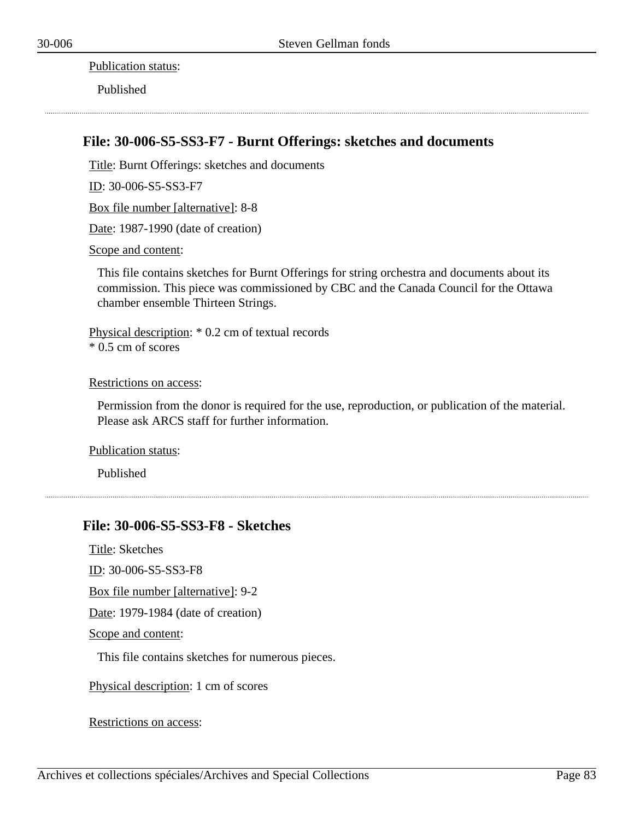Publication status:

Published

## **File: 30-006-S5-SS3-F7 - Burnt Offerings: sketches and documents**

Title: Burnt Offerings: sketches and documents

ID: 30-006-S5-SS3-F7

Box file number [alternative]: 8-8

Date: 1987-1990 (date of creation)

Scope and content:

This file contains sketches for Burnt Offerings for string orchestra and documents about its commission. This piece was commissioned by CBC and the Canada Council for the Ottawa chamber ensemble Thirteen Strings.

Physical description: \* 0.2 cm of textual records \* 0.5 cm of scores

#### Restrictions on access:

Permission from the donor is required for the use, reproduction, or publication of the material. Please ask ARCS staff for further information.

Publication status:

Published

## **File: 30-006-S5-SS3-F8 - Sketches**

Title: Sketches

ID: 30-006-S5-SS3-F8

Box file number [alternative]: 9-2

Date: 1979-1984 (date of creation)

Scope and content:

This file contains sketches for numerous pieces.

Physical description: 1 cm of scores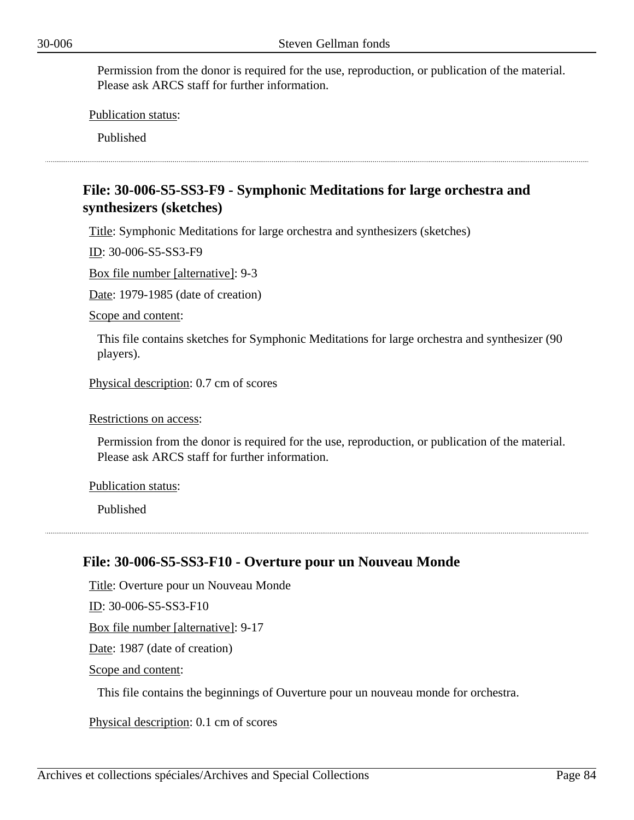Publication status:

Published

# **File: 30-006-S5-SS3-F9 - Symphonic Meditations for large orchestra and synthesizers (sketches)**

Title: Symphonic Meditations for large orchestra and synthesizers (sketches)

ID: 30-006-S5-SS3-F9

Box file number [alternative]: 9-3

Date: 1979-1985 (date of creation)

Scope and content:

This file contains sketches for Symphonic Meditations for large orchestra and synthesizer (90 players).

Physical description: 0.7 cm of scores

#### Restrictions on access:

Permission from the donor is required for the use, reproduction, or publication of the material. Please ask ARCS staff for further information.

Publication status:

Published

### **File: 30-006-S5-SS3-F10 - Overture pour un Nouveau Monde**

Title: Overture pour un Nouveau Monde ID: 30-006-S5-SS3-F10 Box file number [alternative]: 9-17 Date: 1987 (date of creation) Scope and content:

This file contains the beginnings of Ouverture pour un nouveau monde for orchestra.

Physical description: 0.1 cm of scores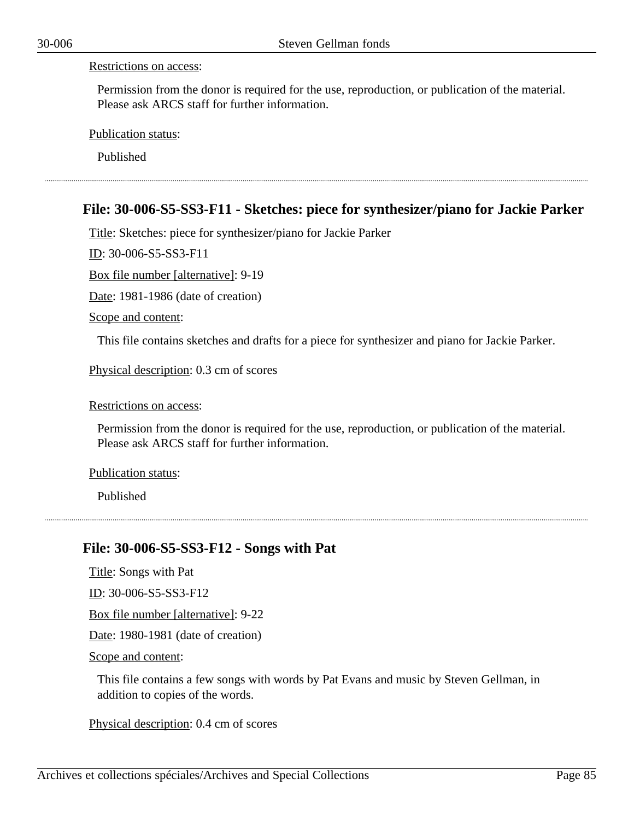#### Restrictions on access:

Permission from the donor is required for the use, reproduction, or publication of the material. Please ask ARCS staff for further information.

Publication status:

Published

## **File: 30-006-S5-SS3-F11 - Sketches: piece for synthesizer/piano for Jackie Parker**

Title: Sketches: piece for synthesizer/piano for Jackie Parker

ID: 30-006-S5-SS3-F11

Box file number [alternative]: 9-19

Date: 1981-1986 (date of creation)

Scope and content:

This file contains sketches and drafts for a piece for synthesizer and piano for Jackie Parker.

Physical description: 0.3 cm of scores

Restrictions on access:

Permission from the donor is required for the use, reproduction, or publication of the material. Please ask ARCS staff for further information.

Publication status:

Published

## **File: 30-006-S5-SS3-F12 - Songs with Pat**

Title: Songs with Pat

ID: 30-006-S5-SS3-F12

Box file number [alternative]: 9-22

Date: 1980-1981 (date of creation)

Scope and content:

This file contains a few songs with words by Pat Evans and music by Steven Gellman, in addition to copies of the words.

Physical description: 0.4 cm of scores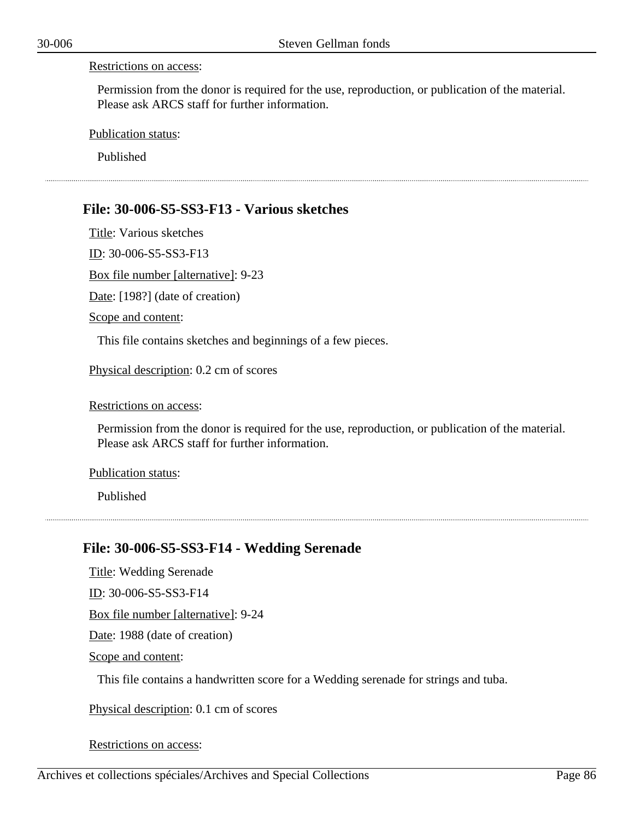#### Restrictions on access:

Permission from the donor is required for the use, reproduction, or publication of the material. Please ask ARCS staff for further information.

Publication status:

Published

## **File: 30-006-S5-SS3-F13 - Various sketches**

Title: Various sketches ID: 30-006-S5-SS3-F13 Box file number [alternative]: 9-23 Date: [198?] (date of creation) Scope and content:

This file contains sketches and beginnings of a few pieces.

Physical description: 0.2 cm of scores

Restrictions on access:

Permission from the donor is required for the use, reproduction, or publication of the material. Please ask ARCS staff for further information.

Publication status:

Published

## **File: 30-006-S5-SS3-F14 - Wedding Serenade**

Title: Wedding Serenade ID: 30-006-S5-SS3-F14 Box file number [alternative]: 9-24 Date: 1988 (date of creation) Scope and content:

This file contains a handwritten score for a Wedding serenade for strings and tuba.

Physical description: 0.1 cm of scores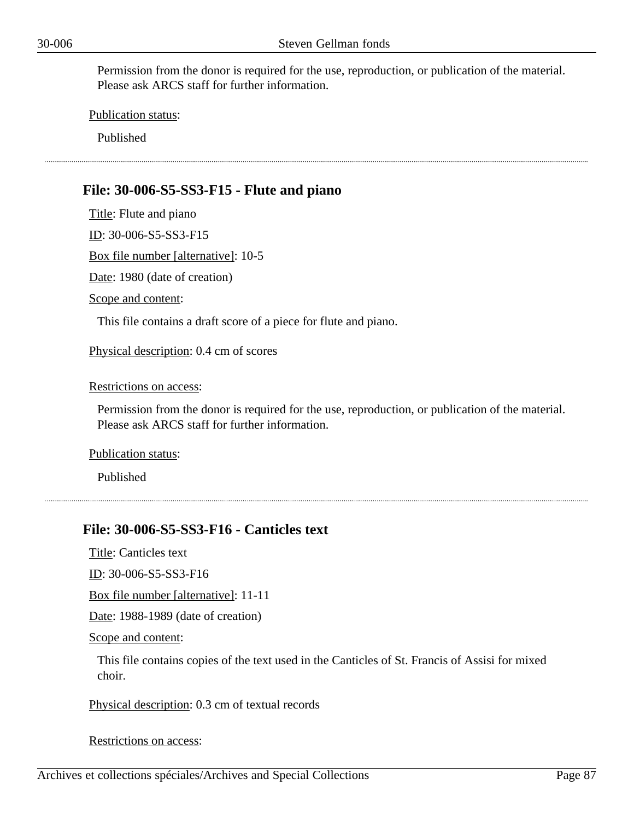Publication status:

Published

## **File: 30-006-S5-SS3-F15 - Flute and piano**

Title: Flute and piano

ID: 30-006-S5-SS3-F15

Box file number [alternative]: 10-5

Date: 1980 (date of creation)

Scope and content:

This file contains a draft score of a piece for flute and piano.

Physical description: 0.4 cm of scores

Restrictions on access:

Permission from the donor is required for the use, reproduction, or publication of the material. Please ask ARCS staff for further information.

Publication status:

Published

### **File: 30-006-S5-SS3-F16 - Canticles text**

Title: Canticles text

ID: 30-006-S5-SS3-F16

Box file number [alternative]: 11-11

Date: 1988-1989 (date of creation)

Scope and content:

This file contains copies of the text used in the Canticles of St. Francis of Assisi for mixed choir.

Physical description: 0.3 cm of textual records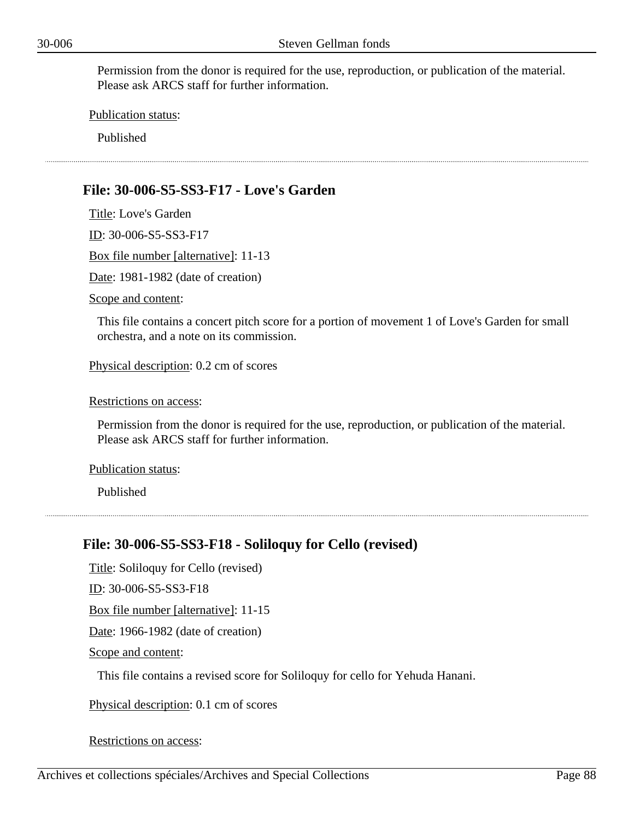Publication status:

Published

# **File: 30-006-S5-SS3-F17 - Love's Garden**

Title: Love's Garden ID: 30-006-S5-SS3-F17 Box file number [alternative]: 11-13 Date: 1981-1982 (date of creation) Scope and content:

This file contains a concert pitch score for a portion of movement 1 of Love's Garden for small orchestra, and a note on its commission.

Physical description: 0.2 cm of scores

Restrictions on access:

Permission from the donor is required for the use, reproduction, or publication of the material. Please ask ARCS staff for further information.

Publication status:

Published

## **File: 30-006-S5-SS3-F18 - Soliloquy for Cello (revised)**

Title: Soliloquy for Cello (revised)

ID: 30-006-S5-SS3-F18

Box file number [alternative]: 11-15

Date: 1966-1982 (date of creation)

Scope and content:

This file contains a revised score for Soliloquy for cello for Yehuda Hanani.

Physical description: 0.1 cm of scores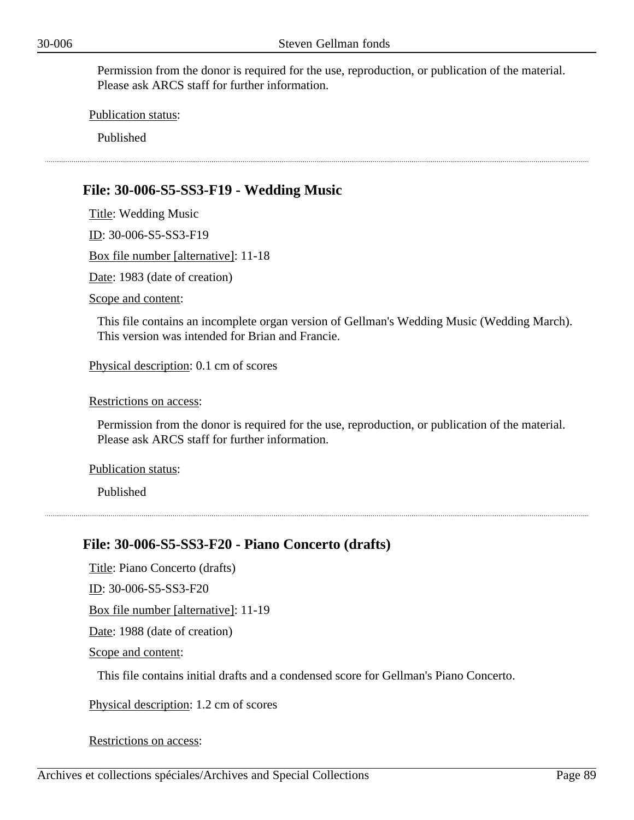Publication status:

Published

# **File: 30-006-S5-SS3-F19 - Wedding Music**

Title: Wedding Music ID: 30-006-S5-SS3-F19 Box file number [alternative]: 11-18 Date: 1983 (date of creation) Scope and content:

This file contains an incomplete organ version of Gellman's Wedding Music (Wedding March). This version was intended for Brian and Francie.

Physical description: 0.1 cm of scores

Restrictions on access:

Permission from the donor is required for the use, reproduction, or publication of the material. Please ask ARCS staff for further information.

Publication status:

Published

## **File: 30-006-S5-SS3-F20 - Piano Concerto (drafts)**

Title: Piano Concerto (drafts)

ID: 30-006-S5-SS3-F20

Box file number [alternative]: 11-19

Date: 1988 (date of creation)

Scope and content:

This file contains initial drafts and a condensed score for Gellman's Piano Concerto.

Physical description: 1.2 cm of scores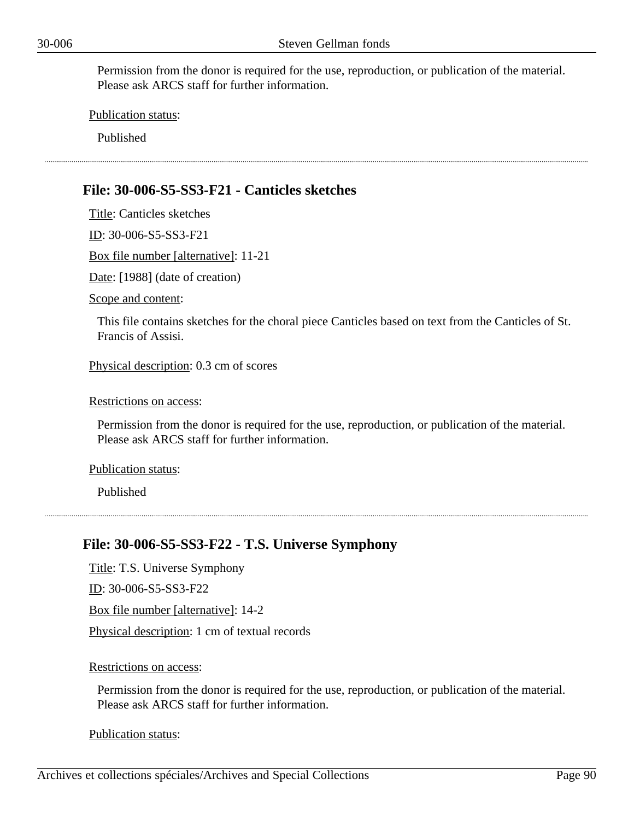Publication status:

Published

# **File: 30-006-S5-SS3-F21 - Canticles sketches**

Title: Canticles sketches ID: 30-006-S5-SS3-F21 Box file number [alternative]: 11-21 Date: [1988] (date of creation) Scope and content: This file contains sketches for the choral piece Canticles based on text from the Canticles of St. Francis of Assisi. Physical description: 0.3 cm of scores

Restrictions on access:

Permission from the donor is required for the use, reproduction, or publication of the material. Please ask ARCS staff for further information.

Publication status:

Published

# **File: 30-006-S5-SS3-F22 - T.S. Universe Symphony**

Title: T.S. Universe Symphony

ID: 30-006-S5-SS3-F22

Box file number [alternative]: 14-2

Physical description: 1 cm of textual records

#### Restrictions on access:

Permission from the donor is required for the use, reproduction, or publication of the material. Please ask ARCS staff for further information.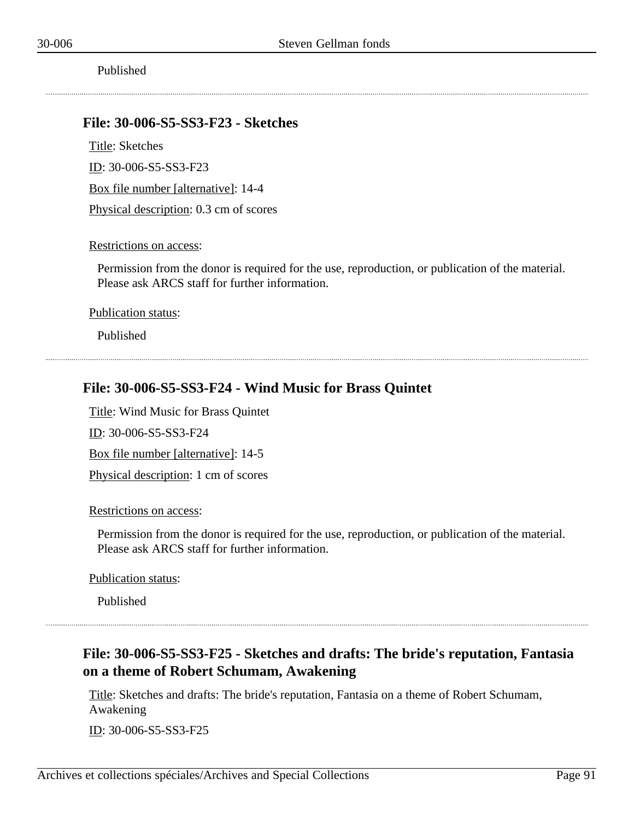### **File: 30-006-S5-SS3-F23 - Sketches**

Title: Sketches

ID: 30-006-S5-SS3-F23

Box file number [alternative]: 14-4

Physical description: 0.3 cm of scores

#### Restrictions on access:

Permission from the donor is required for the use, reproduction, or publication of the material. Please ask ARCS staff for further information.

Publication status:

Published

## **File: 30-006-S5-SS3-F24 - Wind Music for Brass Quintet**

Title: Wind Music for Brass Quintet

ID: 30-006-S5-SS3-F24

Box file number [alternative]: 14-5

Physical description: 1 cm of scores

Restrictions on access:

Permission from the donor is required for the use, reproduction, or publication of the material. Please ask ARCS staff for further information.

Publication status:

Published

# **File: 30-006-S5-SS3-F25 - Sketches and drafts: The bride's reputation, Fantasia on a theme of Robert Schumam, Awakening**

Title: Sketches and drafts: The bride's reputation, Fantasia on a theme of Robert Schumam, Awakening

ID: 30-006-S5-SS3-F25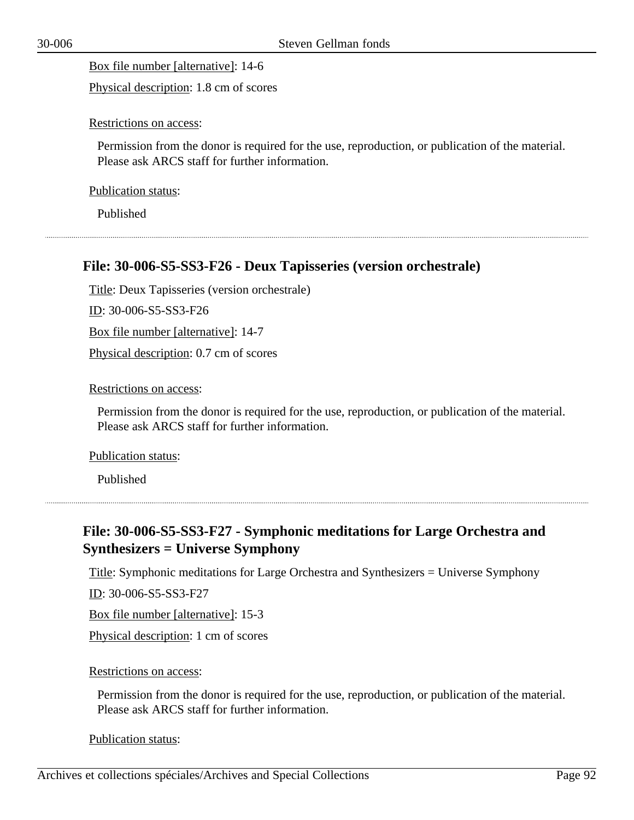Box file number [alternative]: 14-6

Physical description: 1.8 cm of scores

Restrictions on access:

Permission from the donor is required for the use, reproduction, or publication of the material. Please ask ARCS staff for further information.

Publication status:

Published

# **File: 30-006-S5-SS3-F26 - Deux Tapisseries (version orchestrale)**

Title: Deux Tapisseries (version orchestrale)

ID: 30-006-S5-SS3-F26

Box file number [alternative]: 14-7

Physical description: 0.7 cm of scores

Restrictions on access:

Permission from the donor is required for the use, reproduction, or publication of the material. Please ask ARCS staff for further information.

Publication status:

Published

# **File: 30-006-S5-SS3-F27 - Symphonic meditations for Large Orchestra and Synthesizers = Universe Symphony**

Title: Symphonic meditations for Large Orchestra and Synthesizers = Universe Symphony

ID: 30-006-S5-SS3-F27

Box file number [alternative]: 15-3

Physical description: 1 cm of scores

### Restrictions on access:

Permission from the donor is required for the use, reproduction, or publication of the material. Please ask ARCS staff for further information.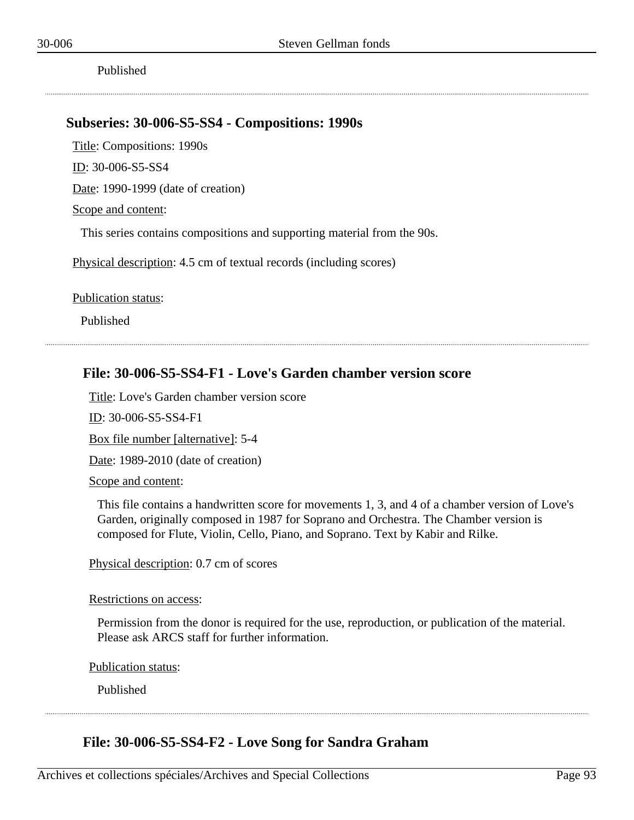Published

## **Subseries: 30-006-S5-SS4 - Compositions: 1990s**

Title: Compositions: 1990s

ID: 30-006-S5-SS4

Date: 1990-1999 (date of creation)

#### Scope and content:

This series contains compositions and supporting material from the 90s.

Physical description: 4.5 cm of textual records (including scores)

Publication status:

Published

## **File: 30-006-S5-SS4-F1 - Love's Garden chamber version score**

Title: Love's Garden chamber version score

ID: 30-006-S5-SS4-F1

Box file number [alternative]: 5-4

Date: 1989-2010 (date of creation)

Scope and content:

This file contains a handwritten score for movements 1, 3, and 4 of a chamber version of Love's Garden, originally composed in 1987 for Soprano and Orchestra. The Chamber version is composed for Flute, Violin, Cello, Piano, and Soprano. Text by Kabir and Rilke.

Physical description: 0.7 cm of scores

#### Restrictions on access:

Permission from the donor is required for the use, reproduction, or publication of the material. Please ask ARCS staff for further information.

Publication status:

Published

## **File: 30-006-S5-SS4-F2 - Love Song for Sandra Graham**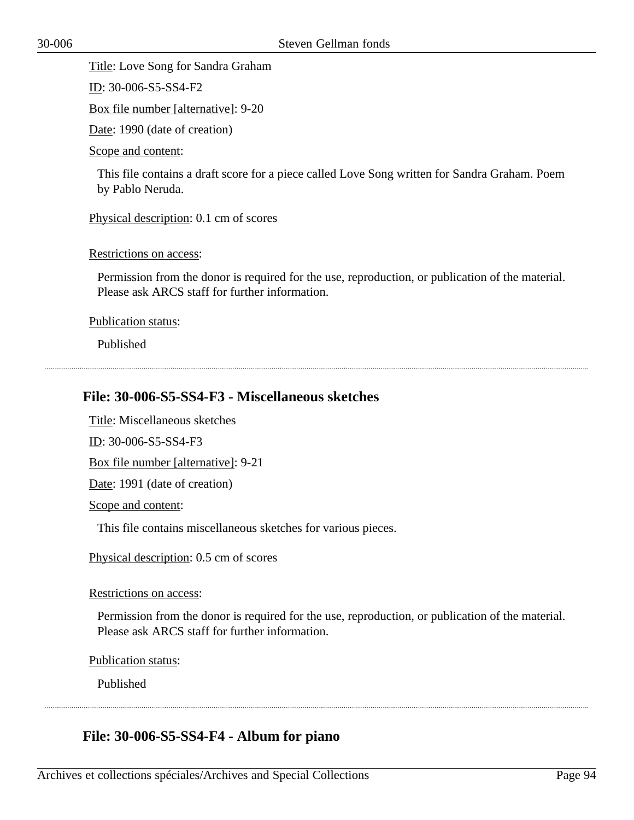Title: Love Song for Sandra Graham

ID: 30-006-S5-SS4-F2

Box file number [alternative]: 9-20

Date: 1990 (date of creation)

Scope and content:

This file contains a draft score for a piece called Love Song written for Sandra Graham. Poem by Pablo Neruda.

Physical description: 0.1 cm of scores

Restrictions on access:

Permission from the donor is required for the use, reproduction, or publication of the material. Please ask ARCS staff for further information.

Publication status:

Published

# **File: 30-006-S5-SS4-F3 - Miscellaneous sketches**

Title: Miscellaneous sketches

ID: 30-006-S5-SS4-F3

Box file number [alternative]: 9-21

Date: 1991 (date of creation)

Scope and content:

This file contains miscellaneous sketches for various pieces.

Physical description: 0.5 cm of scores

Restrictions on access:

Permission from the donor is required for the use, reproduction, or publication of the material. Please ask ARCS staff for further information.

Publication status:

Published

# **File: 30-006-S5-SS4-F4 - Album for piano**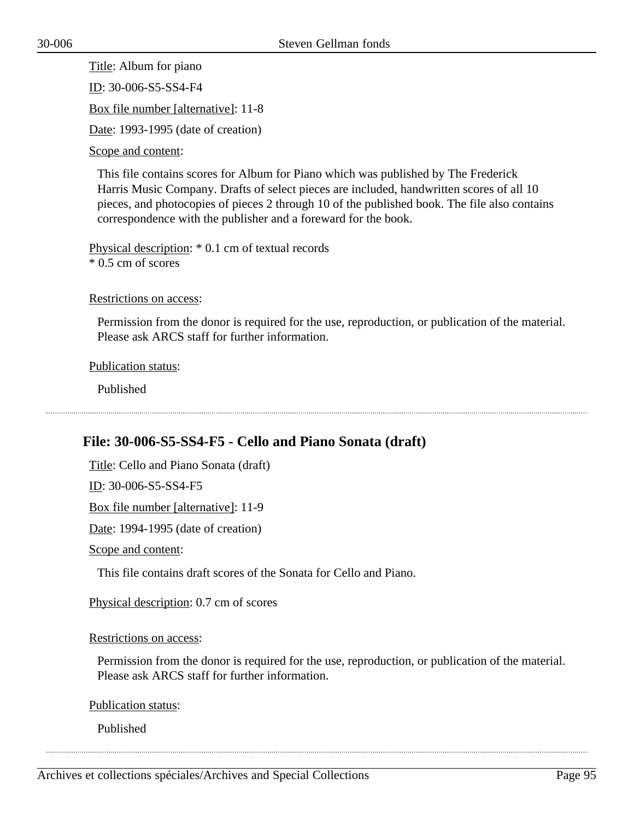Title: Album for piano ID: 30-006-S5-SS4-F4 Box file number [alternative]: 11-8 Date: 1993-1995 (date of creation) Scope and content:

This file contains scores for Album for Piano which was published by The Frederick Harris Music Company. Drafts of select pieces are included, handwritten scores of all 10 pieces, and photocopies of pieces 2 through 10 of the published book. The file also contains correspondence with the publisher and a foreward for the book.

Physical description: \* 0.1 cm of textual records \* 0.5 cm of scores

Restrictions on access:

Permission from the donor is required for the use, reproduction, or publication of the material. Please ask ARCS staff for further information.

Publication status:

Published

# **File: 30-006-S5-SS4-F5 - Cello and Piano Sonata (draft)**

Title: Cello and Piano Sonata (draft)

ID: 30-006-S5-SS4-F5

Box file number [alternative]: 11-9

Date: 1994-1995 (date of creation)

Scope and content:

This file contains draft scores of the Sonata for Cello and Piano.

Physical description: 0.7 cm of scores

Restrictions on access:

Permission from the donor is required for the use, reproduction, or publication of the material. Please ask ARCS staff for further information.

Publication status:

Published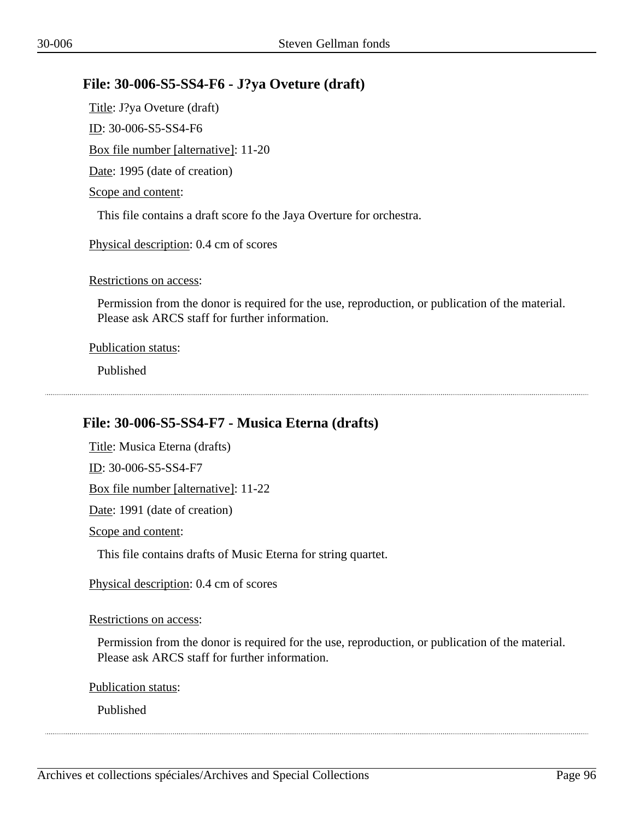## **File: 30-006-S5-SS4-F6 - J?ya Oveture (draft)**

Title: J?ya Oveture (draft) ID: 30-006-S5-SS4-F6 Box file number [alternative]: 11-20 Date: 1995 (date of creation) Scope and content: This file contains a draft score fo the Jaya Overture for orchestra.

Physical description: 0.4 cm of scores

Restrictions on access:

Permission from the donor is required for the use, reproduction, or publication of the material. Please ask ARCS staff for further information.

Publication status:

Published

# **File: 30-006-S5-SS4-F7 - Musica Eterna (drafts)**

Title: Musica Eterna (drafts) ID: 30-006-S5-SS4-F7 Box file number [alternative]: 11-22 Date: 1991 (date of creation) Scope and content:

This file contains drafts of Music Eterna for string quartet.

Physical description: 0.4 cm of scores

#### Restrictions on access:

Permission from the donor is required for the use, reproduction, or publication of the material. Please ask ARCS staff for further information.

Publication status:

Published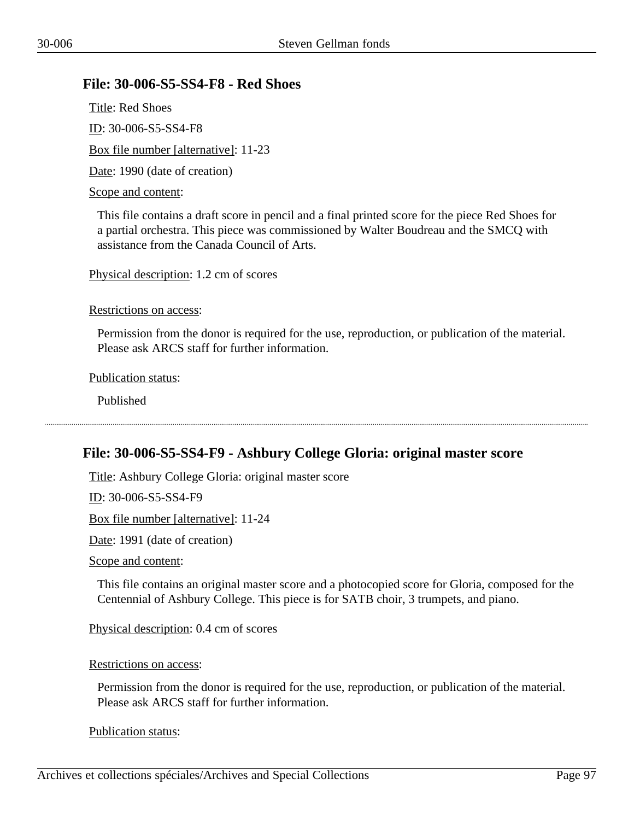## **File: 30-006-S5-SS4-F8 - Red Shoes**

Title: Red Shoes ID: 30-006-S5-SS4-F8 Box file number [alternative]: 11-23 Date: 1990 (date of creation)

#### Scope and content:

This file contains a draft score in pencil and a final printed score for the piece Red Shoes for a partial orchestra. This piece was commissioned by Walter Boudreau and the SMCQ with assistance from the Canada Council of Arts.

Physical description: 1.2 cm of scores

Restrictions on access:

Permission from the donor is required for the use, reproduction, or publication of the material. Please ask ARCS staff for further information.

Publication status:

Published

## **File: 30-006-S5-SS4-F9 - Ashbury College Gloria: original master score**

Title: Ashbury College Gloria: original master score

ID: 30-006-S5-SS4-F9

Box file number [alternative]: 11-24

Date: 1991 (date of creation)

Scope and content:

This file contains an original master score and a photocopied score for Gloria, composed for the Centennial of Ashbury College. This piece is for SATB choir, 3 trumpets, and piano.

Physical description: 0.4 cm of scores

Restrictions on access:

Permission from the donor is required for the use, reproduction, or publication of the material. Please ask ARCS staff for further information.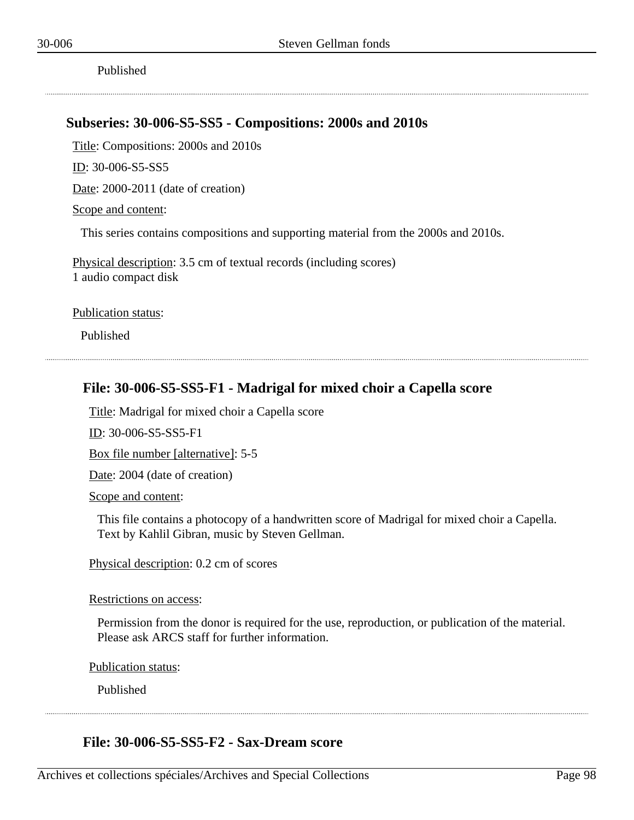Published

### **Subseries: 30-006-S5-SS5 - Compositions: 2000s and 2010s**

Title: Compositions: 2000s and 2010s

ID: 30-006-S5-SS5

Date: 2000-2011 (date of creation)

Scope and content:

This series contains compositions and supporting material from the 2000s and 2010s.

Physical description: 3.5 cm of textual records (including scores) 1 audio compact disk

Publication status:

Published

## **File: 30-006-S5-SS5-F1 - Madrigal for mixed choir a Capella score**

Title: Madrigal for mixed choir a Capella score

ID: 30-006-S5-SS5-F1

Box file number [alternative]: 5-5

Date: 2004 (date of creation)

Scope and content:

This file contains a photocopy of a handwritten score of Madrigal for mixed choir a Capella. Text by Kahlil Gibran, music by Steven Gellman.

Physical description: 0.2 cm of scores

Restrictions on access:

Permission from the donor is required for the use, reproduction, or publication of the material. Please ask ARCS staff for further information.

Publication status:

Published

### **File: 30-006-S5-SS5-F2 - Sax-Dream score**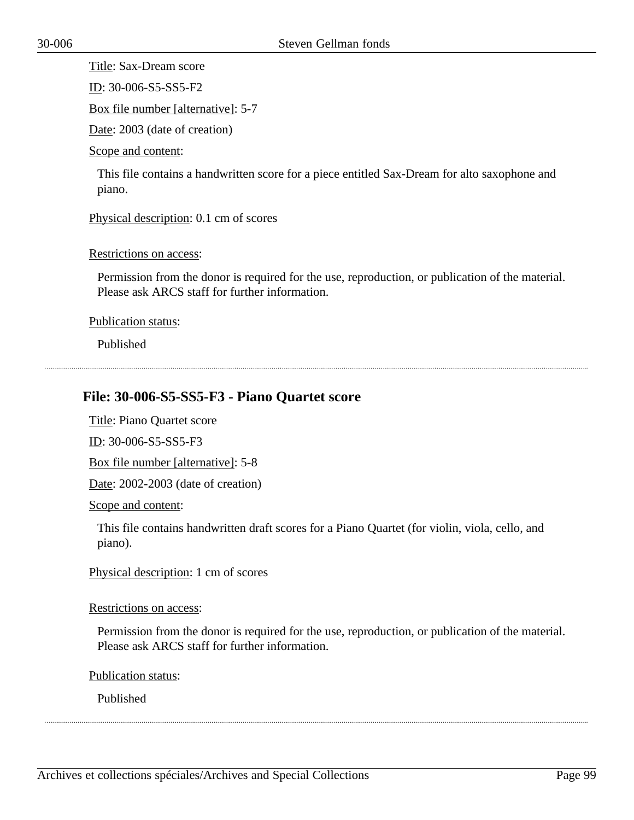Title: Sax-Dream score

ID: 30-006-S5-SS5-F2

Box file number [alternative]: 5-7

Date: 2003 (date of creation)

Scope and content:

This file contains a handwritten score for a piece entitled Sax-Dream for alto saxophone and piano.

Physical description: 0.1 cm of scores

Restrictions on access:

Permission from the donor is required for the use, reproduction, or publication of the material. Please ask ARCS staff for further information.

Publication status:

Published

# **File: 30-006-S5-SS5-F3 - Piano Quartet score**

Title: Piano Quartet score

ID: 30-006-S5-SS5-F3

Box file number [alternative]: 5-8

Date: 2002-2003 (date of creation)

Scope and content:

This file contains handwritten draft scores for a Piano Quartet (for violin, viola, cello, and piano).

Physical description: 1 cm of scores

#### Restrictions on access:

Permission from the donor is required for the use, reproduction, or publication of the material. Please ask ARCS staff for further information.

Publication status:

Published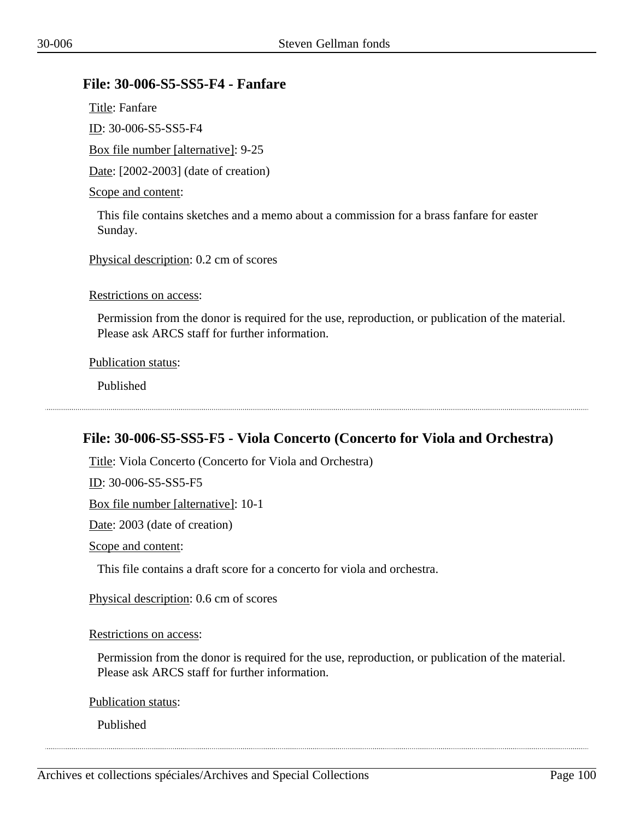# **File: 30-006-S5-SS5-F4 - Fanfare**

Title: Fanfare ID: 30-006-S5-SS5-F4 Box file number [alternative]: 9-25 Date: [2002-2003] (date of creation) Scope and content:

This file contains sketches and a memo about a commission for a brass fanfare for easter Sunday.

Physical description: 0.2 cm of scores

Restrictions on access:

Permission from the donor is required for the use, reproduction, or publication of the material. Please ask ARCS staff for further information.

Publication status:

Published

# **File: 30-006-S5-SS5-F5 - Viola Concerto (Concerto for Viola and Orchestra)**

Title: Viola Concerto (Concerto for Viola and Orchestra)

ID: 30-006-S5-SS5-F5

Box file number [alternative]: 10-1

Date: 2003 (date of creation)

Scope and content:

This file contains a draft score for a concerto for viola and orchestra.

Physical description: 0.6 cm of scores

Restrictions on access:

Permission from the donor is required for the use, reproduction, or publication of the material. Please ask ARCS staff for further information.

Publication status:

Published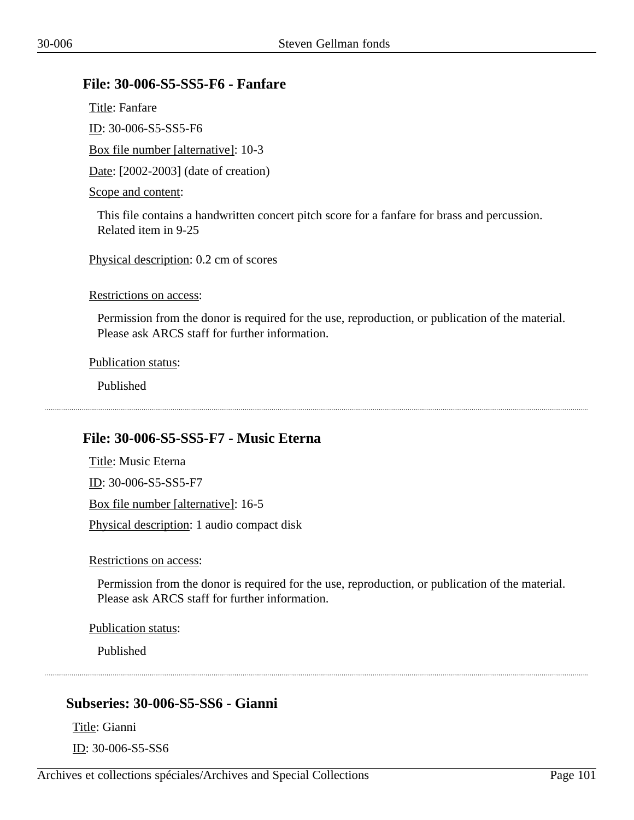## **File: 30-006-S5-SS5-F6 - Fanfare**

Title: Fanfare ID: 30-006-S5-SS5-F6 Box file number [alternative]: 10-3 Date: [2002-2003] (date of creation) Scope and content:

This file contains a handwritten concert pitch score for a fanfare for brass and percussion. Related item in 9-25

Physical description: 0.2 cm of scores

Restrictions on access:

Permission from the donor is required for the use, reproduction, or publication of the material. Please ask ARCS staff for further information.

Publication status:

Published

# **File: 30-006-S5-SS5-F7 - Music Eterna**

Title: Music Eterna ID: 30-006-S5-SS5-F7 Box file number [alternative]: 16-5 Physical description: 1 audio compact disk

Restrictions on access:

Permission from the donor is required for the use, reproduction, or publication of the material. Please ask ARCS staff for further information.

Publication status:

Published

# **Subseries: 30-006-S5-SS6 - Gianni**

Title: Gianni

ID: 30-006-S5-SS6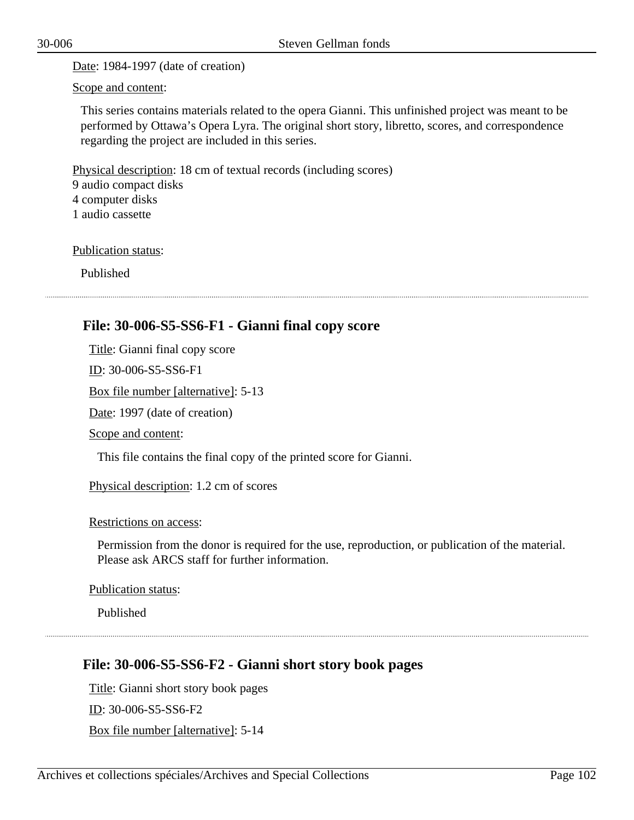Date: 1984-1997 (date of creation)

Scope and content:

This series contains materials related to the opera Gianni. This unfinished project was meant to be performed by Ottawa's Opera Lyra. The original short story, libretto, scores, and correspondence regarding the project are included in this series.

Physical description: 18 cm of textual records (including scores)

9 audio compact disks

4 computer disks

1 audio cassette

Publication status:

Published

# **File: 30-006-S5-SS6-F1 - Gianni final copy score**

Title: Gianni final copy score

ID: 30-006-S5-SS6-F1

Box file number [alternative]: 5-13

Date: 1997 (date of creation)

Scope and content:

This file contains the final copy of the printed score for Gianni.

Physical description: 1.2 cm of scores

### Restrictions on access:

Permission from the donor is required for the use, reproduction, or publication of the material. Please ask ARCS staff for further information.

Publication status:

Published

# **File: 30-006-S5-SS6-F2 - Gianni short story book pages**

Title: Gianni short story book pages ID: 30-006-S5-SS6-F2 Box file number [alternative]: 5-14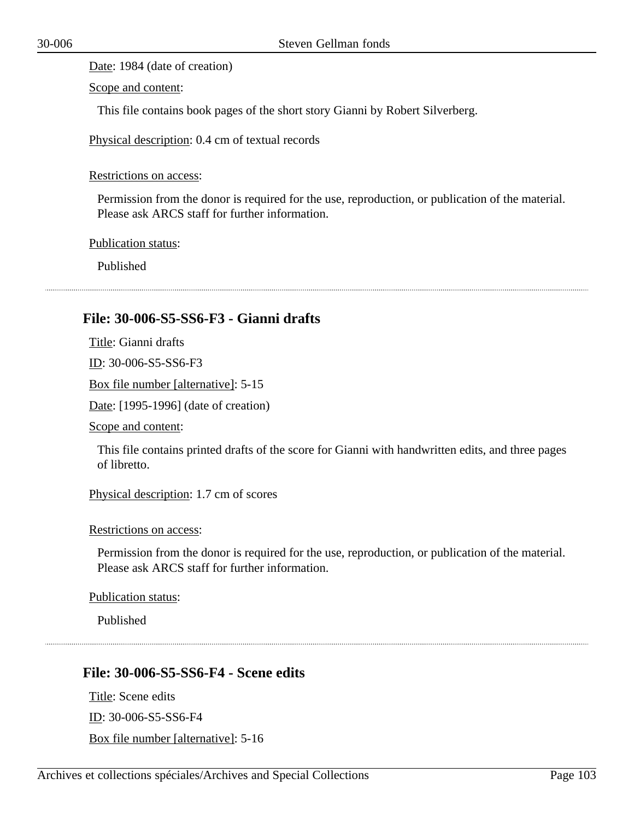Date: 1984 (date of creation)

Scope and content:

This file contains book pages of the short story Gianni by Robert Silverberg.

Physical description: 0.4 cm of textual records

Restrictions on access:

Permission from the donor is required for the use, reproduction, or publication of the material. Please ask ARCS staff for further information.

Publication status:

Published

### **File: 30-006-S5-SS6-F3 - Gianni drafts**

Title: Gianni drafts

ID: 30-006-S5-SS6-F3

Box file number [alternative]: 5-15

Date: [1995-1996] (date of creation)

Scope and content:

This file contains printed drafts of the score for Gianni with handwritten edits, and three pages of libretto.

Physical description: 1.7 cm of scores

Restrictions on access:

Permission from the donor is required for the use, reproduction, or publication of the material. Please ask ARCS staff for further information.

Publication status:

Published

### **File: 30-006-S5-SS6-F4 - Scene edits**

Title: Scene edits ID: 30-006-S5-SS6-F4 Box file number [alternative]: 5-16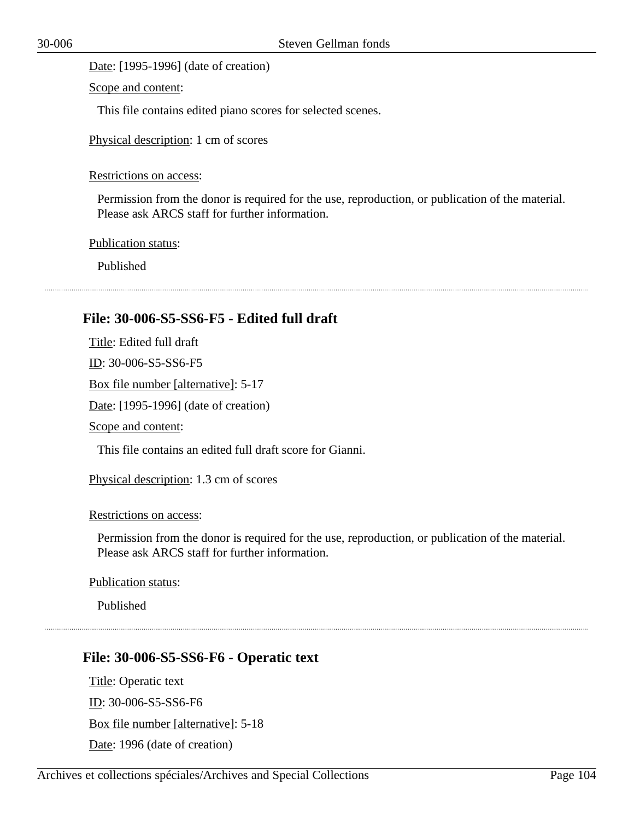Date: [1995-1996] (date of creation)

Scope and content:

This file contains edited piano scores for selected scenes.

Physical description: 1 cm of scores

Restrictions on access:

Permission from the donor is required for the use, reproduction, or publication of the material. Please ask ARCS staff for further information.

Publication status:

Published

## **File: 30-006-S5-SS6-F5 - Edited full draft**

Title: Edited full draft ID: 30-006-S5-SS6-F5 Box file number [alternative]: 5-17 Date: [1995-1996] (date of creation) Scope and content:

This file contains an edited full draft score for Gianni.

Physical description: 1.3 cm of scores

Restrictions on access:

Permission from the donor is required for the use, reproduction, or publication of the material. Please ask ARCS staff for further information.

Publication status:

Published

### **File: 30-006-S5-SS6-F6 - Operatic text**

Title: Operatic text ID: 30-006-S5-SS6-F6 Box file number [alternative]: 5-18 Date: 1996 (date of creation)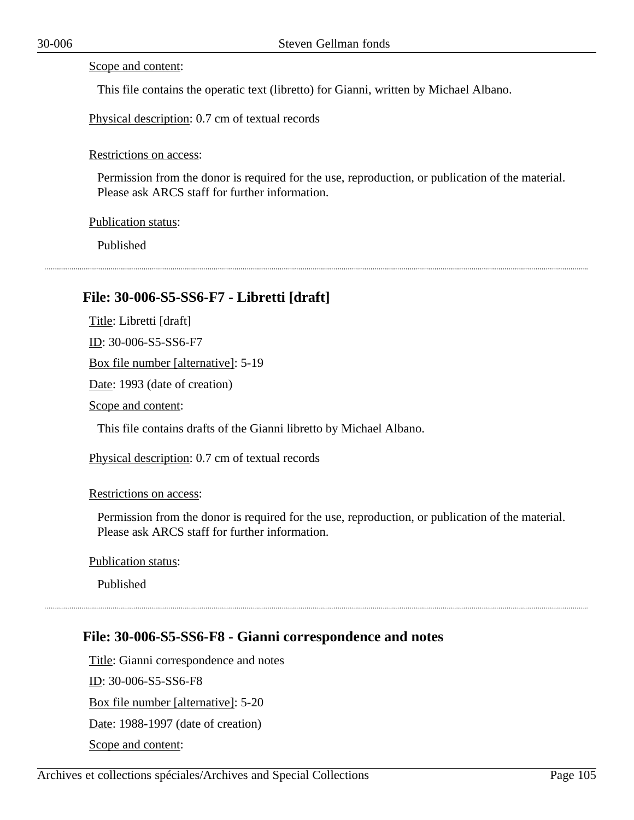#### Scope and content:

This file contains the operatic text (libretto) for Gianni, written by Michael Albano.

Physical description: 0.7 cm of textual records

#### Restrictions on access:

Permission from the donor is required for the use, reproduction, or publication of the material. Please ask ARCS staff for further information.

#### Publication status:

Published

## **File: 30-006-S5-SS6-F7 - Libretti [draft]**

Title: Libretti [draft] ID: 30-006-S5-SS6-F7

Box file number [alternative]: 5-19

Date: 1993 (date of creation)

Scope and content:

This file contains drafts of the Gianni libretto by Michael Albano.

Physical description: 0.7 cm of textual records

#### Restrictions on access:

Permission from the donor is required for the use, reproduction, or publication of the material. Please ask ARCS staff for further information.

Publication status:

Published

## **File: 30-006-S5-SS6-F8 - Gianni correspondence and notes**

Title: Gianni correspondence and notes ID: 30-006-S5-SS6-F8 Box file number [alternative]: 5-20 Date: 1988-1997 (date of creation) Scope and content: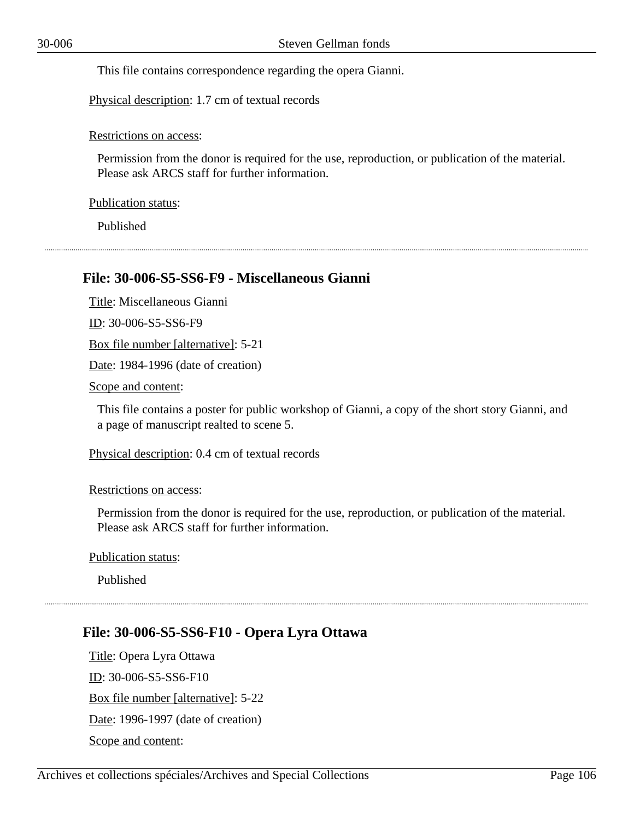This file contains correspondence regarding the opera Gianni.

Physical description: 1.7 cm of textual records

Restrictions on access:

Permission from the donor is required for the use, reproduction, or publication of the material. Please ask ARCS staff for further information.

Publication status:

Published

### **File: 30-006-S5-SS6-F9 - Miscellaneous Gianni**

Title: Miscellaneous Gianni

ID: 30-006-S5-SS6-F9

Box file number [alternative]: 5-21

Date: 1984-1996 (date of creation)

Scope and content:

This file contains a poster for public workshop of Gianni, a copy of the short story Gianni, and a page of manuscript realted to scene 5.

Physical description: 0.4 cm of textual records

Restrictions on access:

Permission from the donor is required for the use, reproduction, or publication of the material. Please ask ARCS staff for further information.

Publication status:

Published

## **File: 30-006-S5-SS6-F10 - Opera Lyra Ottawa**

Title: Opera Lyra Ottawa ID: 30-006-S5-SS6-F10 Box file number [alternative]: 5-22 Date: 1996-1997 (date of creation) Scope and content: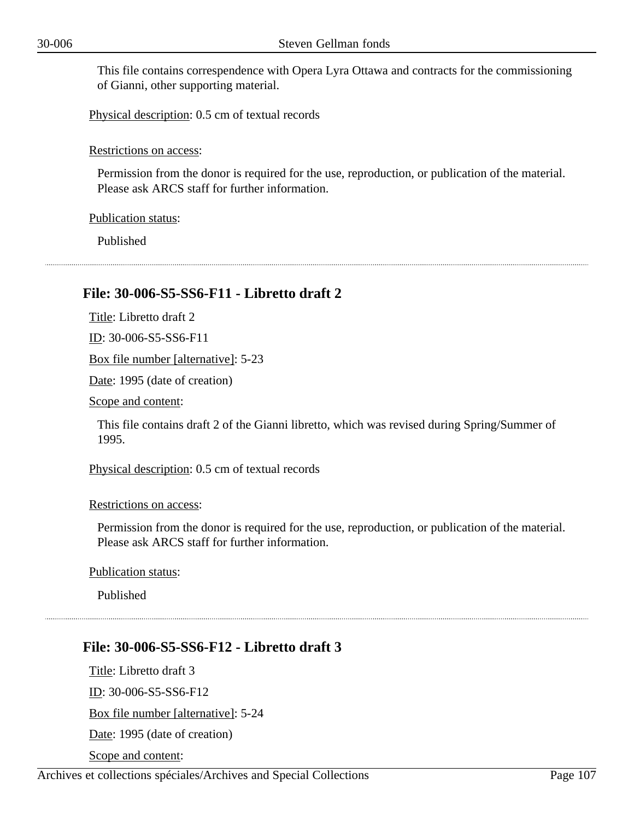This file contains correspendence with Opera Lyra Ottawa and contracts for the commissioning of Gianni, other supporting material.

Physical description: 0.5 cm of textual records

Restrictions on access:

Permission from the donor is required for the use, reproduction, or publication of the material. Please ask ARCS staff for further information.

Publication status:

Published

### **File: 30-006-S5-SS6-F11 - Libretto draft 2**

Title: Libretto draft 2

ID: 30-006-S5-SS6-F11

Box file number [alternative]: 5-23

Date: 1995 (date of creation)

Scope and content:

This file contains draft 2 of the Gianni libretto, which was revised during Spring/Summer of 1995.

Physical description: 0.5 cm of textual records

#### Restrictions on access:

Permission from the donor is required for the use, reproduction, or publication of the material. Please ask ARCS staff for further information.

Publication status:

Published

### **File: 30-006-S5-SS6-F12 - Libretto draft 3**

Title: Libretto draft 3 ID: 30-006-S5-SS6-F12 Box file number [alternative]: 5-24 Date: 1995 (date of creation)

Scope and content: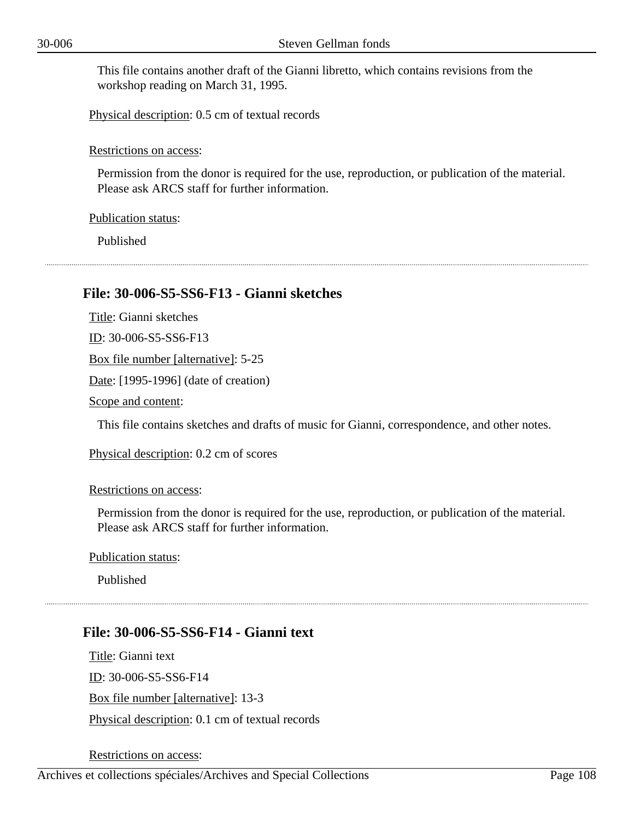This file contains another draft of the Gianni libretto, which contains revisions from the workshop reading on March 31, 1995.

Physical description: 0.5 cm of textual records

Restrictions on access:

Permission from the donor is required for the use, reproduction, or publication of the material. Please ask ARCS staff for further information.

Publication status:

Published

### **File: 30-006-S5-SS6-F13 - Gianni sketches**

Title: Gianni sketches ID: 30-006-S5-SS6-F13 Box file number [alternative]: 5-25 Date: [1995-1996] (date of creation) Scope and content:

This file contains sketches and drafts of music for Gianni, correspondence, and other notes.

Physical description: 0.2 cm of scores

Restrictions on access:

Permission from the donor is required for the use, reproduction, or publication of the material. Please ask ARCS staff for further information.

Publication status:

Published

### **File: 30-006-S5-SS6-F14 - Gianni text**

Title: Gianni text ID: 30-006-S5-SS6-F14 Box file number [alternative]: 13-3 Physical description: 0.1 cm of textual records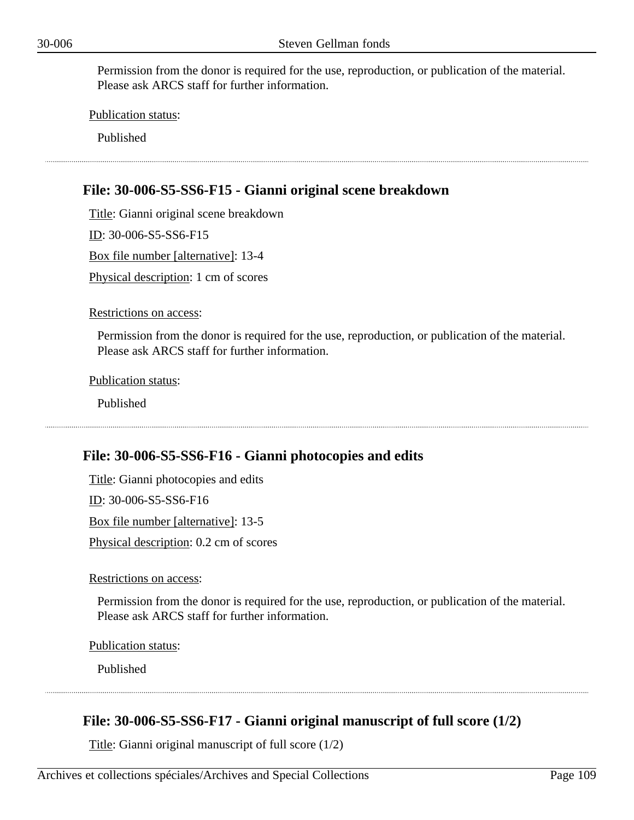Permission from the donor is required for the use, reproduction, or publication of the material. Please ask ARCS staff for further information.

Publication status:

Published

# **File: 30-006-S5-SS6-F15 - Gianni original scene breakdown**

Title: Gianni original scene breakdown ID: 30-006-S5-SS6-F15 Box file number [alternative]: 13-4 Physical description: 1 cm of scores

Restrictions on access:

Permission from the donor is required for the use, reproduction, or publication of the material. Please ask ARCS staff for further information.

Publication status:

Published

## **File: 30-006-S5-SS6-F16 - Gianni photocopies and edits**

Title: Gianni photocopies and edits

ID: 30-006-S5-SS6-F16

Box file number [alternative]: 13-5

Physical description: 0.2 cm of scores

Restrictions on access:

Permission from the donor is required for the use, reproduction, or publication of the material. Please ask ARCS staff for further information.

Publication status:

Published

## **File: 30-006-S5-SS6-F17 - Gianni original manuscript of full score (1/2)**

Title: Gianni original manuscript of full score (1/2)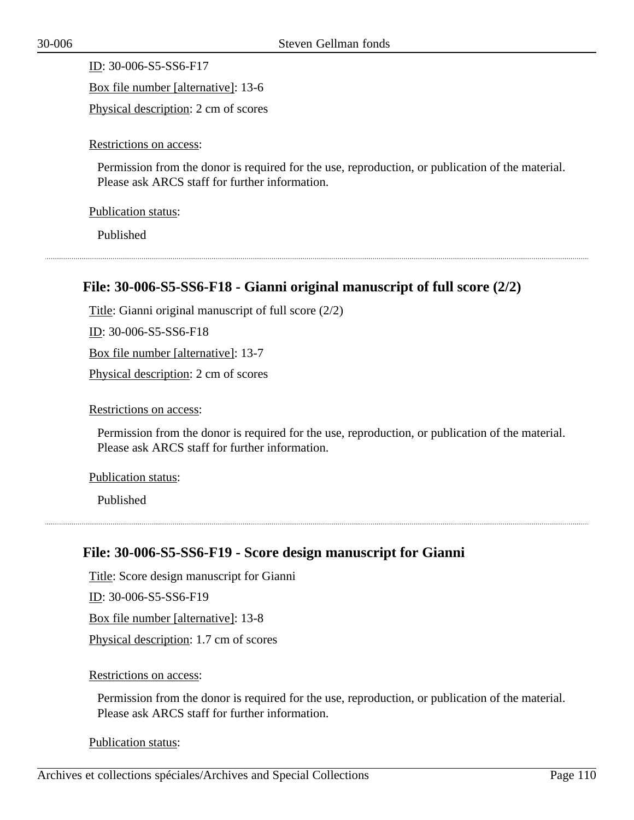ID: 30-006-S5-SS6-F17 Box file number [alternative]: 13-6 Physical description: 2 cm of scores

Restrictions on access:

Permission from the donor is required for the use, reproduction, or publication of the material. Please ask ARCS staff for further information.

Publication status:

Published

# **File: 30-006-S5-SS6-F18 - Gianni original manuscript of full score (2/2)**

Title: Gianni original manuscript of full score (2/2)

ID: 30-006-S5-SS6-F18

Box file number [alternative]: 13-7

Physical description: 2 cm of scores

Restrictions on access:

Permission from the donor is required for the use, reproduction, or publication of the material. Please ask ARCS staff for further information.

Publication status:

Published

# **File: 30-006-S5-SS6-F19 - Score design manuscript for Gianni**

Title: Score design manuscript for Gianni

ID: 30-006-S5-SS6-F19

Box file number [alternative]: 13-8

Physical description: 1.7 cm of scores

Restrictions on access:

Permission from the donor is required for the use, reproduction, or publication of the material. Please ask ARCS staff for further information.

Publication status: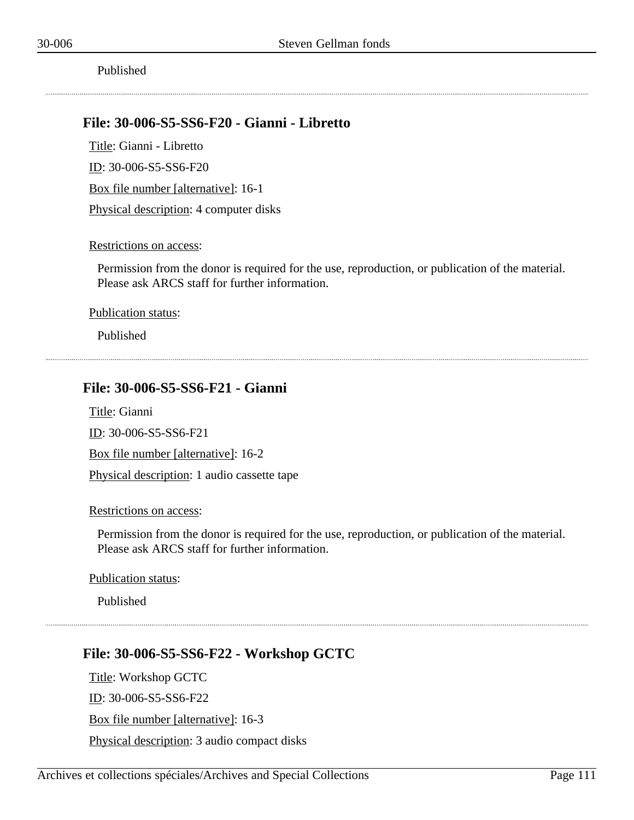### **File: 30-006-S5-SS6-F20 - Gianni - Libretto**

Title: Gianni - Libretto ID: 30-006-S5-SS6-F20 Box file number [alternative]: 16-1 Physical description: 4 computer disks

#### Restrictions on access:

Permission from the donor is required for the use, reproduction, or publication of the material. Please ask ARCS staff for further information.

Publication status:

Published

## **File: 30-006-S5-SS6-F21 - Gianni**

Title: Gianni

ID: 30-006-S5-SS6-F21

Box file number [alternative]: 16-2

Physical description: 1 audio cassette tape

#### Restrictions on access:

Permission from the donor is required for the use, reproduction, or publication of the material. Please ask ARCS staff for further information.

Publication status:

Published

# **File: 30-006-S5-SS6-F22 - Workshop GCTC**

Title: Workshop GCTC

ID: 30-006-S5-SS6-F22

Box file number [alternative]: 16-3

Physical description: 3 audio compact disks